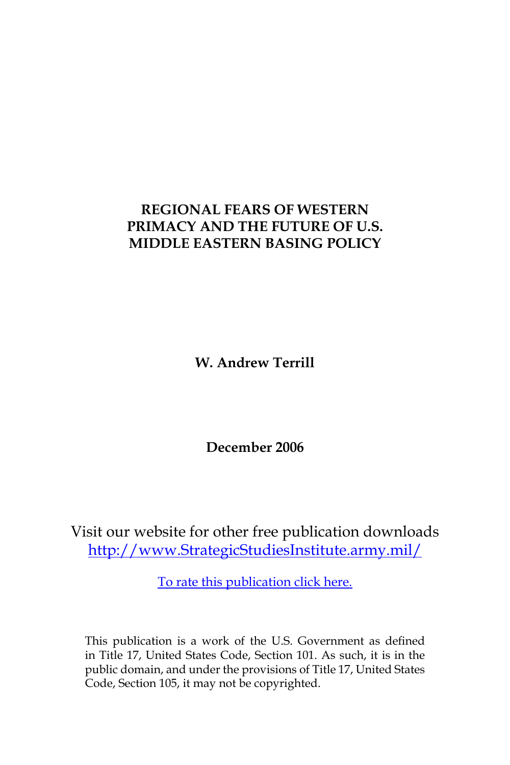# **REGIONAL FEARS OF WESTERN PRIMACY AND THE FUTURE OF U.S. MIDDLE EASTERN BASING POLICY**

**W. Andrew Terrill**

**December 2006**

Visit our website for other free publication downloads [http://www.StrategicStudiesInstitute.army.mil/](http://www.StrategicStudiesInstitute.army.mil)

[To rate this publication click here.](http://www.strategicstudiesinstitute.army.mil/pubs/display.cfm?pubID=742)

This publication is a work of the U.S. Government as defined in Title 17, United States Code, Section 101. As such, it is in the public domain, and under the provisions of Title 17, United States Code, Section 105, it may not be copyrighted.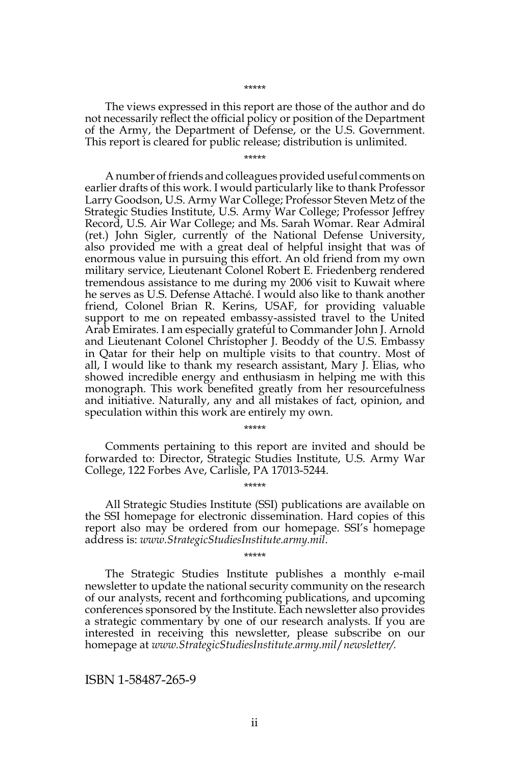The views expressed in this report are those of the author and do not necessarily reflect the official policy or position of the Department of the Army, the Department of Defense, or the U.S. Government. This report is cleared for public release; distribution is unlimited.

\*\*\*\*\*

#### \*\*\*\*\*

A number of friends and colleagues provided useful comments on earlier drafts of this work. I would particularly like to thank Professor Larry Goodson, U.S. Army War College; Professor Steven Metz of the Strategic Studies Institute, U.S. Army War College; Professor Jeffrey Record, U.S. Air War College; and Ms. Sarah Womar. Rear Admiral (ret.) John Sigler, currently of the National Defense University, also provided me with a great deal of helpful insight that was of enormous value in pursuing this effort. An old friend from my own military service, Lieutenant Colonel Robert E. Friedenberg rendered tremendous assistance to me during my 2006 visit to Kuwait where he serves as U.S. Defense Attaché. I would also like to thank another friend, Colonel Brian R. Kerins, USAF, for providing valuable support to me on repeated embassy-assisted travel to the United Arab Emirates. I am especially grateful to Commander John J. Arnold and Lieutenant Colonel Christopher J. Beoddy of the U.S. Embassy in Qatar for their help on multiple visits to that country. Most of all, I would like to thank my research assistant, Mary J. Elias, who showed incredible energy and enthusiasm in helping me with this monograph. This work benefited greatly from her resourcefulness and initiative. Naturally, any and all mistakes of fact, opinion, and speculation within this work are entirely my own.

\*\*\*\*\*

Comments pertaining to this report are invited and should be forwarded to: Director, Strategic Studies Institute, U.S. Army War College, 122 Forbes Ave, Carlisle, PA 17013-5244.

\*\*\*\*\*

All Strategic Studies Institute (SSI) publications are available on the SSI homepage for electronic dissemination. Hard copies of this report also may be ordered from our homepage. SSI's homepage address is: *www.StrategicStudiesInstitute.army.mil*.

#### \*\*\*\*\*

The Strategic Studies Institute publishes a monthly e-mail newsletter to update the national security community on the research of our analysts, recent and forthcoming publications, and upcoming conferences sponsored by the Institute. Each newsletter also provides a strategic commentary by one of our research analysts. If you are interested in receiving this newsletter, please subscribe on our homepage at *www.StrategicStudiesInstitute.army.mil*/*newsletter/.*

ISBN 1-58487-265-9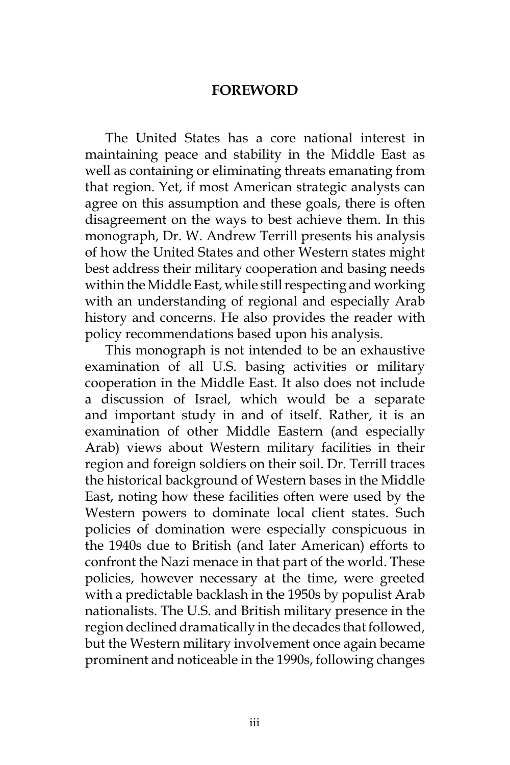### **FOREWORD**

The United States has a core national interest in maintaining peace and stability in the Middle East as well as containing or eliminating threats emanating from that region. Yet, if most American strategic analysts can agree on this assumption and these goals, there is often disagreement on the ways to best achieve them. In this monograph, Dr. W. Andrew Terrill presents his analysis of how the United States and other Western states might best address their military cooperation and basing needs within the Middle East, while still respecting and working with an understanding of regional and especially Arab history and concerns. He also provides the reader with policy recommendations based upon his analysis.

This monograph is not intended to be an exhaustive examination of all U.S. basing activities or military cooperation in the Middle East. It also does not include a discussion of Israel, which would be a separate and important study in and of itself. Rather, it is an examination of other Middle Eastern (and especially Arab) views about Western military facilities in their region and foreign soldiers on their soil. Dr. Terrill traces the historical background of Western bases in the Middle East, noting how these facilities often were used by the Western powers to dominate local client states. Such policies of domination were especially conspicuous in the 1940s due to British (and later American) efforts to confront the Nazi menace in that part of the world. These policies, however necessary at the time, were greeted with a predictable backlash in the 1950s by populist Arab nationalists. The U.S. and British military presence in the region declined dramatically in the decades that followed, but the Western military involvement once again became prominent and noticeable in the 1990s, following changes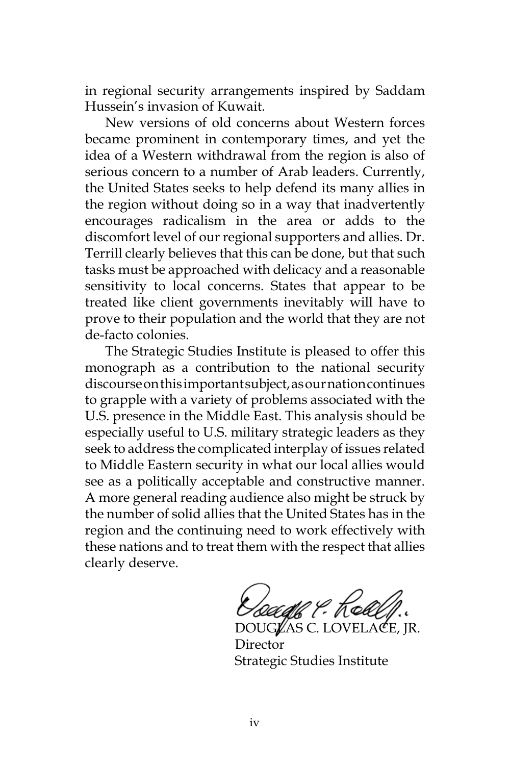in regional security arrangements inspired by Saddam Hussein's invasion of Kuwait.

New versions of old concerns about Western forces became prominent in contemporary times, and yet the idea of a Western withdrawal from the region is also of serious concern to a number of Arab leaders. Currently, the United States seeks to help defend its many allies in the region without doing so in a way that inadvertently encourages radicalism in the area or adds to the discomfort level of our regional supporters and allies. Dr. Terrill clearly believes that this can be done, but that such tasks must be approached with delicacy and a reasonable sensitivity to local concerns. States that appear to be treated like client governments inevitably will have to prove to their population and the world that they are not de-facto colonies.

The Strategic Studies Institute is pleased to offer this monograph as a contribution to the national security discourse on this important subject, as our nation continues to grapple with a variety of problems associated with the U.S. presence in the Middle East. This analysis should be especially useful to U.S. military strategic leaders as they seek to address the complicated interplay of issues related to Middle Eastern security in what our local allies would see as a politically acceptable and constructive manner. A more general reading audience also might be struck by the number of solid allies that the United States has in the region and the continuing need to work effectively with these nations and to treat them with the respect that allies clearly deserve.

!eadh ? Kel DOUGLAS C. LOVELACE, JR.

Director Strategic Studies Institute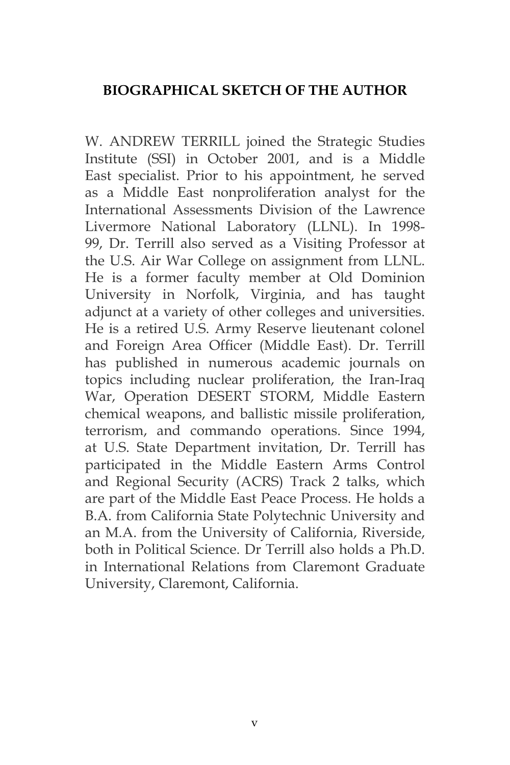# **BIOGRAPHICAL SKETCH OF THE AUTHOR**

W. ANDREW TERRILL joined the Strategic Studies Institute (SSI) in October 2001, and is a Middle East specialist. Prior to his appointment, he served as a Middle East nonproliferation analyst for the International Assessments Division of the Lawrence Livermore National Laboratory (LLNL). In 1998- 99, Dr. Terrill also served as a Visiting Professor at the U.S. Air War College on assignment from LLNL. He is a former faculty member at Old Dominion University in Norfolk, Virginia, and has taught adjunct at a variety of other colleges and universities. He is a retired U.S. Army Reserve lieutenant colonel and Foreign Area Officer (Middle East). Dr. Terrill has published in numerous academic journals on topics including nuclear proliferation, the Iran-Iraq War, Operation DESERT STORM, Middle Eastern chemical weapons, and ballistic missile proliferation, terrorism, and commando operations. Since 1994, at U.S. State Department invitation, Dr. Terrill has participated in the Middle Eastern Arms Control and Regional Security (ACRS) Track 2 talks, which are part of the Middle East Peace Process. He holds a B.A. from California State Polytechnic University and an M.A. from the University of California, Riverside, both in Political Science. Dr Terrill also holds a Ph.D. in International Relations from Claremont Graduate University, Claremont, California.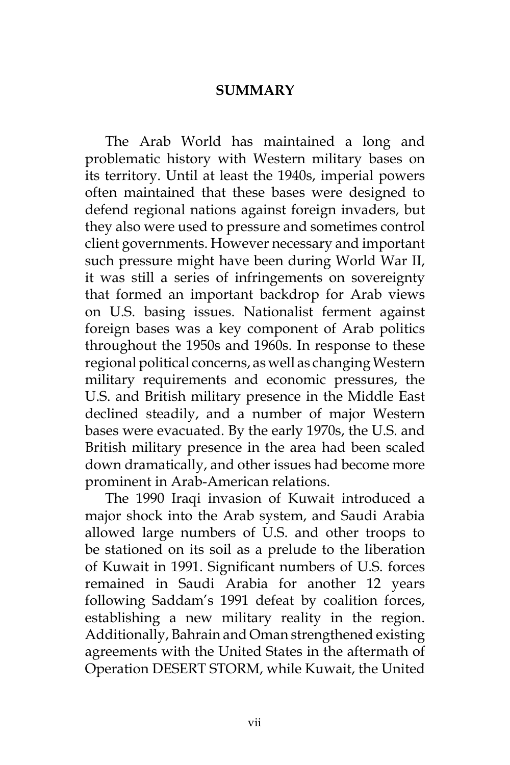## **SUMMARY**

The Arab World has maintained a long and problematic history with Western military bases on its territory. Until at least the 1940s, imperial powers often maintained that these bases were designed to defend regional nations against foreign invaders, but they also were used to pressure and sometimes control client governments. However necessary and important such pressure might have been during World War II, it was still a series of infringements on sovereignty that formed an important backdrop for Arab views on U.S. basing issues. Nationalist ferment against foreign bases was a key component of Arab politics throughout the 1950s and 1960s. In response to these regional political concerns, as well as changing Western military requirements and economic pressures, the U.S. and British military presence in the Middle East declined steadily, and a number of major Western bases were evacuated. By the early 1970s, the U.S. and British military presence in the area had been scaled down dramatically, and other issues had become more prominent in Arab-American relations.

The 1990 Iraqi invasion of Kuwait introduced a major shock into the Arab system, and Saudi Arabia allowed large numbers of U.S. and other troops to be stationed on its soil as a prelude to the liberation of Kuwait in 1991. Significant numbers of U.S. forces remained in Saudi Arabia for another 12 years following Saddam's 1991 defeat by coalition forces, establishing a new military reality in the region. Additionally, Bahrain and Oman strengthened existing agreements with the United States in the aftermath of Operation DESERT STORM, while Kuwait, the United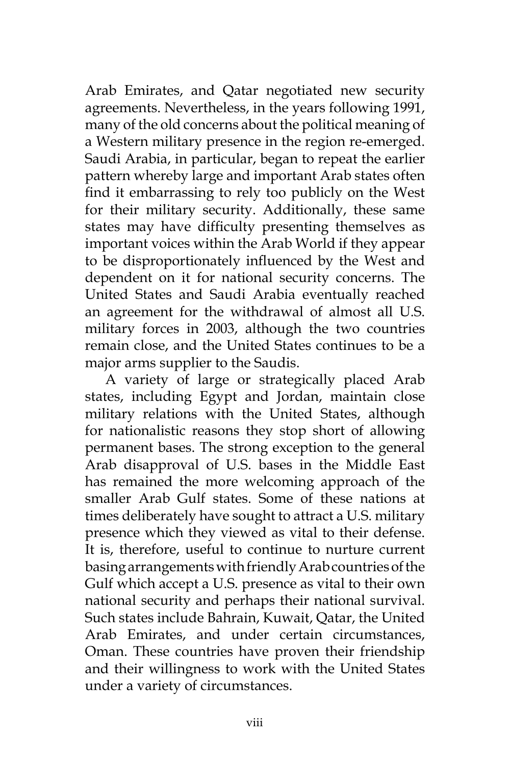Arab Emirates, and Qatar negotiated new security agreements. Nevertheless, in the years following 1991, many of the old concerns about the political meaning of a Western military presence in the region re-emerged. Saudi Arabia, in particular, began to repeat the earlier pattern whereby large and important Arab states often find it embarrassing to rely too publicly on the West for their military security. Additionally, these same states may have difficulty presenting themselves as important voices within the Arab World if they appear to be disproportionately influenced by the West and dependent on it for national security concerns. The United States and Saudi Arabia eventually reached an agreement for the withdrawal of almost all U.S. military forces in 2003, although the two countries remain close, and the United States continues to be a major arms supplier to the Saudis.

A variety of large or strategically placed Arab states, including Egypt and Jordan, maintain close military relations with the United States, although for nationalistic reasons they stop short of allowing permanent bases. The strong exception to the general Arab disapproval of U.S. bases in the Middle East has remained the more welcoming approach of the smaller Arab Gulf states. Some of these nations at times deliberately have sought to attract a U.S. military presence which they viewed as vital to their defense. It is, therefore, useful to continue to nurture current basing arrangements with friendly Arab countries of the Gulf which accept a U.S. presence as vital to their own national security and perhaps their national survival. Such states include Bahrain, Kuwait, Qatar, the United Arab Emirates, and under certain circumstances, Oman. These countries have proven their friendship and their willingness to work with the United States under a variety of circumstances.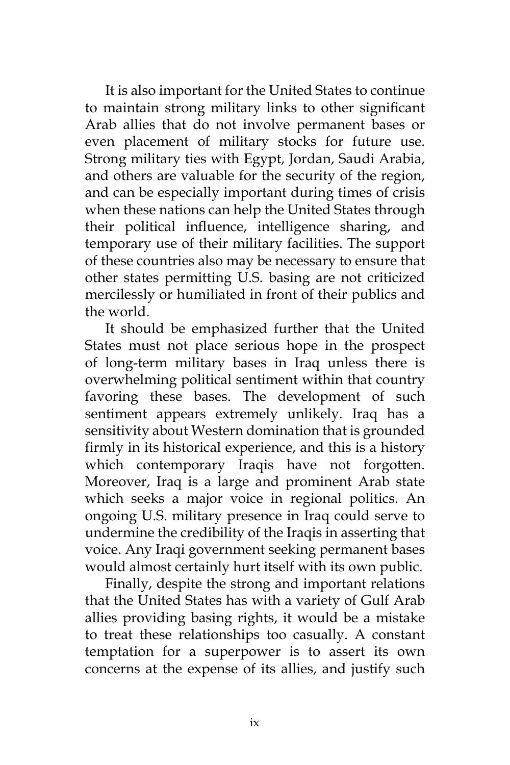It is also important for the United States to continue to maintain strong military links to other significant Arab allies that do not involve permanent bases or even placement of military stocks for future use. Strong military ties with Egypt, Jordan, Saudi Arabia, and others are valuable for the security of the region, and can be especially important during times of crisis when these nations can help the United States through their political influence, intelligence sharing, and temporary use of their military facilities. The support of these countries also may be necessary to ensure that other states permitting U.S. basing are not criticized mercilessly or humiliated in front of their publics and the world.

It should be emphasized further that the United States must not place serious hope in the prospect of long-term military bases in Iraq unless there is overwhelming political sentiment within that country favoring these bases. The development of such sentiment appears extremely unlikely. Iraq has a sensitivity about Western domination that is grounded firmly in its historical experience, and this is a history which contemporary Iraqis have not forgotten. Moreover, Iraq is a large and prominent Arab state which seeks a major voice in regional politics. An ongoing U.S. military presence in Iraq could serve to undermine the credibility of the Iraqis in asserting that voice. Any Iraqi government seeking permanent bases would almost certainly hurt itself with its own public.

Finally, despite the strong and important relations that the United States has with a variety of Gulf Arab allies providing basing rights, it would be a mistake to treat these relationships too casually. A constant temptation for a superpower is to assert its own concerns at the expense of its allies, and justify such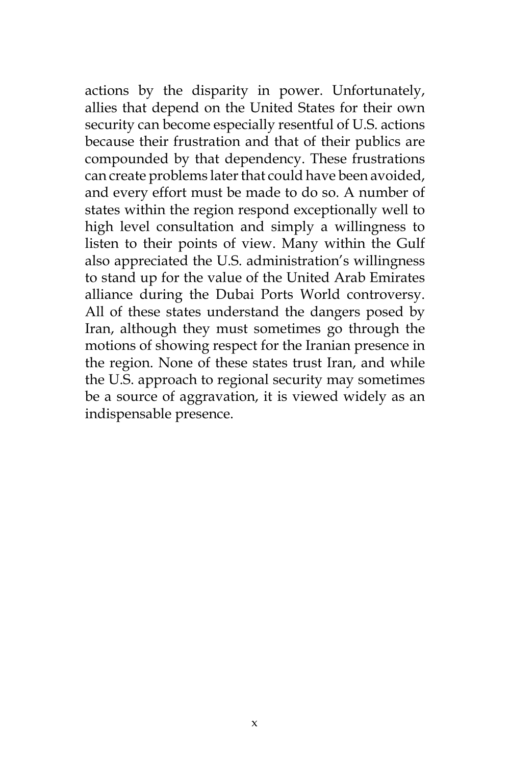actions by the disparity in power. Unfortunately, allies that depend on the United States for their own security can become especially resentful of U.S. actions because their frustration and that of their publics are compounded by that dependency. These frustrations can create problems later that could have been avoided, and every effort must be made to do so. A number of states within the region respond exceptionally well to high level consultation and simply a willingness to listen to their points of view. Many within the Gulf also appreciated the U.S. administration's willingness to stand up for the value of the United Arab Emirates alliance during the Dubai Ports World controversy. All of these states understand the dangers posed by Iran, although they must sometimes go through the motions of showing respect for the Iranian presence in the region. None of these states trust Iran, and while the U.S. approach to regional security may sometimes be a source of aggravation, it is viewed widely as an indispensable presence.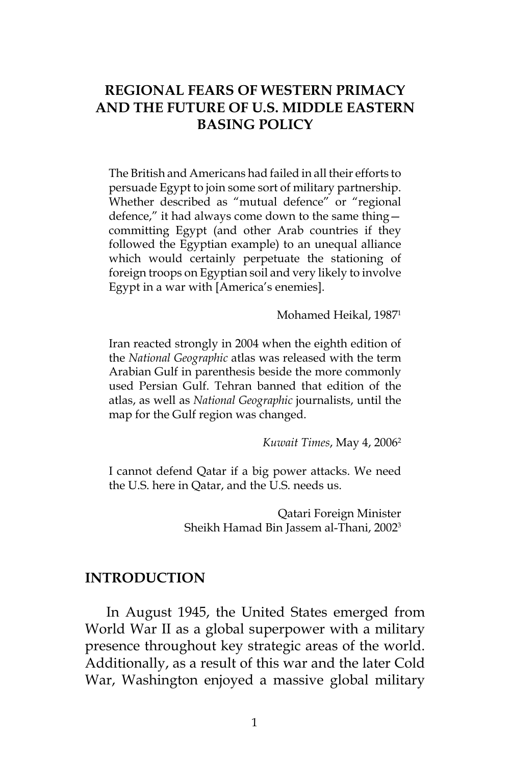## **REGIONAL FEARS OF WESTERN PRIMACY AND THE FUTURE OF U.S. MIDDLE EASTERN BASING POLICY**

The British and Americans had failed in all their efforts to persuade Egypt to join some sort of military partnership. Whether described as "mutual defence" or "regional defence," it had always come down to the same thing committing Egypt (and other Arab countries if they followed the Egyptian example) to an unequal alliance which would certainly perpetuate the stationing of foreign troops on Egyptian soil and very likely to involve Egypt in a war with [America's enemies].

Mohamed Heikal, 19871

Iran reacted strongly in 2004 when the eighth edition of the *National Geographic* atlas was released with the term Arabian Gulf in parenthesis beside the more commonly used Persian Gulf. Tehran banned that edition of the atlas, as well as *National Geographic* journalists, until the map for the Gulf region was changed.

*Kuwait Times*, May 4, 20062

I cannot defend Qatar if a big power attacks. We need the U.S. here in Qatar, and the U.S. needs us.

> Qatari Foreign Minister Sheikh Hamad Bin Jassem al-Thani, 20023

### **INTRODUCTION**

In August 1945, the United States emerged from World War II as a global superpower with a military presence throughout key strategic areas of the world. Additionally, as a result of this war and the later Cold War, Washington enjoyed a massive global military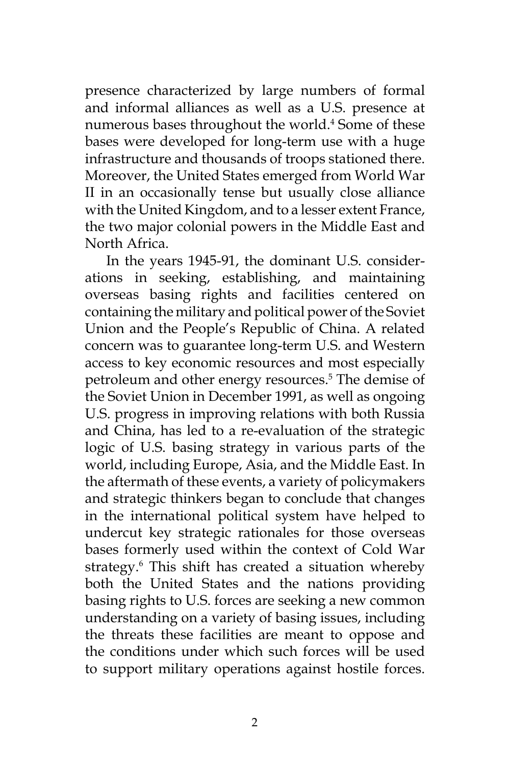presence characterized by large numbers of formal and informal alliances as well as a U.S. presence at numerous bases throughout the world.<sup>4</sup> Some of these bases were developed for long-term use with a huge infrastructure and thousands of troops stationed there. Moreover, the United States emerged from World War II in an occasionally tense but usually close alliance with the United Kingdom, and to a lesser extent France, the two major colonial powers in the Middle East and North Africa.

In the years 1945-91, the dominant U.S. considerations in seeking, establishing, and maintaining overseas basing rights and facilities centered on containing the military and political power of the Soviet Union and the People's Republic of China. A related concern was to guarantee long-term U.S. and Western access to key economic resources and most especially petroleum and other energy resources.<sup>5</sup> The demise of the Soviet Union in December 1991, as well as ongoing U.S. progress in improving relations with both Russia and China, has led to a re-evaluation of the strategic logic of U.S. basing strategy in various parts of the world, including Europe, Asia, and the Middle East. In the aftermath of these events, a variety of policymakers and strategic thinkers began to conclude that changes in the international political system have helped to undercut key strategic rationales for those overseas bases formerly used within the context of Cold War strategy.6 This shift has created a situation whereby both the United States and the nations providing basing rights to U.S. forces are seeking a new common understanding on a variety of basing issues, including the threats these facilities are meant to oppose and the conditions under which such forces will be used to support military operations against hostile forces.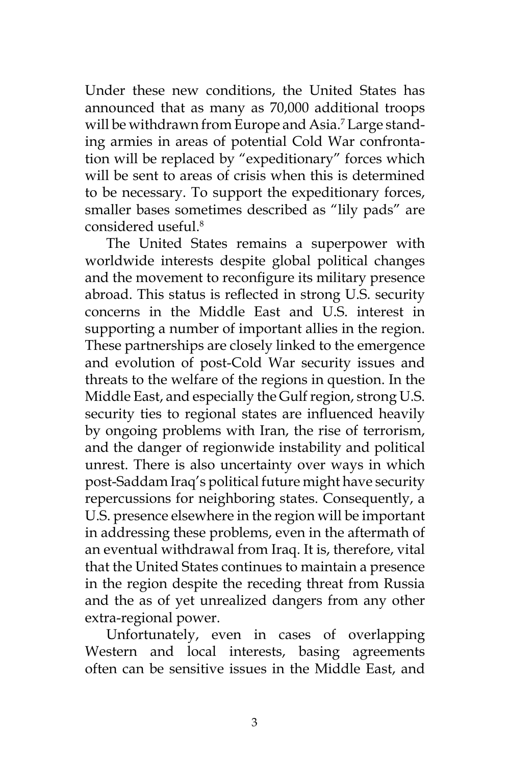Under these new conditions, the United States has announced that as many as 70,000 additional troops will be withdrawn from Europe and Asia.7 Large standing armies in areas of potential Cold War confrontation will be replaced by "expeditionary" forces which will be sent to areas of crisis when this is determined to be necessary. To support the expeditionary forces, smaller bases sometimes described as "lily pads" are considered useful<sup>8</sup>

The United States remains a superpower with worldwide interests despite global political changes and the movement to reconfigure its military presence abroad. This status is reflected in strong U.S. security concerns in the Middle East and U.S. interest in supporting a number of important allies in the region. These partnerships are closely linked to the emergence and evolution of post-Cold War security issues and threats to the welfare of the regions in question. In the Middle East, and especially the Gulf region, strong U.S. security ties to regional states are influenced heavily by ongoing problems with Iran, the rise of terrorism, and the danger of regionwide instability and political unrest. There is also uncertainty over ways in which post-Saddam Iraq's political future might have security repercussions for neighboring states. Consequently, a U.S. presence elsewhere in the region will be important in addressing these problems, even in the aftermath of an eventual withdrawal from Iraq. It is, therefore, vital that the United States continues to maintain a presence in the region despite the receding threat from Russia and the as of yet unrealized dangers from any other extra-regional power.

Unfortunately, even in cases of overlapping Western and local interests, basing agreements often can be sensitive issues in the Middle East, and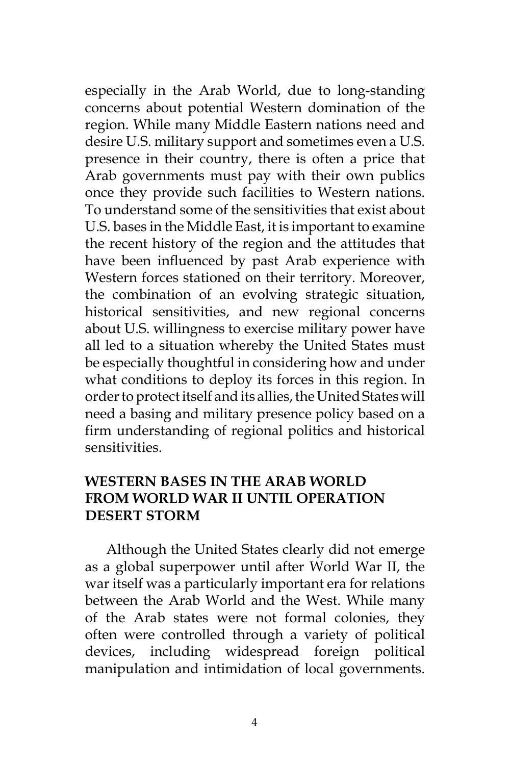especially in the Arab World, due to long-standing concerns about potential Western domination of the region. While many Middle Eastern nations need and desire U.S. military support and sometimes even a U.S. presence in their country, there is often a price that Arab governments must pay with their own publics once they provide such facilities to Western nations. To understand some of the sensitivities that exist about U.S. bases in the Middle East, it is important to examine the recent history of the region and the attitudes that have been influenced by past Arab experience with Western forces stationed on their territory. Moreover, the combination of an evolving strategic situation, historical sensitivities, and new regional concerns about U.S. willingness to exercise military power have all led to a situation whereby the United States must be especially thoughtful in considering how and under what conditions to deploy its forces in this region. In order to protect itself and its allies, the United States will need a basing and military presence policy based on a firm understanding of regional politics and historical sensitivities.

# **WESTERN BASES IN THE ARAB WORLD FROM WORLD WAR II UNTIL OPERATION DESERT STORM**

Although the United States clearly did not emerge as a global superpower until after World War II, the war itself was a particularly important era for relations between the Arab World and the West. While many of the Arab states were not formal colonies, they often were controlled through a variety of political devices, including widespread foreign political manipulation and intimidation of local governments.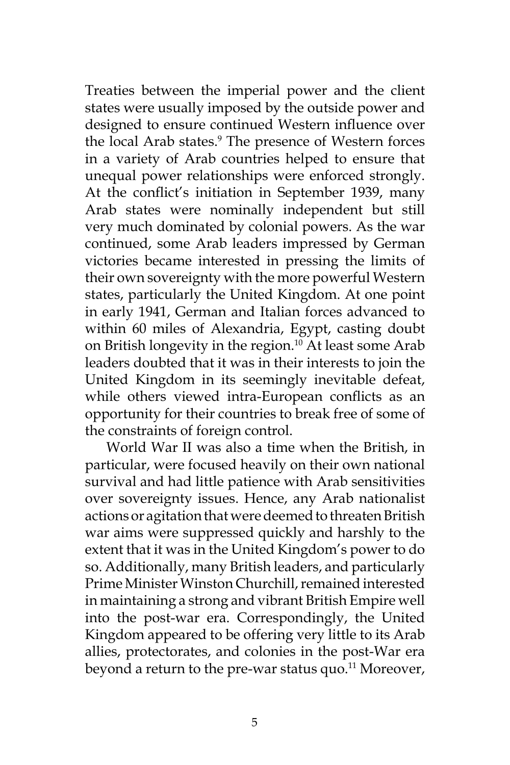Treaties between the imperial power and the client states were usually imposed by the outside power and designed to ensure continued Western influence over the local Arab states.<sup>9</sup> The presence of Western forces in a variety of Arab countries helped to ensure that unequal power relationships were enforced strongly. At the conflict's initiation in September 1939, many Arab states were nominally independent but still very much dominated by colonial powers. As the war continued, some Arab leaders impressed by German victories became interested in pressing the limits of their own sovereignty with the more powerful Western states, particularly the United Kingdom. At one point in early 1941, German and Italian forces advanced to within 60 miles of Alexandria, Egypt, casting doubt on British longevity in the region.10 At least some Arab leaders doubted that it was in their interests to join the United Kingdom in its seemingly inevitable defeat, while others viewed intra-European conflicts as an opportunity for their countries to break free of some of the constraints of foreign control.

World War II was also a time when the British, in particular, were focused heavily on their own national survival and had little patience with Arab sensitivities over sovereignty issues. Hence, any Arab nationalist actions or agitation that were deemed to threaten British war aims were suppressed quickly and harshly to the extent that it was in the United Kingdom's power to do so. Additionally, many British leaders, and particularly Prime Minister Winston Churchill, remained interested in maintaining a strong and vibrant British Empire well into the post-war era. Correspondingly, the United Kingdom appeared to be offering very little to its Arab allies, protectorates, and colonies in the post-War era beyond a return to the pre-war status quo.<sup>11</sup> Moreover,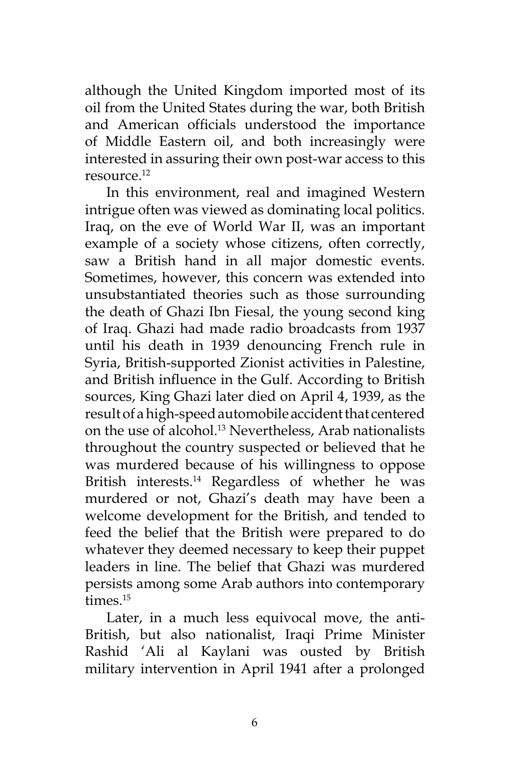although the United Kingdom imported most of its oil from the United States during the war, both British and American officials understood the importance of Middle Eastern oil, and both increasingly were interested in assuring their own post-war access to this resource.12

In this environment, real and imagined Western intrigue often was viewed as dominating local politics. Iraq, on the eve of World War II, was an important example of a society whose citizens, often correctly, saw a British hand in all major domestic events. Sometimes, however, this concern was extended into unsubstantiated theories such as those surrounding the death of Ghazi Ibn Fiesal, the young second king of Iraq. Ghazi had made radio broadcasts from 1937 until his death in 1939 denouncing French rule in Syria, British-supported Zionist activities in Palestine, and British influence in the Gulf. According to British sources, King Ghazi later died on April 4, 1939, as the result of a high-speed automobile accident that centered on the use of alcohol.<sup>13</sup> Nevertheless, Arab nationalists throughout the country suspected or believed that he was murdered because of his willingness to oppose British interests.<sup>14</sup> Regardless of whether he was murdered or not, Ghazi's death may have been a welcome development for the British, and tended to feed the belief that the British were prepared to do whatever they deemed necessary to keep their puppet leaders in line. The belief that Ghazi was murdered persists among some Arab authors into contemporary times.<sup>15</sup>

Later, in a much less equivocal move, the anti-British, but also nationalist, Iraqi Prime Minister Rashid 'Ali al Kaylani was ousted by British military intervention in April 1941 after a prolonged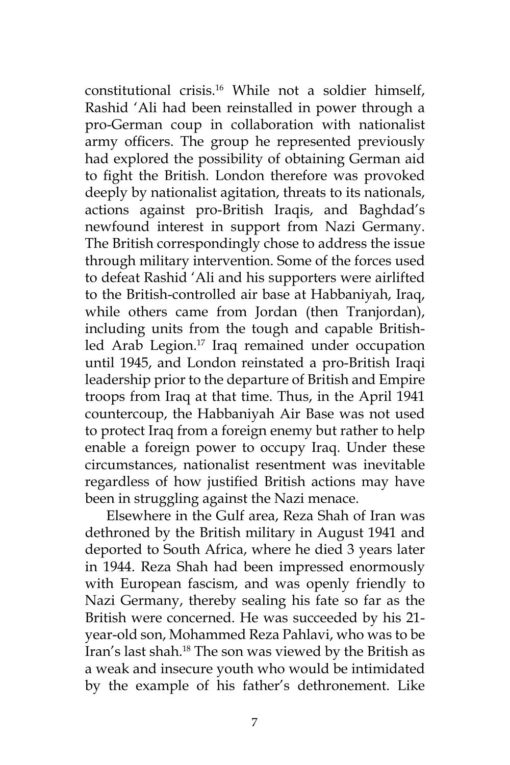constitutional crisis.16 While not a soldier himself, Rashid 'Ali had been reinstalled in power through a pro-German coup in collaboration with nationalist army officers. The group he represented previously had explored the possibility of obtaining German aid to fight the British. London therefore was provoked deeply by nationalist agitation, threats to its nationals, actions against pro-British Iraqis, and Baghdad's newfound interest in support from Nazi Germany. The British correspondingly chose to address the issue through military intervention. Some of the forces used to defeat Rashid 'Ali and his supporters were airlifted to the British-controlled air base at Habbaniyah, Iraq, while others came from Jordan (then Tranjordan), including units from the tough and capable Britishled Arab Legion.<sup>17</sup> Iraq remained under occupation until 1945, and London reinstated a pro-British Iraqi leadership prior to the departure of British and Empire troops from Iraq at that time. Thus, in the April 1941 countercoup, the Habbaniyah Air Base was not used to protect Iraq from a foreign enemy but rather to help enable a foreign power to occupy Iraq. Under these circumstances, nationalist resentment was inevitable regardless of how justified British actions may have been in struggling against the Nazi menace.

Elsewhere in the Gulf area, Reza Shah of Iran was dethroned by the British military in August 1941 and deported to South Africa, where he died 3 years later in 1944. Reza Shah had been impressed enormously with European fascism, and was openly friendly to Nazi Germany, thereby sealing his fate so far as the British were concerned. He was succeeded by his 21 year-old son, Mohammed Reza Pahlavi, who was to be Iran's last shah.18 The son was viewed by the British as a weak and insecure youth who would be intimidated by the example of his father's dethronement. Like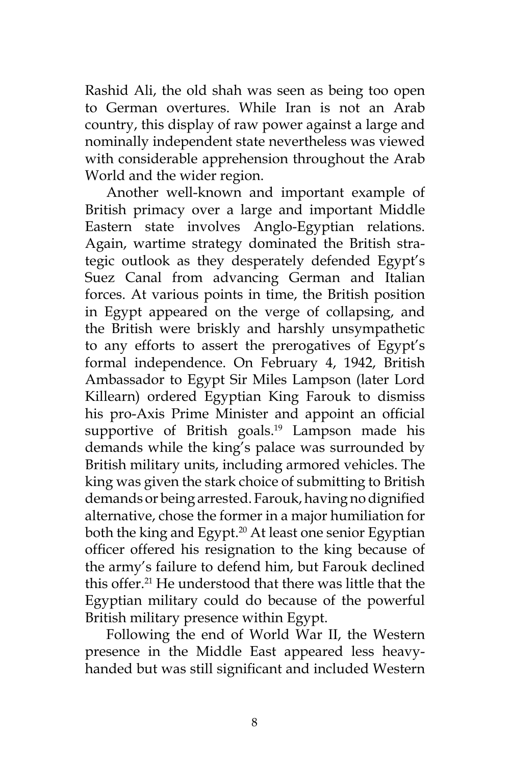Rashid Ali, the old shah was seen as being too open to German overtures. While Iran is not an Arab country, this display of raw power against a large and nominally independent state nevertheless was viewed with considerable apprehension throughout the Arab World and the wider region.

Another well-known and important example of British primacy over a large and important Middle Eastern state involves Anglo-Egyptian relations. Again, wartime strategy dominated the British strategic outlook as they desperately defended Egypt's Suez Canal from advancing German and Italian forces. At various points in time, the British position in Egypt appeared on the verge of collapsing, and the British were briskly and harshly unsympathetic to any efforts to assert the prerogatives of Egypt's formal independence. On February 4, 1942, British Ambassador to Egypt Sir Miles Lampson (later Lord Killearn) ordered Egyptian King Farouk to dismiss his pro-Axis Prime Minister and appoint an official supportive of British goals.<sup>19</sup> Lampson made his demands while the king's palace was surrounded by British military units, including armored vehicles. The king was given the stark choice of submitting to British demands or being arrested. Farouk, having no dignified alternative, chose the former in a major humiliation for both the king and Egypt.<sup>20</sup> At least one senior Egyptian officer offered his resignation to the king because of the army's failure to defend him, but Farouk declined this offer.<sup>21</sup> He understood that there was little that the Egyptian military could do because of the powerful British military presence within Egypt.

Following the end of World War II, the Western presence in the Middle East appeared less heavyhanded but was still significant and included Western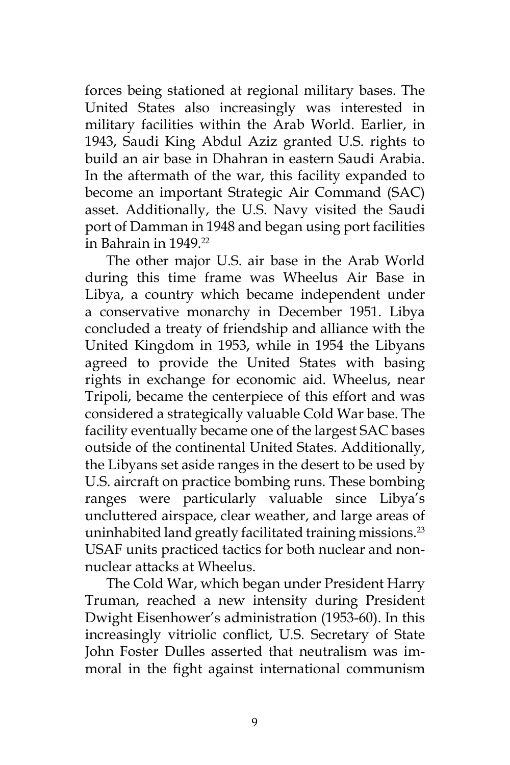forces being stationed at regional military bases. The United States also increasingly was interested in military facilities within the Arab World. Earlier, in 1943, Saudi King Abdul Aziz granted U.S. rights to build an air base in Dhahran in eastern Saudi Arabia. In the aftermath of the war, this facility expanded to become an important Strategic Air Command (SAC) asset. Additionally, the U.S. Navy visited the Saudi port of Damman in 1948 and began using port facilities in Bahrain in 1949.<sup>22</sup>

The other major U.S. air base in the Arab World during this time frame was Wheelus Air Base in Libya, a country which became independent under a conservative monarchy in December 1951. Libya concluded a treaty of friendship and alliance with the United Kingdom in 1953, while in 1954 the Libyans agreed to provide the United States with basing rights in exchange for economic aid. Wheelus, near Tripoli, became the centerpiece of this effort and was considered a strategically valuable Cold War base. The facility eventually became one of the largest SAC bases outside of the continental United States. Additionally, the Libyans set aside ranges in the desert to be used by U.S. aircraft on practice bombing runs. These bombing ranges were particularly valuable since Libya's uncluttered airspace, clear weather, and large areas of uninhabited land greatly facilitated training missions.<sup>23</sup> USAF units practiced tactics for both nuclear and nonnuclear attacks at Wheelus.

The Cold War, which began under President Harry Truman, reached a new intensity during President Dwight Eisenhower's administration (1953-60). In this increasingly vitriolic conflict, U.S. Secretary of State John Foster Dulles asserted that neutralism was immoral in the fight against international communism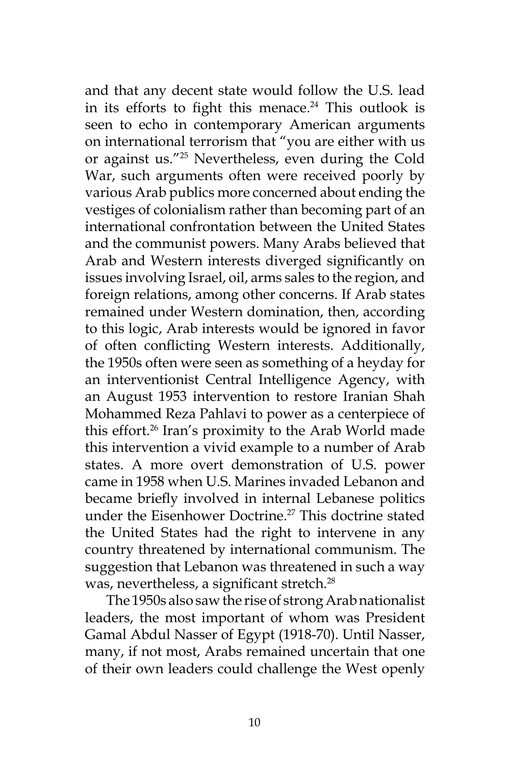and that any decent state would follow the U.S. lead in its efforts to fight this menace.<sup>24</sup> This outlook is seen to echo in contemporary American arguments on international terrorism that "you are either with us or against us."25 Nevertheless, even during the Cold War, such arguments often were received poorly by various Arab publics more concerned about ending the vestiges of colonialism rather than becoming part of an international confrontation between the United States and the communist powers. Many Arabs believed that Arab and Western interests diverged significantly on issues involving Israel, oil, arms sales to the region, and foreign relations, among other concerns. If Arab states remained under Western domination, then, according to this logic, Arab interests would be ignored in favor of often conflicting Western interests. Additionally, the 1950s often were seen as something of a heyday for an interventionist Central Intelligence Agency, with an August 1953 intervention to restore Iranian Shah Mohammed Reza Pahlavi to power as a centerpiece of this effort.26 Iran's proximity to the Arab World made this intervention a vivid example to a number of Arab states. A more overt demonstration of U.S. power came in 1958 when U.S. Marines invaded Lebanon and became briefly involved in internal Lebanese politics under the Eisenhower Doctrine.<sup>27</sup> This doctrine stated the United States had the right to intervene in any country threatened by international communism. The suggestion that Lebanon was threatened in such a way was, nevertheless, a significant stretch.<sup>28</sup>

The 1950s also saw the rise of strong Arab nationalist leaders, the most important of whom was President Gamal Abdul Nasser of Egypt (1918-70). Until Nasser, many, if not most, Arabs remained uncertain that one of their own leaders could challenge the West openly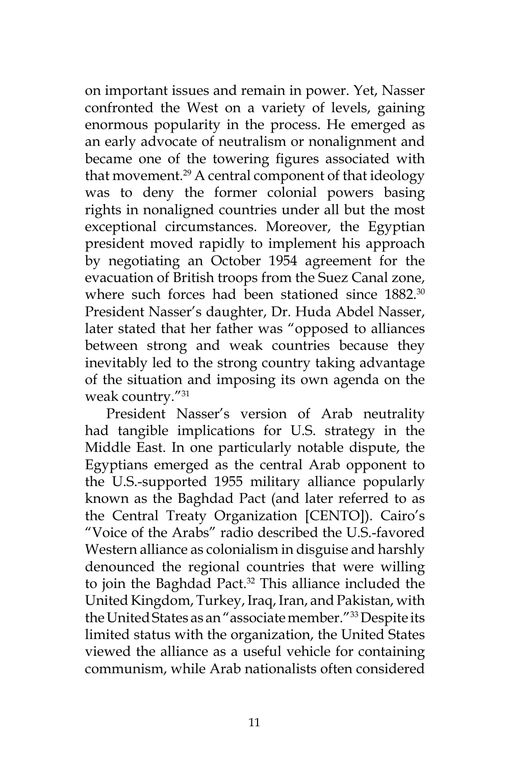on important issues and remain in power. Yet, Nasser confronted the West on a variety of levels, gaining enormous popularity in the process. He emerged as an early advocate of neutralism or nonalignment and became one of the towering figures associated with that movement.29 A central component of that ideology was to deny the former colonial powers basing rights in nonaligned countries under all but the most exceptional circumstances. Moreover, the Egyptian president moved rapidly to implement his approach by negotiating an October 1954 agreement for the evacuation of British troops from the Suez Canal zone, where such forces had been stationed since 1882.<sup>30</sup> President Nasser's daughter, Dr. Huda Abdel Nasser, later stated that her father was "opposed to alliances between strong and weak countries because they inevitably led to the strong country taking advantage of the situation and imposing its own agenda on the weak country."31

President Nasser's version of Arab neutrality had tangible implications for U.S. strategy in the Middle East. In one particularly notable dispute, the Egyptians emerged as the central Arab opponent to the U.S.-supported 1955 military alliance popularly known as the Baghdad Pact (and later referred to as the Central Treaty Organization [CENTO]). Cairo's "Voice of the Arabs" radio described the U.S.-favored Western alliance as colonialism in disguise and harshly denounced the regional countries that were willing to join the Baghdad Pact.<sup>32</sup> This alliance included the United Kingdom, Turkey, Iraq, Iran, and Pakistan, with the United States as an "associate member."33 Despite its limited status with the organization, the United States viewed the alliance as a useful vehicle for containing communism, while Arab nationalists often considered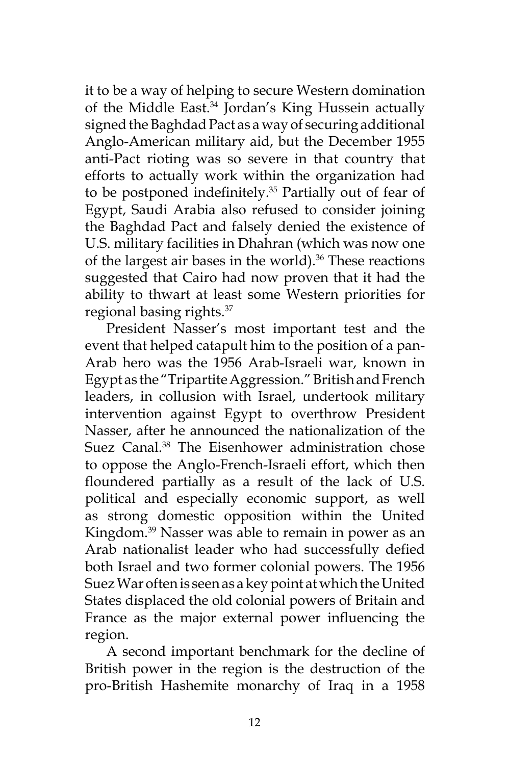it to be a way of helping to secure Western domination of the Middle East.<sup>34</sup> Jordan's King Hussein actually signed the Baghdad Pact as a way of securing additional Anglo-American military aid, but the December 1955 anti-Pact rioting was so severe in that country that efforts to actually work within the organization had to be postponed indefinitely.<sup>35</sup> Partially out of fear of Egypt, Saudi Arabia also refused to consider joining the Baghdad Pact and falsely denied the existence of U.S. military facilities in Dhahran (which was now one of the largest air bases in the world).<sup>36</sup> These reactions suggested that Cairo had now proven that it had the ability to thwart at least some Western priorities for regional basing rights.<sup>37</sup>

President Nasser's most important test and the event that helped catapult him to the position of a pan-Arab hero was the 1956 Arab-Israeli war, known in Egypt as the "Tripartite Aggression." British and French leaders, in collusion with Israel, undertook military intervention against Egypt to overthrow President Nasser, after he announced the nationalization of the Suez Canal.<sup>38</sup> The Eisenhower administration chose to oppose the Anglo-French-Israeli effort, which then floundered partially as a result of the lack of U.S. political and especially economic support, as well as strong domestic opposition within the United Kingdom.39 Nasser was able to remain in power as an Arab nationalist leader who had successfully defied both Israel and two former colonial powers. The 1956 Suez War often is seen as a key point at which the United States displaced the old colonial powers of Britain and France as the major external power influencing the region.

A second important benchmark for the decline of British power in the region is the destruction of the pro-British Hashemite monarchy of Iraq in a 1958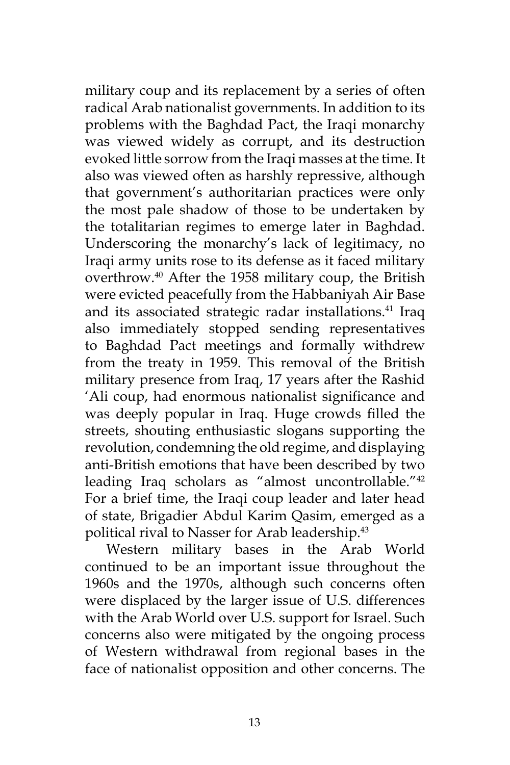military coup and its replacement by a series of often radical Arab nationalist governments. In addition to its problems with the Baghdad Pact, the Iraqi monarchy was viewed widely as corrupt, and its destruction evoked little sorrow from the Iraqi masses at the time. It also was viewed often as harshly repressive, although that government's authoritarian practices were only the most pale shadow of those to be undertaken by the totalitarian regimes to emerge later in Baghdad. Underscoring the monarchy's lack of legitimacy, no Iraqi army units rose to its defense as it faced military overthrow.40 After the 1958 military coup, the British were evicted peacefully from the Habbaniyah Air Base and its associated strategic radar installations.<sup>41</sup> Iraq also immediately stopped sending representatives to Baghdad Pact meetings and formally withdrew from the treaty in 1959. This removal of the British military presence from Iraq, 17 years after the Rashid 'Ali coup, had enormous nationalist significance and was deeply popular in Iraq. Huge crowds filled the streets, shouting enthusiastic slogans supporting the revolution, condemning the old regime, and displaying anti-British emotions that have been described by two leading Iraq scholars as "almost uncontrollable."<sup>42</sup> For a brief time, the Iraqi coup leader and later head of state, Brigadier Abdul Karim Qasim, emerged as a political rival to Nasser for Arab leadership.<sup>43</sup>

Western military bases in the Arab World continued to be an important issue throughout the 1960s and the 1970s, although such concerns often were displaced by the larger issue of U.S. differences with the Arab World over U.S. support for Israel. Such concerns also were mitigated by the ongoing process of Western withdrawal from regional bases in the face of nationalist opposition and other concerns. The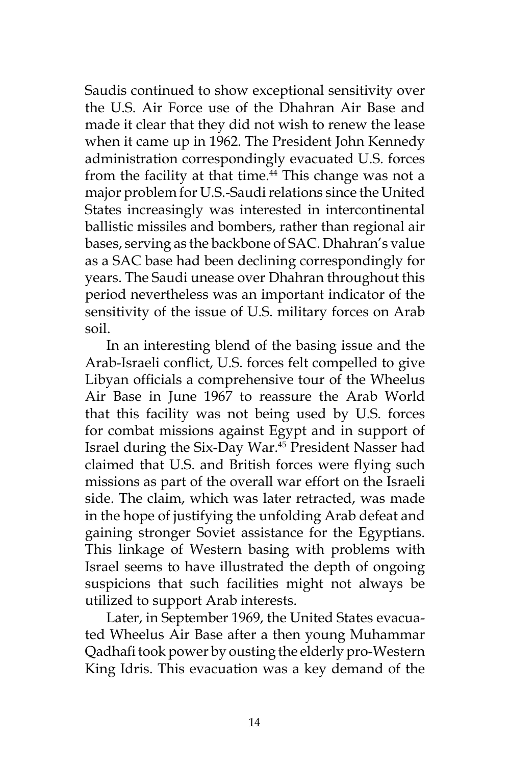Saudis continued to show exceptional sensitivity over the U.S. Air Force use of the Dhahran Air Base and made it clear that they did not wish to renew the lease when it came up in 1962. The President John Kennedy administration correspondingly evacuated U.S. forces from the facility at that time.<sup>44</sup> This change was not a major problem for U.S.-Saudi relations since the United States increasingly was interested in intercontinental ballistic missiles and bombers, rather than regional air bases, serving as the backbone of SAC. Dhahran's value as a SAC base had been declining correspondingly for years. The Saudi unease over Dhahran throughout this period nevertheless was an important indicator of the sensitivity of the issue of U.S. military forces on Arab soil.

In an interesting blend of the basing issue and the Arab-Israeli conflict, U.S. forces felt compelled to give Libyan officials a comprehensive tour of the Wheelus Air Base in June 1967 to reassure the Arab World that this facility was not being used by U.S. forces for combat missions against Egypt and in support of Israel during the Six-Day War.45 President Nasser had claimed that U.S. and British forces were flying such missions as part of the overall war effort on the Israeli side. The claim, which was later retracted, was made in the hope of justifying the unfolding Arab defeat and gaining stronger Soviet assistance for the Egyptians. This linkage of Western basing with problems with Israel seems to have illustrated the depth of ongoing suspicions that such facilities might not always be utilized to support Arab interests.

Later, in September 1969, the United States evacuated Wheelus Air Base after a then young Muhammar Qadhafi took power by ousting the elderly pro-Western King Idris. This evacuation was a key demand of the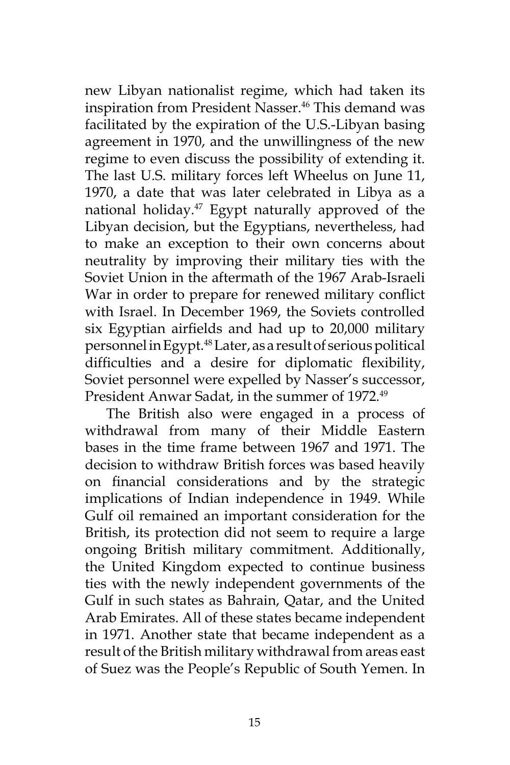new Libyan nationalist regime, which had taken its inspiration from President Nasser.<sup>46</sup> This demand was facilitated by the expiration of the U.S.-Libyan basing agreement in 1970, and the unwillingness of the new regime to even discuss the possibility of extending it. The last U.S. military forces left Wheelus on June 11, 1970, a date that was later celebrated in Libya as a national holiday.<sup>47</sup> Egypt naturally approved of the Libyan decision, but the Egyptians, nevertheless, had to make an exception to their own concerns about neutrality by improving their military ties with the Soviet Union in the aftermath of the 1967 Arab-Israeli War in order to prepare for renewed military conflict with Israel. In December 1969, the Soviets controlled six Egyptian airfields and had up to 20,000 military personnel in Egypt.48 Later, as a result of serious political difficulties and a desire for diplomatic flexibility, Soviet personnel were expelled by Nasser's successor, President Anwar Sadat, in the summer of 1972.<sup>49</sup>

The British also were engaged in a process of withdrawal from many of their Middle Eastern bases in the time frame between 1967 and 1971. The decision to withdraw British forces was based heavily on financial considerations and by the strategic implications of Indian independence in 1949. While Gulf oil remained an important consideration for the British, its protection did not seem to require a large ongoing British military commitment. Additionally, the United Kingdom expected to continue business ties with the newly independent governments of the Gulf in such states as Bahrain, Qatar, and the United Arab Emirates. All of these states became independent in 1971. Another state that became independent as a result of the British military withdrawal from areas east of Suez was the People's Republic of South Yemen. In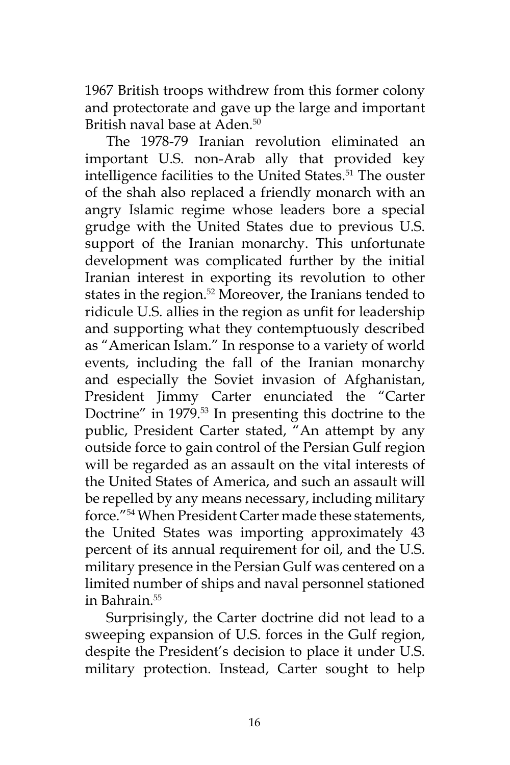1967 British troops withdrew from this former colony and protectorate and gave up the large and important British naval base at Aden.<sup>50</sup>

The 1978-79 Iranian revolution eliminated an important U.S. non-Arab ally that provided key intelligence facilities to the United States.<sup>51</sup> The ouster of the shah also replaced a friendly monarch with an angry Islamic regime whose leaders bore a special grudge with the United States due to previous U.S. support of the Iranian monarchy. This unfortunate development was complicated further by the initial Iranian interest in exporting its revolution to other states in the region.<sup>52</sup> Moreover, the Iranians tended to ridicule U.S. allies in the region as unfit for leadership and supporting what they contemptuously described as "American Islam." In response to a variety of world events, including the fall of the Iranian monarchy and especially the Soviet invasion of Afghanistan, President Jimmy Carter enunciated the "Carter Doctrine" in 1979.<sup>53</sup> In presenting this doctrine to the public, President Carter stated, "An attempt by any outside force to gain control of the Persian Gulf region will be regarded as an assault on the vital interests of the United States of America, and such an assault will be repelled by any means necessary, including military force."54 When President Carter made these statements, the United States was importing approximately 43 percent of its annual requirement for oil, and the U.S. military presence in the Persian Gulf was centered on a limited number of ships and naval personnel stationed in Bahrain.<sup>55</sup>

Surprisingly, the Carter doctrine did not lead to a sweeping expansion of U.S. forces in the Gulf region, despite the President's decision to place it under U.S. military protection. Instead, Carter sought to help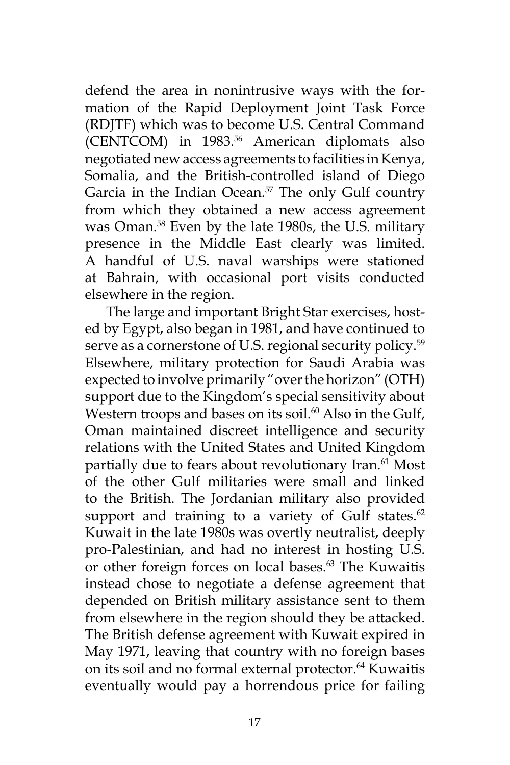defend the area in nonintrusive ways with the formation of the Rapid Deployment Joint Task Force (RDJTF) which was to become U.S. Central Command (CENTCOM) in 1983.<sup>56</sup> American diplomats also negotiated new access agreements to facilities in Kenya, Somalia, and the British-controlled island of Diego Garcia in the Indian Ocean.<sup>57</sup> The only Gulf country from which they obtained a new access agreement was Oman.58 Even by the late 1980s, the U.S. military presence in the Middle East clearly was limited. A handful of U.S. naval warships were stationed at Bahrain, with occasional port visits conducted elsewhere in the region.

The large and important Bright Star exercises, hosted by Egypt, also began in 1981, and have continued to serve as a cornerstone of U.S. regional security policy.<sup>59</sup> Elsewhere, military protection for Saudi Arabia was expected to involve primarily "over the horizon" (OTH) support due to the Kingdom's special sensitivity about Western troops and bases on its soil.<sup>60</sup> Also in the Gulf, Oman maintained discreet intelligence and security relations with the United States and United Kingdom partially due to fears about revolutionary Iran.<sup>61</sup> Most of the other Gulf militaries were small and linked to the British. The Jordanian military also provided support and training to a variety of Gulf states. $62$ Kuwait in the late 1980s was overtly neutralist, deeply pro-Palestinian, and had no interest in hosting U.S. or other foreign forces on local bases.<sup>63</sup> The Kuwaitis instead chose to negotiate a defense agreement that depended on British military assistance sent to them from elsewhere in the region should they be attacked. The British defense agreement with Kuwait expired in May 1971, leaving that country with no foreign bases on its soil and no formal external protector.<sup>64</sup> Kuwaitis eventually would pay a horrendous price for failing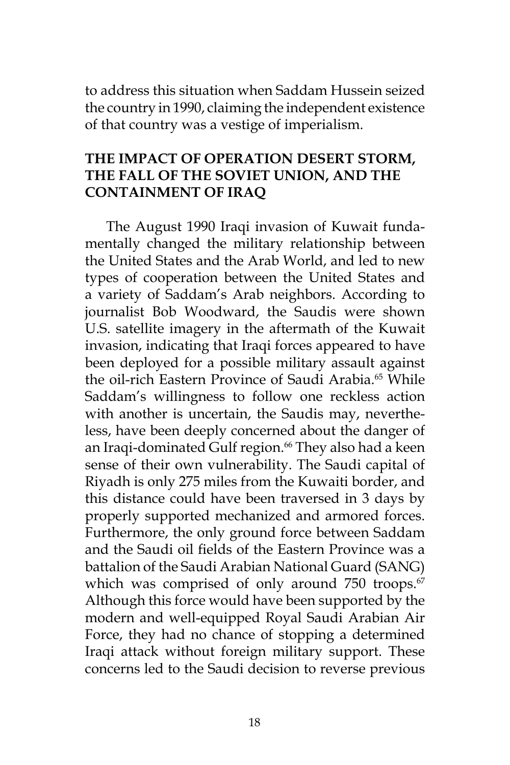to address this situation when Saddam Hussein seized the country in 1990, claiming the independent existence of that country was a vestige of imperialism.

# **THE IMPACT OF OPERATION DESERT STORM, THE FALL OF THE SOVIET UNION, AND THE CONTAINMENT OF IRAQ**

The August 1990 Iraqi invasion of Kuwait fundamentally changed the military relationship between the United States and the Arab World, and led to new types of cooperation between the United States and a variety of Saddam's Arab neighbors. According to journalist Bob Woodward, the Saudis were shown U.S. satellite imagery in the aftermath of the Kuwait invasion, indicating that Iraqi forces appeared to have been deployed for a possible military assault against the oil-rich Eastern Province of Saudi Arabia.<sup>65</sup> While Saddam's willingness to follow one reckless action with another is uncertain, the Saudis may, nevertheless, have been deeply concerned about the danger of an Iraqi-dominated Gulf region.<sup>66</sup> They also had a keen sense of their own vulnerability. The Saudi capital of Riyadh is only 275 miles from the Kuwaiti border, and this distance could have been traversed in 3 days by properly supported mechanized and armored forces. Furthermore, the only ground force between Saddam and the Saudi oil fields of the Eastern Province was a battalion of the Saudi Arabian National Guard (SANG) which was comprised of only around  $750$  troops.<sup>67</sup> Although this force would have been supported by the modern and well-equipped Royal Saudi Arabian Air Force, they had no chance of stopping a determined Iraqi attack without foreign military support. These concerns led to the Saudi decision to reverse previous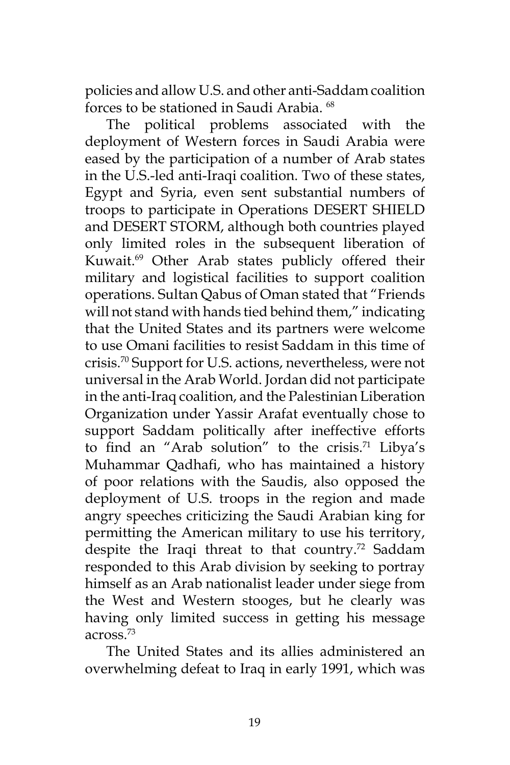policies and allow U.S. and other anti-Saddam coalition forces to be stationed in Saudi Arabia. <sup>68</sup>

The political problems associated with the deployment of Western forces in Saudi Arabia were eased by the participation of a number of Arab states in the U.S.-led anti-Iraqi coalition. Two of these states, Egypt and Syria, even sent substantial numbers of troops to participate in Operations DESERT SHIELD and DESERT STORM, although both countries played only limited roles in the subsequent liberation of Kuwait.<sup>69</sup> Other Arab states publicly offered their military and logistical facilities to support coalition operations. Sultan Qabus of Oman stated that "Friends will not stand with hands tied behind them," indicating that the United States and its partners were welcome to use Omani facilities to resist Saddam in this time of crisis.70 Support for U.S. actions, nevertheless, were not universal in the Arab World. Jordan did not participate in the anti-Iraq coalition, and the Palestinian Liberation Organization under Yassir Arafat eventually chose to support Saddam politically after ineffective efforts to find an "Arab solution" to the crisis.<sup>71</sup> Libya's Muhammar Qadhafi, who has maintained a history of poor relations with the Saudis, also opposed the deployment of U.S. troops in the region and made angry speeches criticizing the Saudi Arabian king for permitting the American military to use his territory, despite the Iraqi threat to that country.<sup>72</sup> Saddam responded to this Arab division by seeking to portray himself as an Arab nationalist leader under siege from the West and Western stooges, but he clearly was having only limited success in getting his message across.73

The United States and its allies administered an overwhelming defeat to Iraq in early 1991, which was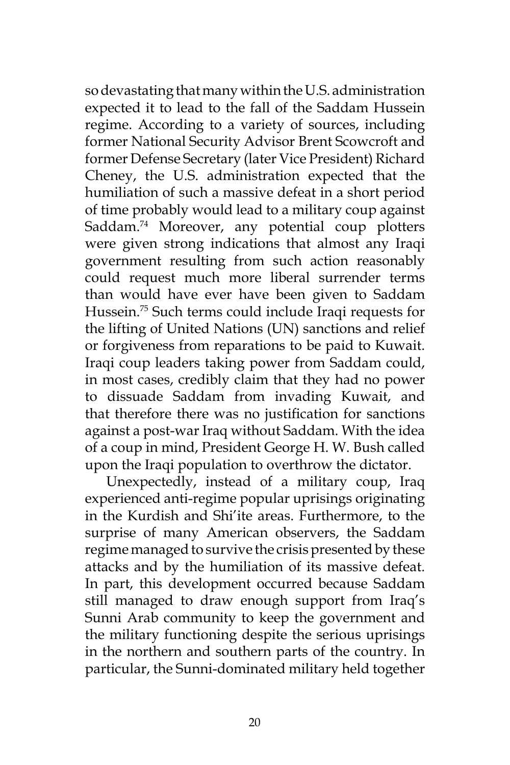so devastating that many within the U.S. administration expected it to lead to the fall of the Saddam Hussein regime. According to a variety of sources, including former National Security Advisor Brent Scowcroft and former Defense Secretary (later Vice President) Richard Cheney, the U.S. administration expected that the humiliation of such a massive defeat in a short period of time probably would lead to a military coup against Saddam.74 Moreover, any potential coup plotters were given strong indications that almost any Iraqi government resulting from such action reasonably could request much more liberal surrender terms than would have ever have been given to Saddam Hussein.75 Such terms could include Iraqi requests for the lifting of United Nations (UN) sanctions and relief or forgiveness from reparations to be paid to Kuwait. Iraqi coup leaders taking power from Saddam could, in most cases, credibly claim that they had no power to dissuade Saddam from invading Kuwait, and that therefore there was no justification for sanctions against a post-war Iraq without Saddam. With the idea of a coup in mind, President George H. W. Bush called upon the Iraqi population to overthrow the dictator.

Unexpectedly, instead of a military coup, Iraq experienced anti-regime popular uprisings originating in the Kurdish and Shi'ite areas. Furthermore, to the surprise of many American observers, the Saddam regime managed to survive the crisis presented by these attacks and by the humiliation of its massive defeat. In part, this development occurred because Saddam still managed to draw enough support from Iraq's Sunni Arab community to keep the government and the military functioning despite the serious uprisings in the northern and southern parts of the country. In particular, the Sunni-dominated military held together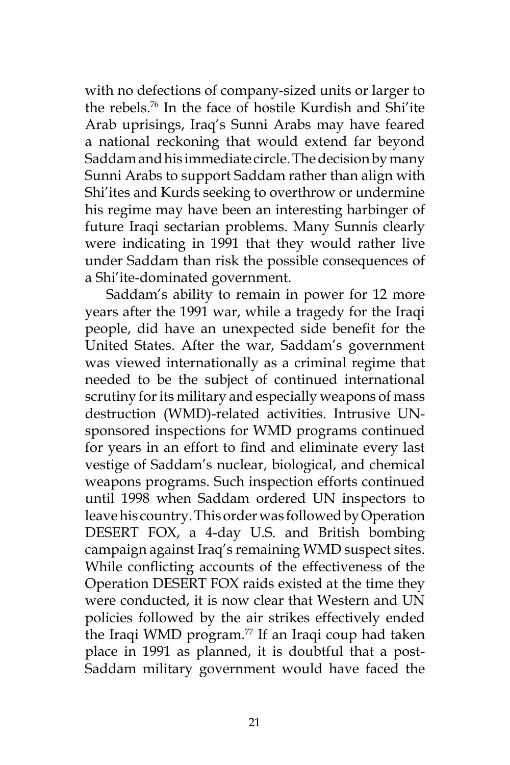with no defections of company-sized units or larger to the rebels.76 In the face of hostile Kurdish and Shi'ite Arab uprisings, Iraq's Sunni Arabs may have feared a national reckoning that would extend far beyond Saddam and his immediate circle. The decision by many Sunni Arabs to support Saddam rather than align with Shi'ites and Kurds seeking to overthrow or undermine his regime may have been an interesting harbinger of future Iraqi sectarian problems. Many Sunnis clearly were indicating in 1991 that they would rather live under Saddam than risk the possible consequences of a Shi'ite-dominated government.

Saddam's ability to remain in power for 12 more years after the 1991 war, while a tragedy for the Iraqi people, did have an unexpected side benefit for the United States. After the war, Saddam's government was viewed internationally as a criminal regime that needed to be the subject of continued international scrutiny for its military and especially weapons of mass destruction (WMD)-related activities. Intrusive UNsponsored inspections for WMD programs continued for years in an effort to find and eliminate every last vestige of Saddam's nuclear, biological, and chemical weapons programs. Such inspection efforts continued until 1998 when Saddam ordered UN inspectors to leave his country. This order was followed by Operation DESERT FOX, a 4-day U.S. and British bombing campaign against Iraq's remaining WMD suspect sites. While conflicting accounts of the effectiveness of the Operation DESERT FOX raids existed at the time they were conducted, it is now clear that Western and UN policies followed by the air strikes effectively ended the Iraqi WMD program. $77$  If an Iraqi coup had taken place in 1991 as planned, it is doubtful that a post-Saddam military government would have faced the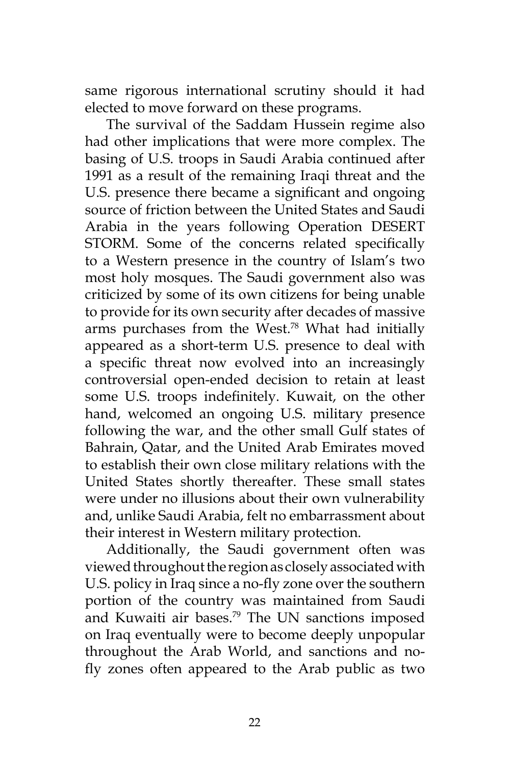same rigorous international scrutiny should it had elected to move forward on these programs.

The survival of the Saddam Hussein regime also had other implications that were more complex. The basing of U.S. troops in Saudi Arabia continued after 1991 as a result of the remaining Iraqi threat and the U.S. presence there became a significant and ongoing source of friction between the United States and Saudi Arabia in the years following Operation DESERT STORM. Some of the concerns related specifically to a Western presence in the country of Islam's two most holy mosques. The Saudi government also was criticized by some of its own citizens for being unable to provide for its own security after decades of massive arms purchases from the West.78 What had initially appeared as a short-term U.S. presence to deal with a specific threat now evolved into an increasingly controversial open-ended decision to retain at least some U.S. troops indefinitely. Kuwait, on the other hand, welcomed an ongoing U.S. military presence following the war, and the other small Gulf states of Bahrain, Qatar, and the United Arab Emirates moved to establish their own close military relations with the United States shortly thereafter. These small states were under no illusions about their own vulnerability and, unlike Saudi Arabia, felt no embarrassment about their interest in Western military protection.

Additionally, the Saudi government often was viewed throughout the region as closely associated with U.S. policy in Iraq since a no-fly zone over the southern portion of the country was maintained from Saudi and Kuwaiti air bases.79 The UN sanctions imposed on Iraq eventually were to become deeply unpopular throughout the Arab World, and sanctions and nofly zones often appeared to the Arab public as two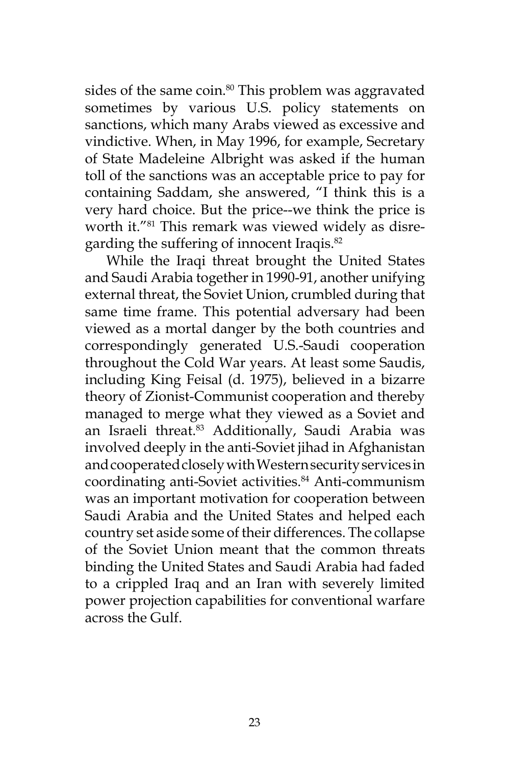sides of the same coin.<sup>80</sup> This problem was aggravated sometimes by various U.S. policy statements on sanctions, which many Arabs viewed as excessive and vindictive. When, in May 1996, for example, Secretary of State Madeleine Albright was asked if the human toll of the sanctions was an acceptable price to pay for containing Saddam, she answered, "I think this is a very hard choice. But the price--we think the price is worth it."81 This remark was viewed widely as disregarding the suffering of innocent Iraqis.<sup>82</sup>

While the Iraqi threat brought the United States and Saudi Arabia together in 1990-91, another unifying external threat, the Soviet Union, crumbled during that same time frame. This potential adversary had been viewed as a mortal danger by the both countries and correspondingly generated U.S.-Saudi cooperation throughout the Cold War years. At least some Saudis, including King Feisal (d. 1975), believed in a bizarre theory of Zionist-Communist cooperation and thereby managed to merge what they viewed as a Soviet and an Israeli threat.<sup>83</sup> Additionally, Saudi Arabia was involved deeply in the anti-Soviet jihad in Afghanistan and cooperated closely with Western security services in coordinating anti-Soviet activities.<sup>84</sup> Anti-communism was an important motivation for cooperation between Saudi Arabia and the United States and helped each country set aside some of their differences. The collapse of the Soviet Union meant that the common threats binding the United States and Saudi Arabia had faded to a crippled Iraq and an Iran with severely limited power projection capabilities for conventional warfare across the Gulf.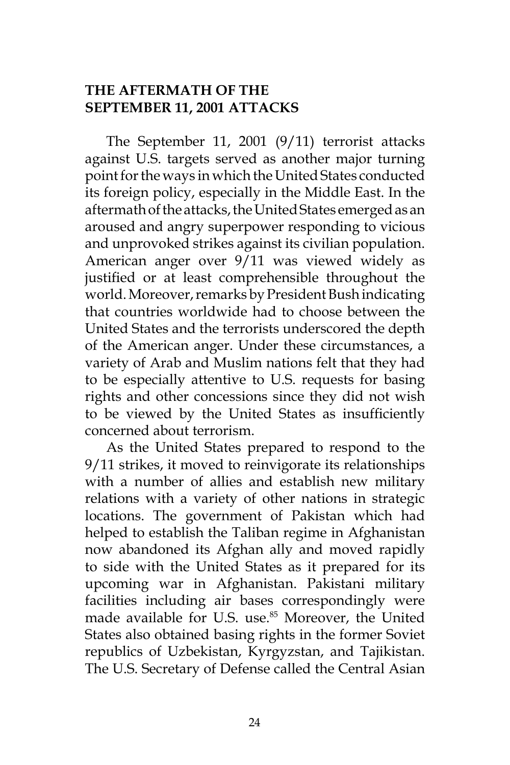# **THE AFTERMATH OF THE SEPTEMBER 11, 2001 ATTACKS**

The September 11, 2001 (9/11) terrorist attacks against U.S. targets served as another major turning point for the ways in which the United States conducted its foreign policy, especially in the Middle East. In the aftermath of the attacks, the United States emerged as an aroused and angry superpower responding to vicious and unprovoked strikes against its civilian population. American anger over 9/11 was viewed widely as justified or at least comprehensible throughout the world. Moreover, remarks by President Bush indicating that countries worldwide had to choose between the United States and the terrorists underscored the depth of the American anger. Under these circumstances, a variety of Arab and Muslim nations felt that they had to be especially attentive to U.S. requests for basing rights and other concessions since they did not wish to be viewed by the United States as insufficiently concerned about terrorism.

As the United States prepared to respond to the 9/11 strikes, it moved to reinvigorate its relationships with a number of allies and establish new military relations with a variety of other nations in strategic locations. The government of Pakistan which had helped to establish the Taliban regime in Afghanistan now abandoned its Afghan ally and moved rapidly to side with the United States as it prepared for its upcoming war in Afghanistan. Pakistani military facilities including air bases correspondingly were made available for U.S. use.<sup>85</sup> Moreover, the United States also obtained basing rights in the former Soviet republics of Uzbekistan, Kyrgyzstan, and Tajikistan. The U.S. Secretary of Defense called the Central Asian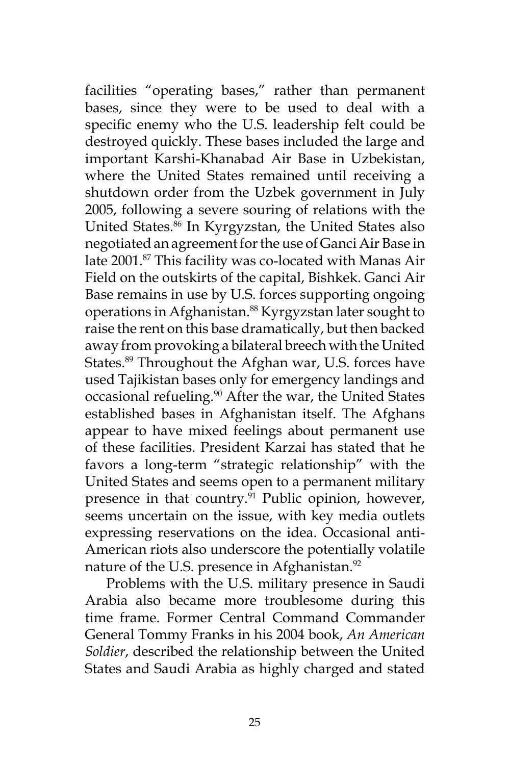facilities "operating bases," rather than permanent bases, since they were to be used to deal with a specific enemy who the U.S. leadership felt could be destroyed quickly. These bases included the large and important Karshi-Khanabad Air Base in Uzbekistan, where the United States remained until receiving a shutdown order from the Uzbek government in July 2005, following a severe souring of relations with the United States.86 In Kyrgyzstan, the United States also negotiated an agreement for the use of Ganci Air Base in late 2001.<sup>87</sup> This facility was co-located with Manas Air Field on the outskirts of the capital, Bishkek. Ganci Air Base remains in use by U.S. forces supporting ongoing operations in Afghanistan.<sup>88</sup> Kyrgyzstan later sought to raise the rent on this base dramatically, but then backed away from provoking a bilateral breech with the United States.<sup>89</sup> Throughout the Afghan war, U.S. forces have used Tajikistan bases only for emergency landings and occasional refueling.<sup>90</sup> After the war, the United States established bases in Afghanistan itself. The Afghans appear to have mixed feelings about permanent use of these facilities. President Karzai has stated that he favors a long-term "strategic relationship" with the United States and seems open to a permanent military presence in that country.<sup>91</sup> Public opinion, however, seems uncertain on the issue, with key media outlets expressing reservations on the idea. Occasional anti-American riots also underscore the potentially volatile nature of the U.S. presence in Afghanistan.<sup>92</sup>

Problems with the U.S. military presence in Saudi Arabia also became more troublesome during this time frame. Former Central Command Commander General Tommy Franks in his 2004 book, *An American Soldier*, described the relationship between the United States and Saudi Arabia as highly charged and stated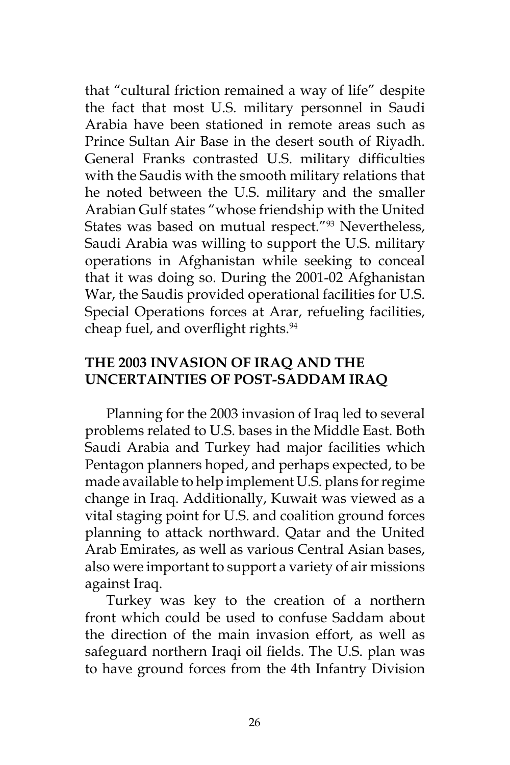that "cultural friction remained a way of life" despite the fact that most U.S. military personnel in Saudi Arabia have been stationed in remote areas such as Prince Sultan Air Base in the desert south of Riyadh. General Franks contrasted U.S. military difficulties with the Saudis with the smooth military relations that he noted between the U.S. military and the smaller Arabian Gulf states "whose friendship with the United States was based on mutual respect."93 Nevertheless, Saudi Arabia was willing to support the U.S. military operations in Afghanistan while seeking to conceal that it was doing so. During the 2001-02 Afghanistan War, the Saudis provided operational facilities for U.S. Special Operations forces at Arar, refueling facilities, cheap fuel, and overflight rights.<sup>94</sup>

# **THE 2003 INVASION OF IRAQ AND THE UNCERTAINTIES OF POST-SADDAM IRAQ**

Planning for the 2003 invasion of Iraq led to several problems related to U.S. bases in the Middle East. Both Saudi Arabia and Turkey had major facilities which Pentagon planners hoped, and perhaps expected, to be made available to help implement U.S. plans for regime change in Iraq. Additionally, Kuwait was viewed as a vital staging point for U.S. and coalition ground forces planning to attack northward. Qatar and the United Arab Emirates, as well as various Central Asian bases, also were important to support a variety of air missions against Iraq.

Turkey was key to the creation of a northern front which could be used to confuse Saddam about the direction of the main invasion effort, as well as safeguard northern Iraqi oil fields. The U.S. plan was to have ground forces from the 4th Infantry Division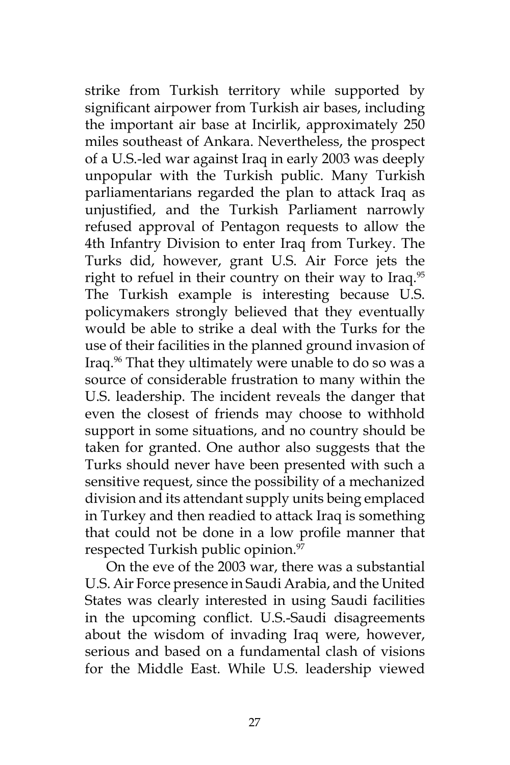strike from Turkish territory while supported by significant airpower from Turkish air bases, including the important air base at Incirlik, approximately 250 miles southeast of Ankara. Nevertheless, the prospect of a U.S.-led war against Iraq in early 2003 was deeply unpopular with the Turkish public. Many Turkish parliamentarians regarded the plan to attack Iraq as unjustified, and the Turkish Parliament narrowly refused approval of Pentagon requests to allow the 4th Infantry Division to enter Iraq from Turkey. The Turks did, however, grant U.S. Air Force jets the right to refuel in their country on their way to Iraq.<sup>95</sup> The Turkish example is interesting because U.S. policymakers strongly believed that they eventually would be able to strike a deal with the Turks for the use of their facilities in the planned ground invasion of Iraq.96 That they ultimately were unable to do so was a source of considerable frustration to many within the U.S. leadership. The incident reveals the danger that even the closest of friends may choose to withhold support in some situations, and no country should be taken for granted. One author also suggests that the Turks should never have been presented with such a sensitive request, since the possibility of a mechanized division and its attendant supply units being emplaced in Turkey and then readied to attack Iraq is something that could not be done in a low profile manner that respected Turkish public opinion.<sup>97</sup>

On the eve of the 2003 war, there was a substantial U.S. Air Force presence in Saudi Arabia, and the United States was clearly interested in using Saudi facilities in the upcoming conflict. U.S.-Saudi disagreements about the wisdom of invading Iraq were, however, serious and based on a fundamental clash of visions for the Middle East. While U.S. leadership viewed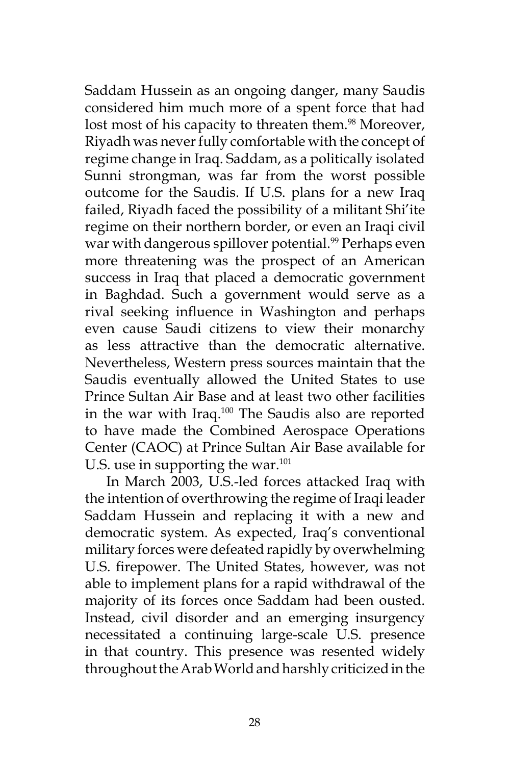Saddam Hussein as an ongoing danger, many Saudis considered him much more of a spent force that had lost most of his capacity to threaten them.<sup>98</sup> Moreover, Riyadh was never fully comfortable with the concept of regime change in Iraq. Saddam, as a politically isolated Sunni strongman, was far from the worst possible outcome for the Saudis. If U.S. plans for a new Iraq failed, Riyadh faced the possibility of a militant Shi'ite regime on their northern border, or even an Iraqi civil war with dangerous spillover potential.<sup>99</sup> Perhaps even more threatening was the prospect of an American success in Iraq that placed a democratic government in Baghdad. Such a government would serve as a rival seeking influence in Washington and perhaps even cause Saudi citizens to view their monarchy as less attractive than the democratic alternative. Nevertheless, Western press sources maintain that the Saudis eventually allowed the United States to use Prince Sultan Air Base and at least two other facilities in the war with Iraq.100 The Saudis also are reported to have made the Combined Aerospace Operations Center (CAOC) at Prince Sultan Air Base available for U.S. use in supporting the war. $101$ 

In March 2003, U.S.-led forces attacked Iraq with the intention of overthrowing the regime of Iraqi leader Saddam Hussein and replacing it with a new and democratic system. As expected, Iraq's conventional military forces were defeated rapidly by overwhelming U.S. firepower. The United States, however, was not able to implement plans for a rapid withdrawal of the majority of its forces once Saddam had been ousted. Instead, civil disorder and an emerging insurgency necessitated a continuing large-scale U.S. presence in that country. This presence was resented widely throughout the Arab World and harshly criticized in the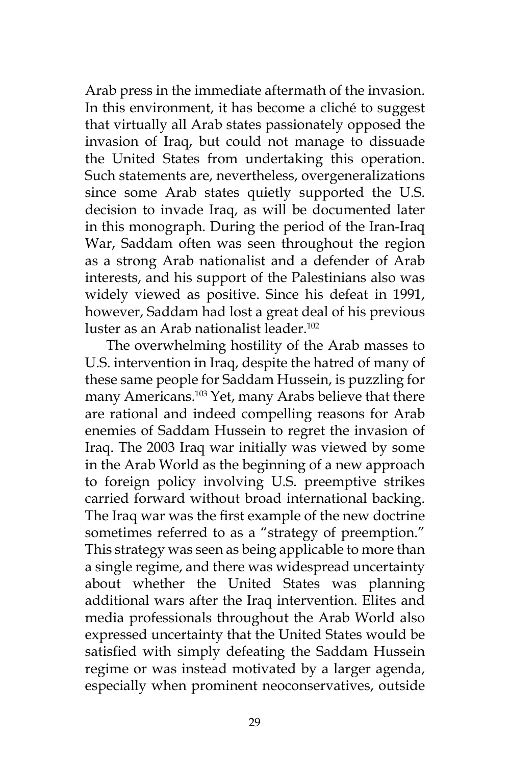Arab press in the immediate aftermath of the invasion. In this environment, it has become a cliché to suggest that virtually all Arab states passionately opposed the invasion of Iraq, but could not manage to dissuade the United States from undertaking this operation. Such statements are, nevertheless, overgeneralizations since some Arab states quietly supported the U.S. decision to invade Iraq, as will be documented later in this monograph. During the period of the Iran-Iraq War, Saddam often was seen throughout the region as a strong Arab nationalist and a defender of Arab interests, and his support of the Palestinians also was widely viewed as positive. Since his defeat in 1991, however, Saddam had lost a great deal of his previous luster as an Arab nationalist leader.<sup>102</sup>

The overwhelming hostility of the Arab masses to U.S. intervention in Iraq, despite the hatred of many of these same people for Saddam Hussein, is puzzling for many Americans.103 Yet, many Arabs believe that there are rational and indeed compelling reasons for Arab enemies of Saddam Hussein to regret the invasion of Iraq. The 2003 Iraq war initially was viewed by some in the Arab World as the beginning of a new approach to foreign policy involving U.S. preemptive strikes carried forward without broad international backing. The Iraq war was the first example of the new doctrine sometimes referred to as a "strategy of preemption." This strategy was seen as being applicable to more than a single regime, and there was widespread uncertainty about whether the United States was planning additional wars after the Iraq intervention. Elites and media professionals throughout the Arab World also expressed uncertainty that the United States would be satisfied with simply defeating the Saddam Hussein regime or was instead motivated by a larger agenda, especially when prominent neoconservatives, outside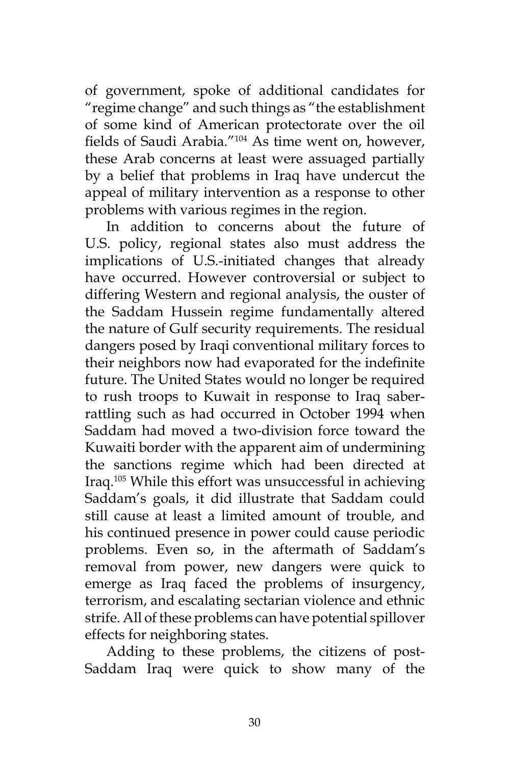of government, spoke of additional candidates for "regime change" and such things as "the establishment of some kind of American protectorate over the oil fields of Saudi Arabia."104 As time went on, however, these Arab concerns at least were assuaged partially by a belief that problems in Iraq have undercut the appeal of military intervention as a response to other problems with various regimes in the region.

In addition to concerns about the future of U.S. policy, regional states also must address the implications of U.S.-initiated changes that already have occurred. However controversial or subject to differing Western and regional analysis, the ouster of the Saddam Hussein regime fundamentally altered the nature of Gulf security requirements. The residual dangers posed by Iraqi conventional military forces to their neighbors now had evaporated for the indefinite future. The United States would no longer be required to rush troops to Kuwait in response to Iraq saberrattling such as had occurred in October 1994 when Saddam had moved a two-division force toward the Kuwaiti border with the apparent aim of undermining the sanctions regime which had been directed at Iraq.105 While this effort was unsuccessful in achieving Saddam's goals, it did illustrate that Saddam could still cause at least a limited amount of trouble, and his continued presence in power could cause periodic problems. Even so, in the aftermath of Saddam's removal from power, new dangers were quick to emerge as Iraq faced the problems of insurgency, terrorism, and escalating sectarian violence and ethnic strife. All of these problems can have potential spillover effects for neighboring states.

Adding to these problems, the citizens of post-Saddam Iraq were quick to show many of the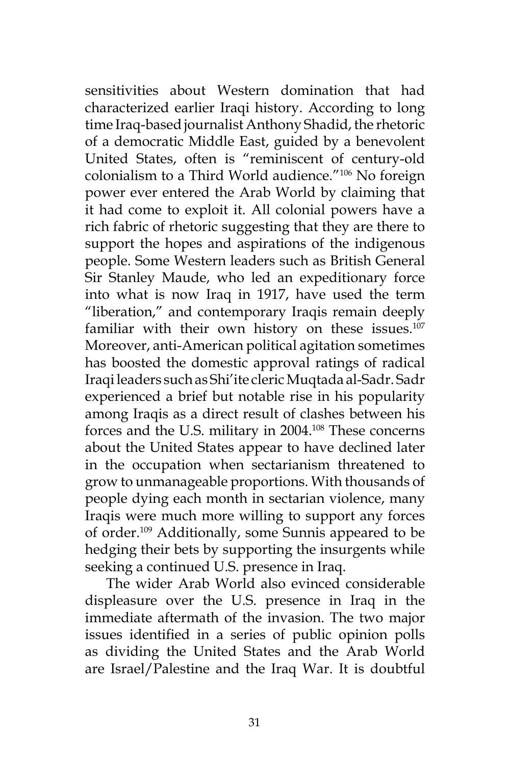sensitivities about Western domination that had characterized earlier Iraqi history. According to long time Iraq-based journalist Anthony Shadid, the rhetoric of a democratic Middle East, guided by a benevolent United States, often is "reminiscent of century-old colonialism to a Third World audience."106 No foreign power ever entered the Arab World by claiming that it had come to exploit it. All colonial powers have a rich fabric of rhetoric suggesting that they are there to support the hopes and aspirations of the indigenous people. Some Western leaders such as British General Sir Stanley Maude, who led an expeditionary force into what is now Iraq in 1917, have used the term "liberation," and contemporary Iraqis remain deeply familiar with their own history on these issues.<sup>107</sup> Moreover, anti-American political agitation sometimes has boosted the domestic approval ratings of radical Iraqi leaders such as Shi'ite cleric Muqtada al-Sadr. Sadr experienced a brief but notable rise in his popularity among Iraqis as a direct result of clashes between his forces and the U.S. military in 2004.108 These concerns about the United States appear to have declined later in the occupation when sectarianism threatened to grow to unmanageable proportions. With thousands of people dying each month in sectarian violence, many Iraqis were much more willing to support any forces of order.109 Additionally, some Sunnis appeared to be hedging their bets by supporting the insurgents while seeking a continued U.S. presence in Iraq.

The wider Arab World also evinced considerable displeasure over the U.S. presence in Iraq in the immediate aftermath of the invasion. The two major issues identified in a series of public opinion polls as dividing the United States and the Arab World are Israel/Palestine and the Iraq War. It is doubtful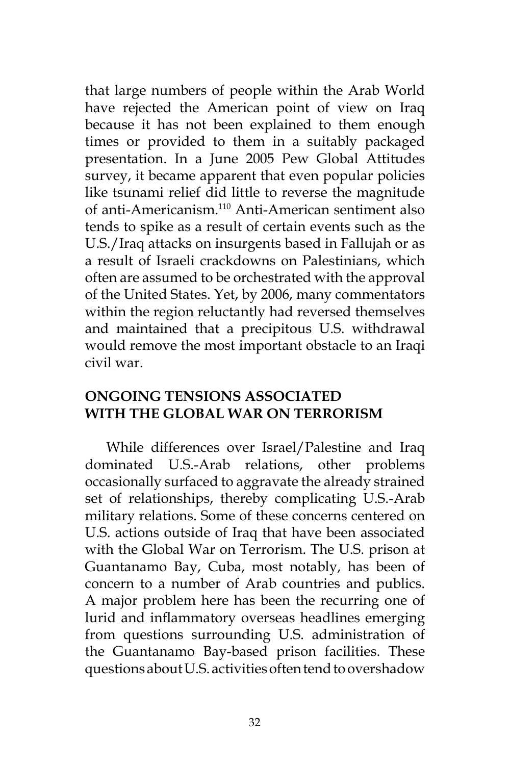that large numbers of people within the Arab World have rejected the American point of view on Iraq because it has not been explained to them enough times or provided to them in a suitably packaged presentation. In a June 2005 Pew Global Attitudes survey, it became apparent that even popular policies like tsunami relief did little to reverse the magnitude of anti-Americanism.110 Anti-American sentiment also tends to spike as a result of certain events such as the U.S./Iraq attacks on insurgents based in Fallujah or as a result of Israeli crackdowns on Palestinians, which often are assumed to be orchestrated with the approval of the United States. Yet, by 2006, many commentators within the region reluctantly had reversed themselves and maintained that a precipitous U.S. withdrawal would remove the most important obstacle to an Iraqi civil war.

### **ONGOING TENSIONS ASSOCIATED WITH THE GLOBAL WAR ON TERRORISM**

While differences over Israel/Palestine and Iraq dominated U.S.-Arab relations, other problems occasionally surfaced to aggravate the already strained set of relationships, thereby complicating U.S.-Arab military relations. Some of these concerns centered on U.S. actions outside of Iraq that have been associated with the Global War on Terrorism. The U.S. prison at Guantanamo Bay, Cuba, most notably, has been of concern to a number of Arab countries and publics. A major problem here has been the recurring one of lurid and inflammatory overseas headlines emerging from questions surrounding U.S. administration of the Guantanamo Bay-based prison facilities. These questions about U.S. activities often tend to overshadow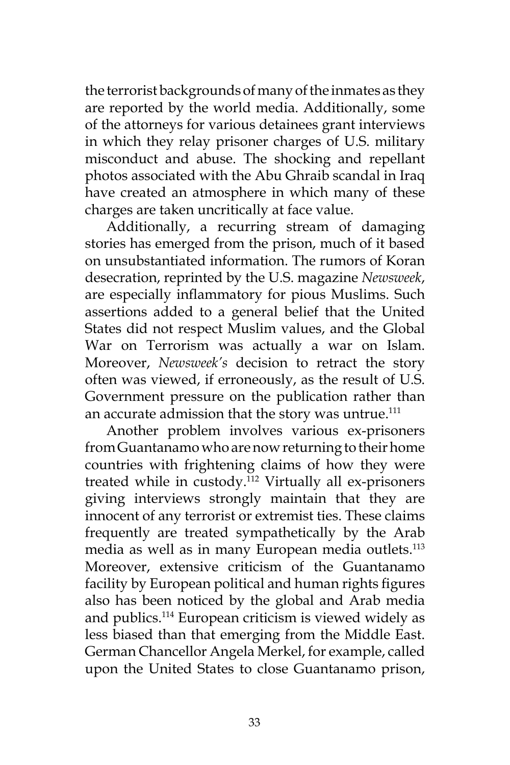the terrorist backgrounds of many of the inmates as they are reported by the world media. Additionally, some of the attorneys for various detainees grant interviews in which they relay prisoner charges of U.S. military misconduct and abuse. The shocking and repellant photos associated with the Abu Ghraib scandal in Iraq have created an atmosphere in which many of these charges are taken uncritically at face value.

Additionally, a recurring stream of damaging stories has emerged from the prison, much of it based on unsubstantiated information. The rumors of Koran desecration, reprinted by the U.S. magazine *Newsweek*, are especially inflammatory for pious Muslims. Such assertions added to a general belief that the United States did not respect Muslim values, and the Global War on Terrorism was actually a war on Islam. Moreover, *Newsweek's* decision to retract the story often was viewed, if erroneously, as the result of U.S. Government pressure on the publication rather than an accurate admission that the story was untrue.<sup>111</sup>

Another problem involves various ex-prisoners from Guantanamo who are now returning to their home countries with frightening claims of how they were treated while in custody.112 Virtually all ex-prisoners giving interviews strongly maintain that they are innocent of any terrorist or extremist ties. These claims frequently are treated sympathetically by the Arab media as well as in many European media outlets.<sup>113</sup> Moreover, extensive criticism of the Guantanamo facility by European political and human rights figures also has been noticed by the global and Arab media and publics.114 European criticism is viewed widely as less biased than that emerging from the Middle East. German Chancellor Angela Merkel, for example, called upon the United States to close Guantanamo prison,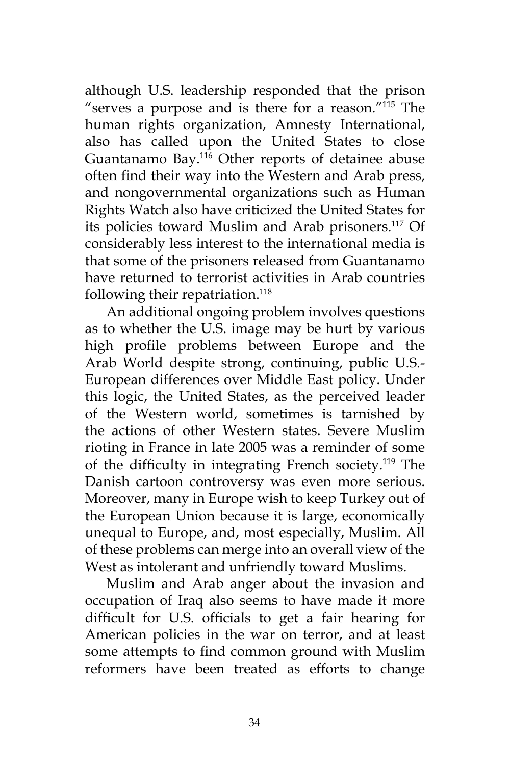although U.S. leadership responded that the prison "serves a purpose and is there for a reason."115 The human rights organization, Amnesty International, also has called upon the United States to close Guantanamo Bay. $116}$  Other reports of detainee abuse often find their way into the Western and Arab press, and nongovernmental organizations such as Human Rights Watch also have criticized the United States for its policies toward Muslim and Arab prisoners.117 Of considerably less interest to the international media is that some of the prisoners released from Guantanamo have returned to terrorist activities in Arab countries following their repatriation.<sup>118</sup>

An additional ongoing problem involves questions as to whether the U.S. image may be hurt by various high profile problems between Europe and the Arab World despite strong, continuing, public U.S.- European differences over Middle East policy. Under this logic, the United States, as the perceived leader of the Western world, sometimes is tarnished by the actions of other Western states. Severe Muslim rioting in France in late 2005 was a reminder of some of the difficulty in integrating French society.119 The Danish cartoon controversy was even more serious. Moreover, many in Europe wish to keep Turkey out of the European Union because it is large, economically unequal to Europe, and, most especially, Muslim. All of these problems can merge into an overall view of the West as intolerant and unfriendly toward Muslims.

Muslim and Arab anger about the invasion and occupation of Iraq also seems to have made it more difficult for U.S. officials to get a fair hearing for American policies in the war on terror, and at least some attempts to find common ground with Muslim reformers have been treated as efforts to change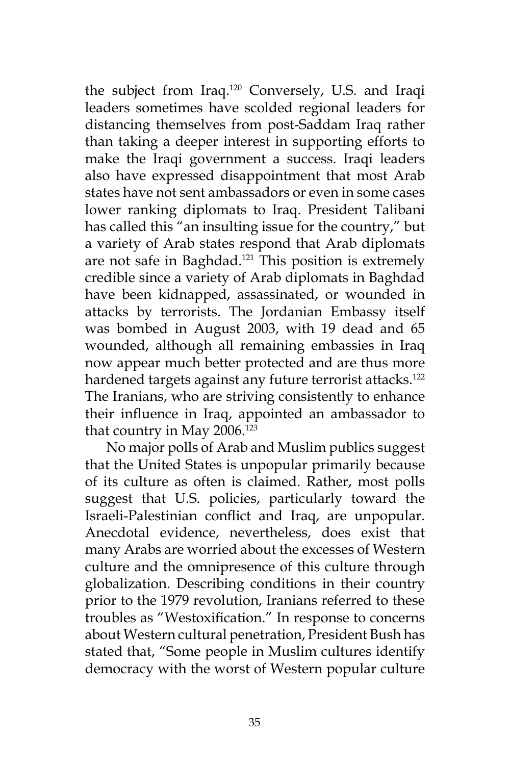the subject from Iraq.120 Conversely, U.S. and Iraqi leaders sometimes have scolded regional leaders for distancing themselves from post-Saddam Iraq rather than taking a deeper interest in supporting efforts to make the Iraqi government a success. Iraqi leaders also have expressed disappointment that most Arab states have not sent ambassadors or even in some cases lower ranking diplomats to Iraq. President Talibani has called this "an insulting issue for the country," but a variety of Arab states respond that Arab diplomats are not safe in Baghdad.<sup>121</sup> This position is extremely credible since a variety of Arab diplomats in Baghdad have been kidnapped, assassinated, or wounded in attacks by terrorists. The Jordanian Embassy itself was bombed in August 2003, with 19 dead and 65 wounded, although all remaining embassies in Iraq now appear much better protected and are thus more hardened targets against any future terrorist attacks.<sup>122</sup> The Iranians, who are striving consistently to enhance their influence in Iraq, appointed an ambassador to that country in May 2006.<sup>123</sup>

No major polls of Arab and Muslim publics suggest that the United States is unpopular primarily because of its culture as often is claimed. Rather, most polls suggest that U.S. policies, particularly toward the Israeli-Palestinian conflict and Iraq, are unpopular. Anecdotal evidence, nevertheless, does exist that many Arabs are worried about the excesses of Western culture and the omnipresence of this culture through globalization. Describing conditions in their country prior to the 1979 revolution, Iranians referred to these troubles as "Westoxification." In response to concerns about Western cultural penetration, President Bush has stated that, "Some people in Muslim cultures identify democracy with the worst of Western popular culture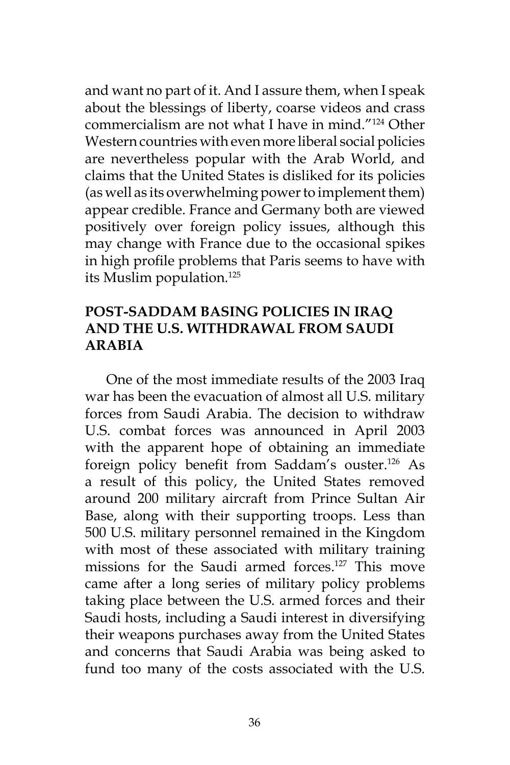and want no part of it. And I assure them, when I speak about the blessings of liberty, coarse videos and crass commercialism are not what I have in mind."124 Other Western countries with even more liberal social policies are nevertheless popular with the Arab World, and claims that the United States is disliked for its policies (as well as its overwhelming power to implement them) appear credible. France and Germany both are viewed positively over foreign policy issues, although this may change with France due to the occasional spikes in high profile problems that Paris seems to have with its Muslim population.<sup>125</sup>

## **POST-SADDAM BASING POLICIES IN IRAQ AND THE U.S. WITHDRAWAL FROM SAUDI ARABIA**

One of the most immediate results of the 2003 Iraq war has been the evacuation of almost all U.S. military forces from Saudi Arabia. The decision to withdraw U.S. combat forces was announced in April 2003 with the apparent hope of obtaining an immediate foreign policy benefit from Saddam's ouster.126 As a result of this policy, the United States removed around 200 military aircraft from Prince Sultan Air Base, along with their supporting troops. Less than 500 U.S. military personnel remained in the Kingdom with most of these associated with military training missions for the Saudi armed forces.127 This move came after a long series of military policy problems taking place between the U.S. armed forces and their Saudi hosts, including a Saudi interest in diversifying their weapons purchases away from the United States and concerns that Saudi Arabia was being asked to fund too many of the costs associated with the U.S.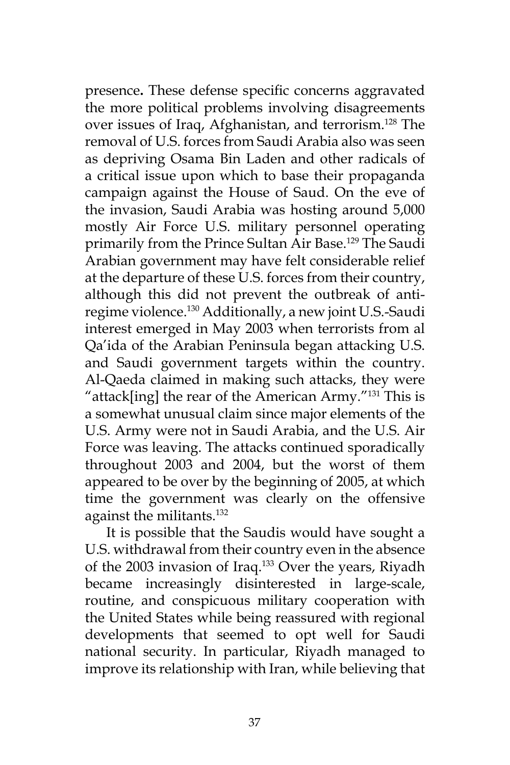presence**.** These defense specific concerns aggravated the more political problems involving disagreements over issues of Iraq, Afghanistan, and terrorism.<sup>128</sup> The removal of U.S. forces from Saudi Arabia also was seen as depriving Osama Bin Laden and other radicals of a critical issue upon which to base their propaganda campaign against the House of Saud. On the eve of the invasion, Saudi Arabia was hosting around 5,000 mostly Air Force U.S. military personnel operating primarily from the Prince Sultan Air Base.<sup>129</sup> The Saudi Arabian government may have felt considerable relief at the departure of these U.S. forces from their country, although this did not prevent the outbreak of antiregime violence.130 Additionally, a new joint U.S.-Saudi interest emerged in May 2003 when terrorists from al Qa'ida of the Arabian Peninsula began attacking U.S. and Saudi government targets within the country. Al-Qaeda claimed in making such attacks, they were "attack[ing] the rear of the American Army."131 This is a somewhat unusual claim since major elements of the U.S. Army were not in Saudi Arabia, and the U.S. Air Force was leaving. The attacks continued sporadically throughout 2003 and 2004, but the worst of them appeared to be over by the beginning of 2005, at which time the government was clearly on the offensive against the militants.132

It is possible that the Saudis would have sought a U.S. withdrawal from their country even in the absence of the 2003 invasion of Iraq.133 Over the years, Riyadh became increasingly disinterested in large-scale, routine, and conspicuous military cooperation with the United States while being reassured with regional developments that seemed to opt well for Saudi national security. In particular, Riyadh managed to improve its relationship with Iran, while believing that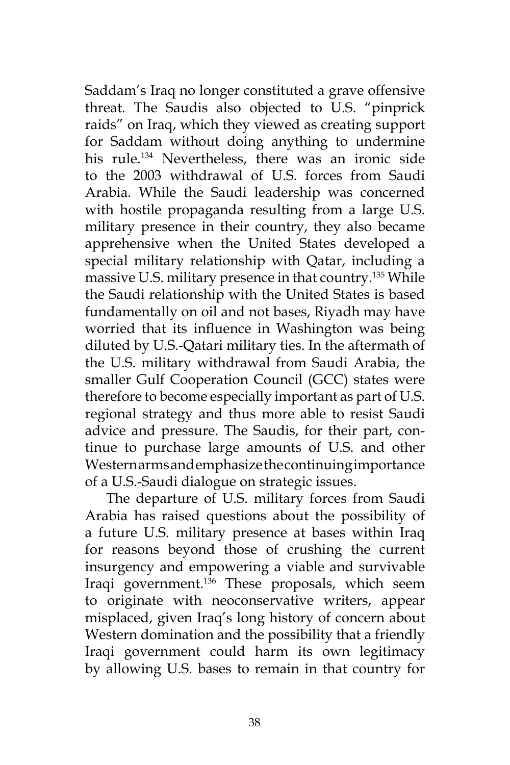Saddam's Iraq no longer constituted a grave offensive threat. The Saudis also objected to U.S. "pinprick raids" on Iraq, which they viewed as creating support for Saddam without doing anything to undermine his rule.134 Nevertheless, there was an ironic side to the 2003 withdrawal of U.S. forces from Saudi Arabia. While the Saudi leadership was concerned with hostile propaganda resulting from a large U.S. military presence in their country, they also became apprehensive when the United States developed a special military relationship with Qatar, including a massive U.S. military presence in that country.135 While the Saudi relationship with the United States is based fundamentally on oil and not bases, Riyadh may have worried that its influence in Washington was being diluted by U.S.-Qatari military ties. In the aftermath of the U.S. military withdrawal from Saudi Arabia, the smaller Gulf Cooperation Council (GCC) states were therefore to become especially important as part of U.S. regional strategy and thus more able to resist Saudi advice and pressure. The Saudis, for their part, continue to purchase large amounts of U.S. and other Western arms and emphasize the continuing importance of a U.S.-Saudi dialogue on strategic issues.

The departure of U.S. military forces from Saudi Arabia has raised questions about the possibility of a future U.S. military presence at bases within Iraq for reasons beyond those of crushing the current insurgency and empowering a viable and survivable Iraqi government.136 These proposals, which seem to originate with neoconservative writers, appear misplaced, given Iraq's long history of concern about Western domination and the possibility that a friendly Iraqi government could harm its own legitimacy by allowing U.S. bases to remain in that country for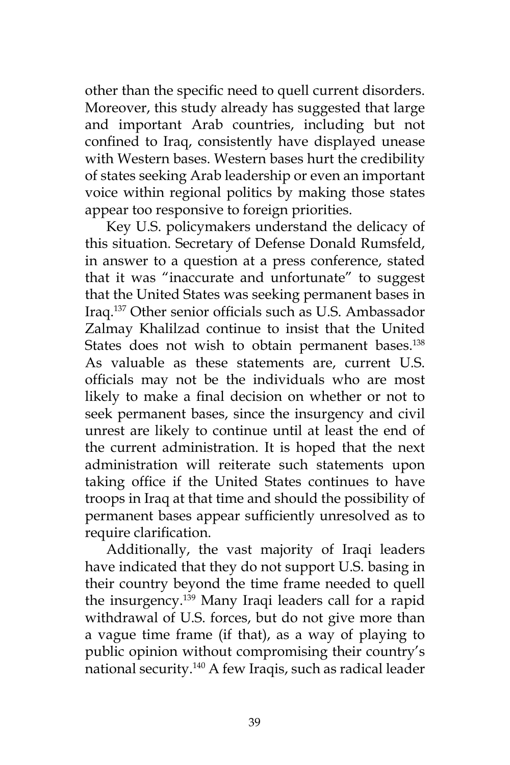other than the specific need to quell current disorders. Moreover, this study already has suggested that large and important Arab countries, including but not confined to Iraq, consistently have displayed unease with Western bases. Western bases hurt the credibility of states seeking Arab leadership or even an important voice within regional politics by making those states appear too responsive to foreign priorities.

Key U.S. policymakers understand the delicacy of this situation. Secretary of Defense Donald Rumsfeld, in answer to a question at a press conference, stated that it was "inaccurate and unfortunate" to suggest that the United States was seeking permanent bases in Iraq.137 Other senior officials such as U.S. Ambassador Zalmay Khalilzad continue to insist that the United States does not wish to obtain permanent bases.<sup>138</sup> As valuable as these statements are, current U.S. officials may not be the individuals who are most likely to make a final decision on whether or not to seek permanent bases, since the insurgency and civil unrest are likely to continue until at least the end of the current administration. It is hoped that the next administration will reiterate such statements upon taking office if the United States continues to have troops in Iraq at that time and should the possibility of permanent bases appear sufficiently unresolved as to require clarification.

Additionally, the vast majority of Iraqi leaders have indicated that they do not support U.S. basing in their country beyond the time frame needed to quell the insurgency.139 Many Iraqi leaders call for a rapid withdrawal of U.S. forces, but do not give more than a vague time frame (if that), as a way of playing to public opinion without compromising their country's national security.140 A few Iraqis, such as radical leader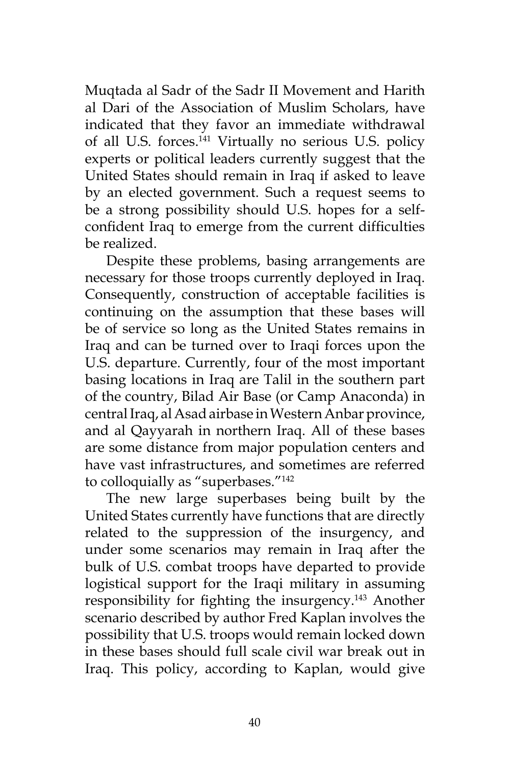Muqtada al Sadr of the Sadr II Movement and Harith al Dari of the Association of Muslim Scholars, have indicated that they favor an immediate withdrawal of all U.S. forces.<sup>141</sup> Virtually no serious U.S. policy experts or political leaders currently suggest that the United States should remain in Iraq if asked to leave by an elected government. Such a request seems to be a strong possibility should U.S. hopes for a selfconfident Iraq to emerge from the current difficulties be realized.

Despite these problems, basing arrangements are necessary for those troops currently deployed in Iraq. Consequently, construction of acceptable facilities is continuing on the assumption that these bases will be of service so long as the United States remains in Iraq and can be turned over to Iraqi forces upon the U.S. departure. Currently, four of the most important basing locations in Iraq are Talil in the southern part of the country, Bilad Air Base (or Camp Anaconda) in central Iraq, al Asad airbase in Western Anbar province, and al Qayyarah in northern Iraq. All of these bases are some distance from major population centers and have vast infrastructures, and sometimes are referred to colloquially as "superbases."142

The new large superbases being built by the United States currently have functions that are directly related to the suppression of the insurgency, and under some scenarios may remain in Iraq after the bulk of U.S. combat troops have departed to provide logistical support for the Iraqi military in assuming responsibility for fighting the insurgency.143 Another scenario described by author Fred Kaplan involves the possibility that U.S. troops would remain locked down in these bases should full scale civil war break out in Iraq. This policy, according to Kaplan, would give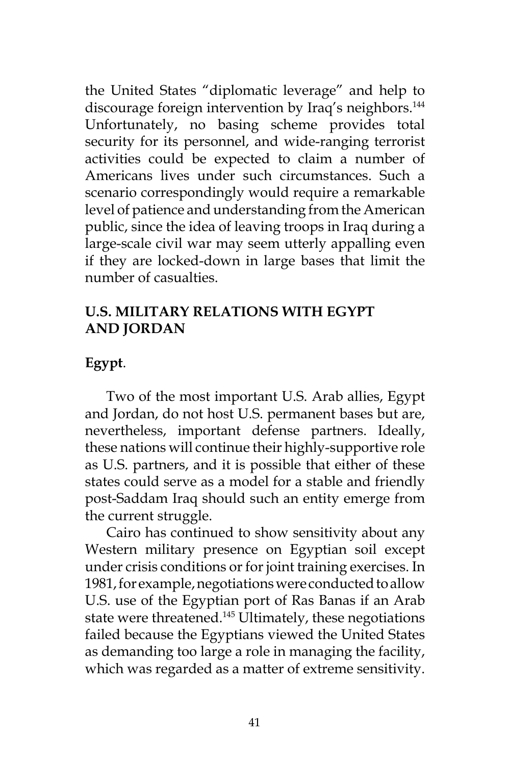the United States "diplomatic leverage" and help to discourage foreign intervention by Iraq's neighbors.<sup>144</sup> Unfortunately, no basing scheme provides total security for its personnel, and wide-ranging terrorist activities could be expected to claim a number of Americans lives under such circumstances. Such a scenario correspondingly would require a remarkable level of patience and understanding from the American public, since the idea of leaving troops in Iraq during a large-scale civil war may seem utterly appalling even if they are locked-down in large bases that limit the number of casualties.

## **U.S. MILITARY RELATIONS WITH EGYPT AND JORDAN**

## **Egypt**.

Two of the most important U.S. Arab allies, Egypt and Jordan, do not host U.S. permanent bases but are, nevertheless, important defense partners. Ideally, these nations will continue their highly-supportive role as U.S. partners, and it is possible that either of these states could serve as a model for a stable and friendly post-Saddam Iraq should such an entity emerge from the current struggle.

Cairo has continued to show sensitivity about any Western military presence on Egyptian soil except under crisis conditions or for joint training exercises. In 1981, for example, negotiations were conducted to allow U.S. use of the Egyptian port of Ras Banas if an Arab state were threatened.<sup>145</sup> Ultimately, these negotiations failed because the Egyptians viewed the United States as demanding too large a role in managing the facility, which was regarded as a matter of extreme sensitivity.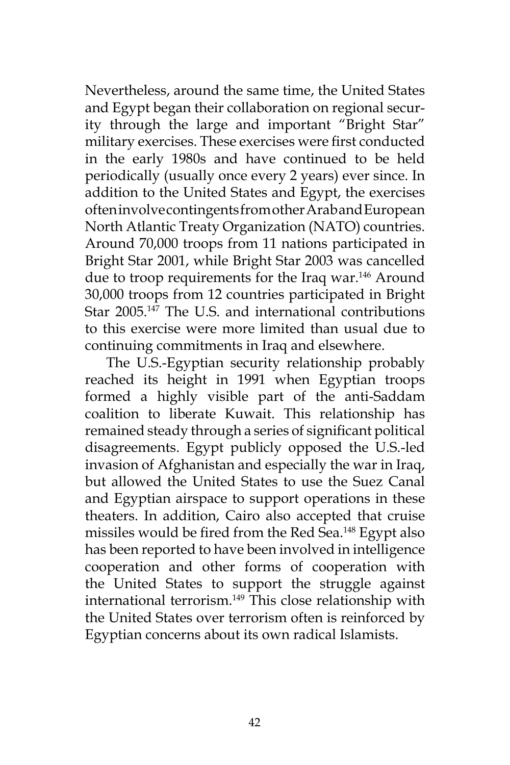Nevertheless, around the same time, the United States and Egypt began their collaboration on regional security through the large and important "Bright Star" military exercises. These exercises were first conducted in the early 1980s and have continued to be held periodically (usually once every 2 years) ever since. In addition to the United States and Egypt, the exercises often involve contingents from other Arab and European North Atlantic Treaty Organization (NATO) countries. Around 70,000 troops from 11 nations participated in Bright Star 2001, while Bright Star 2003 was cancelled due to troop requirements for the Iraq war.<sup>146</sup> Around 30,000 troops from 12 countries participated in Bright Star 2005.147 The U.S. and international contributions to this exercise were more limited than usual due to continuing commitments in Iraq and elsewhere.

The U.S.-Egyptian security relationship probably reached its height in 1991 when Egyptian troops formed a highly visible part of the anti-Saddam coalition to liberate Kuwait. This relationship has remained steady through a series of significant political disagreements. Egypt publicly opposed the U.S.-led invasion of Afghanistan and especially the war in Iraq, but allowed the United States to use the Suez Canal and Egyptian airspace to support operations in these theaters. In addition, Cairo also accepted that cruise missiles would be fired from the Red Sea.148 Egypt also has been reported to have been involved in intelligence cooperation and other forms of cooperation with the United States to support the struggle against international terrorism.<sup>149</sup> This close relationship with the United States over terrorism often is reinforced by Egyptian concerns about its own radical Islamists.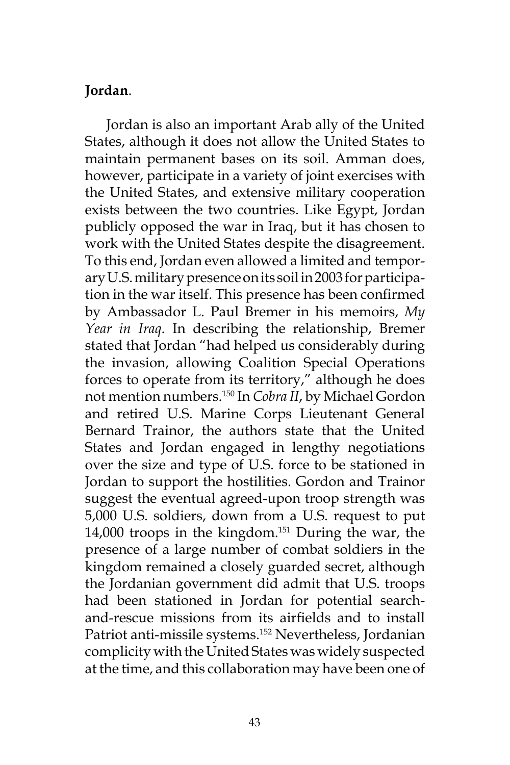#### **Jordan**.

Jordan is also an important Arab ally of the United States, although it does not allow the United States to maintain permanent bases on its soil. Amman does, however, participate in a variety of joint exercises with the United States, and extensive military cooperation exists between the two countries. Like Egypt, Jordan publicly opposed the war in Iraq, but it has chosen to work with the United States despite the disagreement. To this end, Jordan even allowed a limited and temporary U.S. military presence on its soil in 2003 for participation in the war itself. This presence has been confirmed by Ambassador L. Paul Bremer in his memoirs, *My Year in Iraq*. In describing the relationship, Bremer stated that Jordan "had helped us considerably during the invasion, allowing Coalition Special Operations forces to operate from its territory," although he does not mention numbers.150 In *Cobra II*, by Michael Gordon and retired U.S. Marine Corps Lieutenant General Bernard Trainor, the authors state that the United States and Jordan engaged in lengthy negotiations over the size and type of U.S. force to be stationed in Jordan to support the hostilities. Gordon and Trainor suggest the eventual agreed-upon troop strength was 5,000 U.S. soldiers, down from a U.S. request to put 14,000 troops in the kingdom. $151$  During the war, the presence of a large number of combat soldiers in the kingdom remained a closely guarded secret, although the Jordanian government did admit that U.S. troops had been stationed in Jordan for potential searchand-rescue missions from its airfields and to install Patriot anti-missile systems.152 Nevertheless, Jordanian complicity with the United States was widely suspected at the time, and this collaboration may have been one of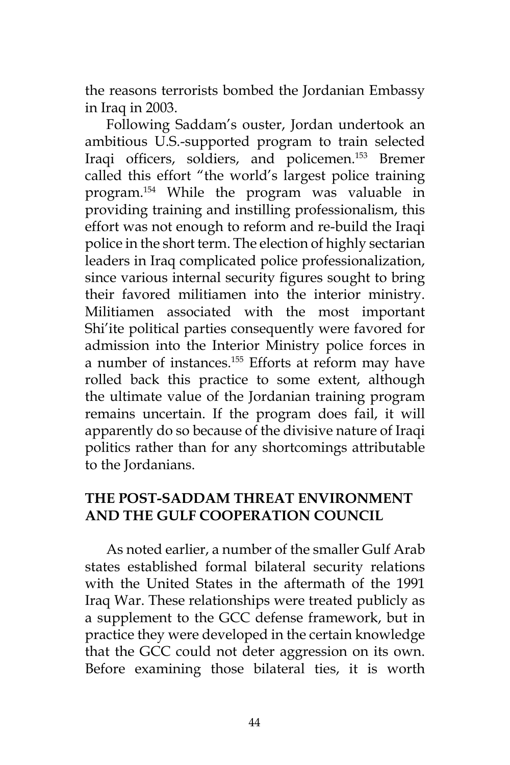the reasons terrorists bombed the Jordanian Embassy in Iraq in 2003.

Following Saddam's ouster, Jordan undertook an ambitious U.S.-supported program to train selected Iraqi officers, soldiers, and policemen.153 Bremer called this effort "the world's largest police training program.154 While the program was valuable in providing training and instilling professionalism, this effort was not enough to reform and re-build the Iraqi police in the short term. The election of highly sectarian leaders in Iraq complicated police professionalization, since various internal security figures sought to bring their favored militiamen into the interior ministry. Militiamen associated with the most important Shi'ite political parties consequently were favored for admission into the Interior Ministry police forces in a number of instances.155 Efforts at reform may have rolled back this practice to some extent, although the ultimate value of the Jordanian training program remains uncertain. If the program does fail, it will apparently do so because of the divisive nature of Iraqi politics rather than for any shortcomings attributable to the Jordanians.

# **THE POST-SADDAM THREAT ENVIRONMENT AND THE GULF COOPERATION COUNCIL**

As noted earlier, a number of the smaller Gulf Arab states established formal bilateral security relations with the United States in the aftermath of the 1991 Iraq War. These relationships were treated publicly as a supplement to the GCC defense framework, but in practice they were developed in the certain knowledge that the GCC could not deter aggression on its own. Before examining those bilateral ties, it is worth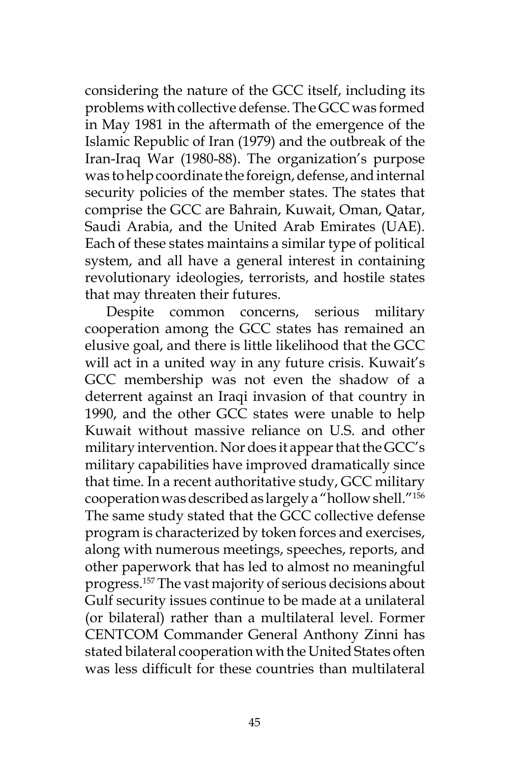considering the nature of the GCC itself, including its problems with collective defense. The GCC was formed in May 1981 in the aftermath of the emergence of the Islamic Republic of Iran (1979) and the outbreak of the Iran-Iraq War (1980-88). The organization's purpose was to help coordinate the foreign, defense, and internal security policies of the member states. The states that comprise the GCC are Bahrain, Kuwait, Oman, Qatar, Saudi Arabia, and the United Arab Emirates (UAE). Each of these states maintains a similar type of political system, and all have a general interest in containing revolutionary ideologies, terrorists, and hostile states that may threaten their futures.

Despite common concerns, serious military cooperation among the GCC states has remained an elusive goal, and there is little likelihood that the GCC will act in a united way in any future crisis. Kuwait's GCC membership was not even the shadow of a deterrent against an Iraqi invasion of that country in 1990, and the other GCC states were unable to help Kuwait without massive reliance on U.S. and other military intervention. Nor does it appear that the GCC's military capabilities have improved dramatically since that time. In a recent authoritative study, GCC military cooperation was described as largely a "hollow shell."156 The same study stated that the GCC collective defense program is characterized by token forces and exercises, along with numerous meetings, speeches, reports, and other paperwork that has led to almost no meaningful progress.157 The vast majority of serious decisions about Gulf security issues continue to be made at a unilateral (or bilateral) rather than a multilateral level. Former CENTCOM Commander General Anthony Zinni has stated bilateral cooperation with the United States often was less difficult for these countries than multilateral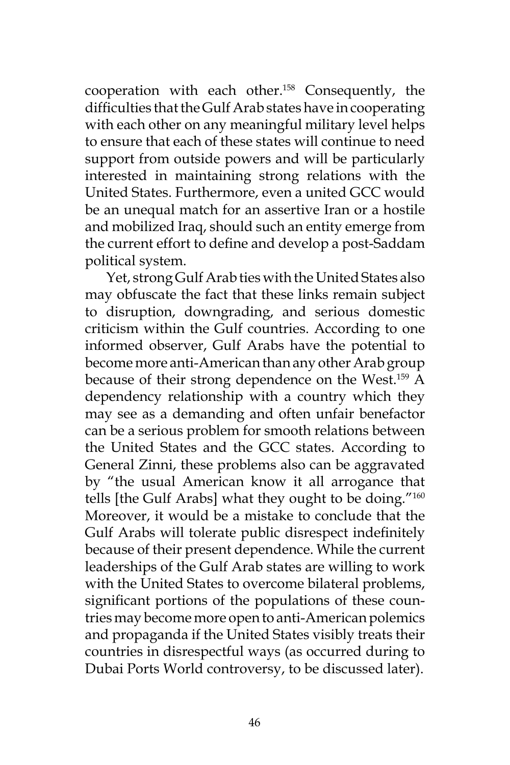cooperation with each other.158 Consequently, the difficulties that the Gulf Arab states have in cooperating with each other on any meaningful military level helps to ensure that each of these states will continue to need support from outside powers and will be particularly interested in maintaining strong relations with the United States. Furthermore, even a united GCC would be an unequal match for an assertive Iran or a hostile and mobilized Iraq, should such an entity emerge from the current effort to define and develop a post-Saddam political system.

Yet, strong Gulf Arab ties with the United States also may obfuscate the fact that these links remain subject to disruption, downgrading, and serious domestic criticism within the Gulf countries. According to one informed observer, Gulf Arabs have the potential to become more anti-American than any other Arab group because of their strong dependence on the West.<sup>159</sup> A dependency relationship with a country which they may see as a demanding and often unfair benefactor can be a serious problem for smooth relations between the United States and the GCC states. According to General Zinni, these problems also can be aggravated by "the usual American know it all arrogance that tells [the Gulf Arabs] what they ought to be doing."160 Moreover, it would be a mistake to conclude that the Gulf Arabs will tolerate public disrespect indefinitely because of their present dependence. While the current leaderships of the Gulf Arab states are willing to work with the United States to overcome bilateral problems, significant portions of the populations of these countries may become more open to anti-American polemics and propaganda if the United States visibly treats their countries in disrespectful ways (as occurred during to Dubai Ports World controversy, to be discussed later).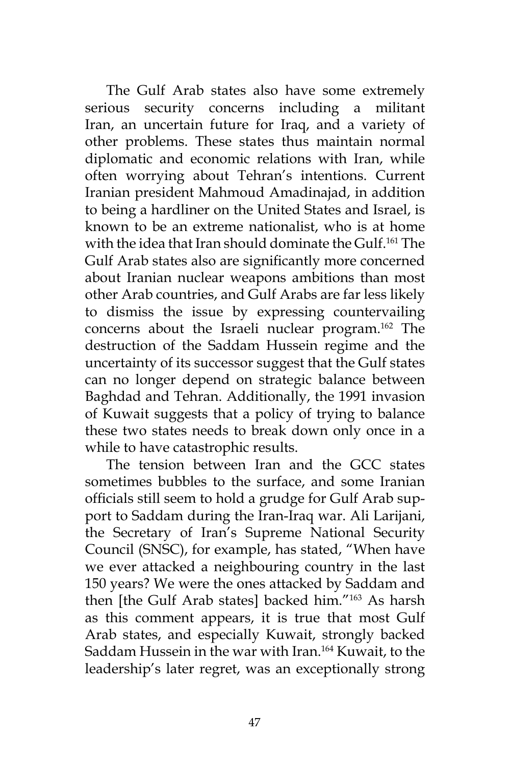The Gulf Arab states also have some extremely serious security concerns including a militant Iran, an uncertain future for Iraq, and a variety of other problems. These states thus maintain normal diplomatic and economic relations with Iran, while often worrying about Tehran's intentions. Current Iranian president Mahmoud Amadinajad, in addition to being a hardliner on the United States and Israel, is known to be an extreme nationalist, who is at home with the idea that Iran should dominate the Gulf.<sup>161</sup> The Gulf Arab states also are significantly more concerned about Iranian nuclear weapons ambitions than most other Arab countries, and Gulf Arabs are far less likely to dismiss the issue by expressing countervailing concerns about the Israeli nuclear program.162 The destruction of the Saddam Hussein regime and the uncertainty of its successor suggest that the Gulf states can no longer depend on strategic balance between Baghdad and Tehran. Additionally, the 1991 invasion of Kuwait suggests that a policy of trying to balance these two states needs to break down only once in a while to have catastrophic results.

The tension between Iran and the GCC states sometimes bubbles to the surface, and some Iranian officials still seem to hold a grudge for Gulf Arab support to Saddam during the Iran-Iraq war. Ali Larijani, the Secretary of Iran's Supreme National Security Council (SNSC), for example, has stated, "When have we ever attacked a neighbouring country in the last 150 years? We were the ones attacked by Saddam and then [the Gulf Arab states] backed him."163 As harsh as this comment appears, it is true that most Gulf Arab states, and especially Kuwait, strongly backed Saddam Hussein in the war with Iran.<sup>164</sup> Kuwait, to the leadership's later regret, was an exceptionally strong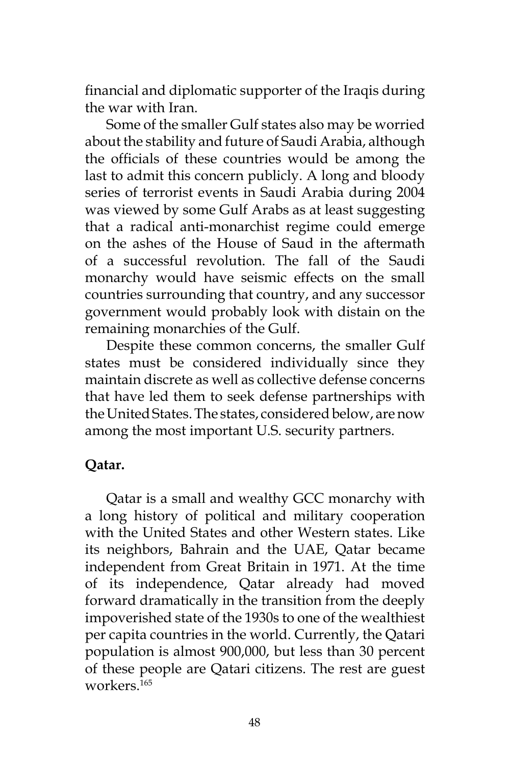financial and diplomatic supporter of the Iraqis during the war with Iran.

Some of the smaller Gulf states also may be worried about the stability and future of Saudi Arabia, although the officials of these countries would be among the last to admit this concern publicly. A long and bloody series of terrorist events in Saudi Arabia during 2004 was viewed by some Gulf Arabs as at least suggesting that a radical anti-monarchist regime could emerge on the ashes of the House of Saud in the aftermath of a successful revolution. The fall of the Saudi monarchy would have seismic effects on the small countries surrounding that country, and any successor government would probably look with distain on the remaining monarchies of the Gulf.

Despite these common concerns, the smaller Gulf states must be considered individually since they maintain discrete as well as collective defense concerns that have led them to seek defense partnerships with the United States. The states, considered below, are now among the most important U.S. security partners.

## **Qatar.**

Qatar is a small and wealthy GCC monarchy with a long history of political and military cooperation with the United States and other Western states. Like its neighbors, Bahrain and the UAE, Qatar became independent from Great Britain in 1971. At the time of its independence, Qatar already had moved forward dramatically in the transition from the deeply impoverished state of the 1930s to one of the wealthiest per capita countries in the world. Currently, the Qatari population is almost 900,000, but less than 30 percent of these people are Qatari citizens. The rest are guest workers.165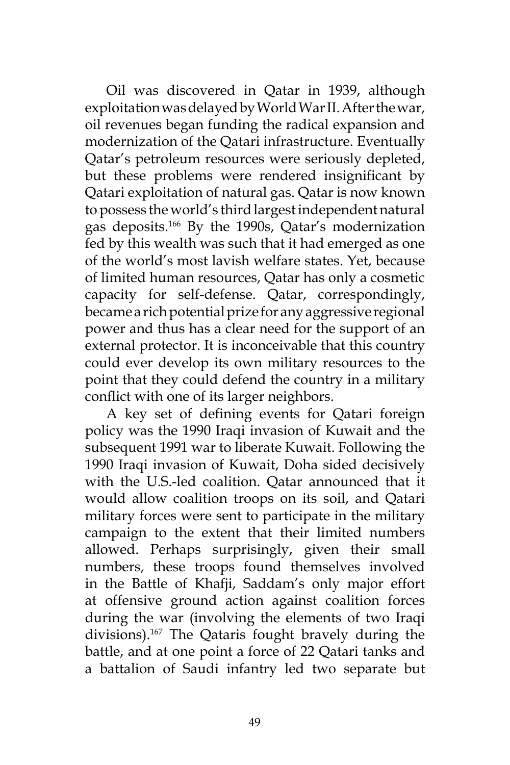Oil was discovered in Qatar in 1939, although exploitation was delayed by World War II. After the war, oil revenues began funding the radical expansion and modernization of the Qatari infrastructure. Eventually Qatar's petroleum resources were seriously depleted, but these problems were rendered insignificant by Qatari exploitation of natural gas. Qatar is now known to possess the world's third largest independent natural gas deposits.166 By the 1990s, Qatar's modernization fed by this wealth was such that it had emerged as one of the world's most lavish welfare states. Yet, because of limited human resources, Qatar has only a cosmetic capacity for self-defense. Qatar, correspondingly, became a rich potential prize for any aggressive regional power and thus has a clear need for the support of an external protector. It is inconceivable that this country could ever develop its own military resources to the point that they could defend the country in a military conflict with one of its larger neighbors.

A key set of defining events for Qatari foreign policy was the 1990 Iraqi invasion of Kuwait and the subsequent 1991 war to liberate Kuwait. Following the 1990 Iraqi invasion of Kuwait, Doha sided decisively with the U.S.-led coalition. Qatar announced that it would allow coalition troops on its soil, and Qatari military forces were sent to participate in the military campaign to the extent that their limited numbers allowed. Perhaps surprisingly, given their small numbers, these troops found themselves involved in the Battle of Khafji, Saddam's only major effort at offensive ground action against coalition forces during the war (involving the elements of two Iraqi divisions).167 The Qataris fought bravely during the battle, and at one point a force of 22 Qatari tanks and a battalion of Saudi infantry led two separate but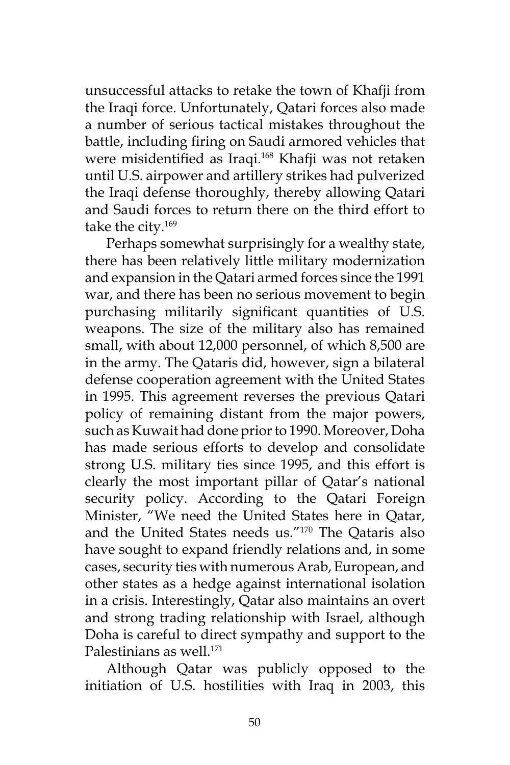unsuccessful attacks to retake the town of Khafji from the Iraqi force. Unfortunately, Qatari forces also made a number of serious tactical mistakes throughout the battle, including firing on Saudi armored vehicles that were misidentified as Iraqi.<sup>168</sup> Khafji was not retaken until U.S. airpower and artillery strikes had pulverized the Iraqi defense thoroughly, thereby allowing Qatari and Saudi forces to return there on the third effort to take the city.169

Perhaps somewhat surprisingly for a wealthy state, there has been relatively little military modernization and expansion in the Qatari armed forces since the 1991 war, and there has been no serious movement to begin purchasing militarily significant quantities of U.S. weapons. The size of the military also has remained small, with about 12,000 personnel, of which 8,500 are in the army. The Qataris did, however, sign a bilateral defense cooperation agreement with the United States in 1995. This agreement reverses the previous Qatari policy of remaining distant from the major powers, such as Kuwait had done prior to 1990. Moreover, Doha has made serious efforts to develop and consolidate strong U.S. military ties since 1995, and this effort is clearly the most important pillar of Qatar's national security policy. According to the Qatari Foreign Minister, "We need the United States here in Qatar, and the United States needs us."170 The Qataris also have sought to expand friendly relations and, in some cases, security ties with numerous Arab, European, and other states as a hedge against international isolation in a crisis. Interestingly, Qatar also maintains an overt and strong trading relationship with Israel, although Doha is careful to direct sympathy and support to the Palestinians as well.<sup>171</sup>

Although Qatar was publicly opposed to the initiation of U.S. hostilities with Iraq in 2003, this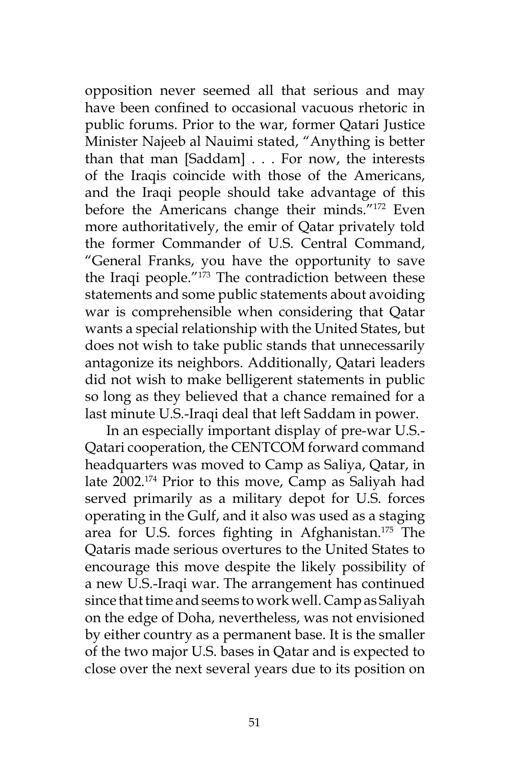opposition never seemed all that serious and may have been confined to occasional vacuous rhetoric in public forums. Prior to the war, former Qatari Justice Minister Najeeb al Nauimi stated, "Anything is better than that man [Saddam] . . . For now, the interests of the Iraqis coincide with those of the Americans, and the Iraqi people should take advantage of this before the Americans change their minds."172 Even more authoritatively, the emir of Qatar privately told the former Commander of U.S. Central Command, "General Franks, you have the opportunity to save the Iraqi people."173 The contradiction between these statements and some public statements about avoiding war is comprehensible when considering that Qatar wants a special relationship with the United States, but does not wish to take public stands that unnecessarily antagonize its neighbors. Additionally, Qatari leaders did not wish to make belligerent statements in public so long as they believed that a chance remained for a last minute U.S.-Iraqi deal that left Saddam in power.

In an especially important display of pre-war U.S.- Qatari cooperation, the CENTCOM forward command headquarters was moved to Camp as Saliya, Qatar, in late 2002.174 Prior to this move, Camp as Saliyah had served primarily as a military depot for U.S. forces operating in the Gulf, and it also was used as a staging area for U.S. forces fighting in Afghanistan.175 The Qataris made serious overtures to the United States to encourage this move despite the likely possibility of a new U.S.-Iraqi war. The arrangement has continued since that time and seems to work well. Camp as Saliyah on the edge of Doha, nevertheless, was not envisioned by either country as a permanent base. It is the smaller of the two major U.S. bases in Qatar and is expected to close over the next several years due to its position on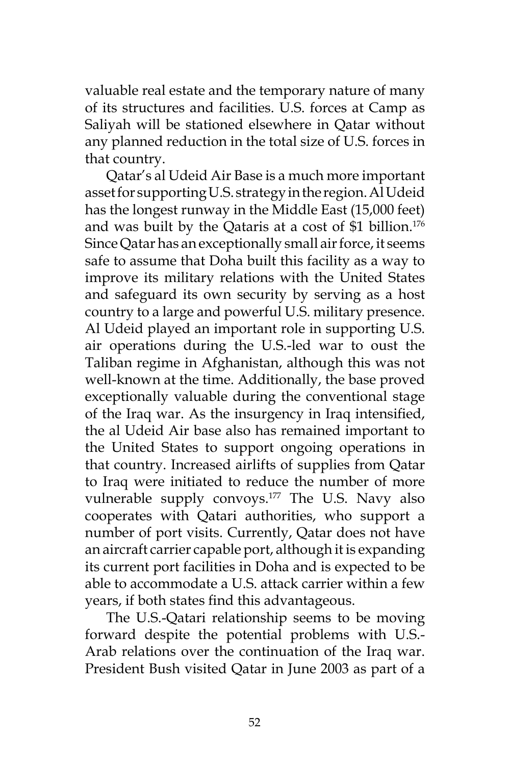valuable real estate and the temporary nature of many of its structures and facilities. U.S. forces at Camp as Saliyah will be stationed elsewhere in Qatar without any planned reduction in the total size of U.S. forces in that country.

Qatar's al Udeid Air Base is a much more important asset for supporting U.S. strategy in the region. Al Udeid has the longest runway in the Middle East (15,000 feet) and was built by the Qataris at a cost of \$1 billion.176 Since Qatar has an exceptionally small air force, it seems safe to assume that Doha built this facility as a way to improve its military relations with the United States and safeguard its own security by serving as a host country to a large and powerful U.S. military presence. Al Udeid played an important role in supporting U.S. air operations during the U.S.-led war to oust the Taliban regime in Afghanistan, although this was not well-known at the time. Additionally, the base proved exceptionally valuable during the conventional stage of the Iraq war. As the insurgency in Iraq intensified, the al Udeid Air base also has remained important to the United States to support ongoing operations in that country. Increased airlifts of supplies from Qatar to Iraq were initiated to reduce the number of more vulnerable supply convoys.<sup>177</sup> The U.S. Navy also cooperates with Qatari authorities, who support a number of port visits. Currently, Qatar does not have an aircraft carrier capable port, although it is expanding its current port facilities in Doha and is expected to be able to accommodate a U.S. attack carrier within a few years, if both states find this advantageous.

The U.S.-Qatari relationship seems to be moving forward despite the potential problems with U.S.- Arab relations over the continuation of the Iraq war. President Bush visited Qatar in June 2003 as part of a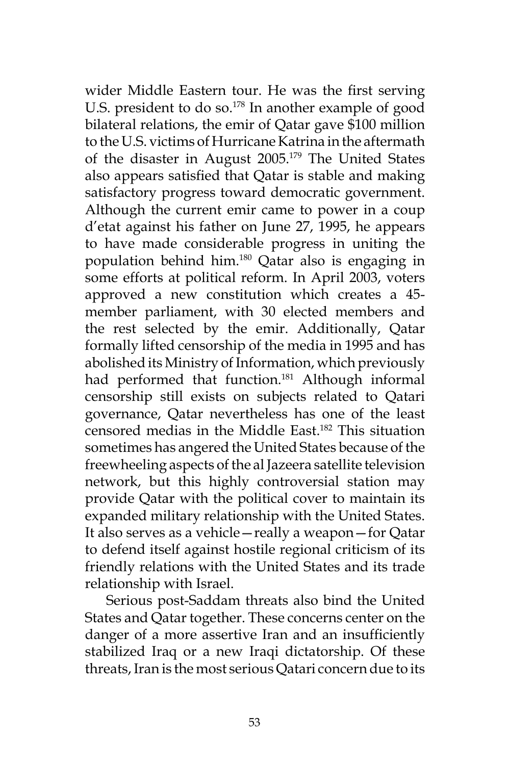wider Middle Eastern tour. He was the first serving U.S. president to do so.<sup>178</sup> In another example of good bilateral relations, the emir of Qatar gave \$100 million to the U.S. victims of Hurricane Katrina in the aftermath of the disaster in August 2005.179 The United States also appears satisfied that Qatar is stable and making satisfactory progress toward democratic government. Although the current emir came to power in a coup d'etat against his father on June 27, 1995, he appears to have made considerable progress in uniting the population behind him.180 Qatar also is engaging in some efforts at political reform. In April 2003, voters approved a new constitution which creates a 45 member parliament, with 30 elected members and the rest selected by the emir. Additionally, Qatar formally lifted censorship of the media in 1995 and has abolished its Ministry of Information, which previously had performed that function.<sup>181</sup> Although informal censorship still exists on subjects related to Qatari governance, Qatar nevertheless has one of the least censored medias in the Middle East.182 This situation sometimes has angered the United States because of the freewheeling aspects of the al Jazeera satellite television network, but this highly controversial station may provide Qatar with the political cover to maintain its expanded military relationship with the United States. It also serves as a vehicle—really a weapon—for Qatar to defend itself against hostile regional criticism of its friendly relations with the United States and its trade relationship with Israel.

Serious post-Saddam threats also bind the United States and Qatar together. These concerns center on the danger of a more assertive Iran and an insufficiently stabilized Iraq or a new Iraqi dictatorship. Of these threats, Iran is the most serious Qatari concern due to its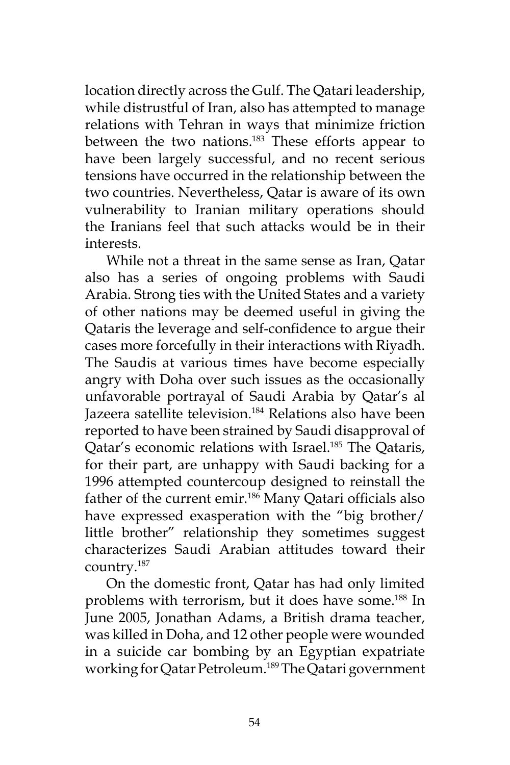location directly across the Gulf. The Qatari leadership, while distrustful of Iran, also has attempted to manage relations with Tehran in ways that minimize friction between the two nations.<sup>183</sup> These efforts appear to have been largely successful, and no recent serious tensions have occurred in the relationship between the two countries. Nevertheless, Qatar is aware of its own vulnerability to Iranian military operations should the Iranians feel that such attacks would be in their interests.

While not a threat in the same sense as Iran, Qatar also has a series of ongoing problems with Saudi Arabia. Strong ties with the United States and a variety of other nations may be deemed useful in giving the Qataris the leverage and self-confidence to argue their cases more forcefully in their interactions with Riyadh. The Saudis at various times have become especially angry with Doha over such issues as the occasionally unfavorable portrayal of Saudi Arabia by Qatar's al Jazeera satellite television.184 Relations also have been reported to have been strained by Saudi disapproval of Qatar's economic relations with Israel.185 The Qataris, for their part, are unhappy with Saudi backing for a 1996 attempted countercoup designed to reinstall the father of the current emir.<sup>186</sup> Many Qatari officials also have expressed exasperation with the "big brother/ little brother" relationship they sometimes suggest characterizes Saudi Arabian attitudes toward their country.187

On the domestic front, Qatar has had only limited problems with terrorism, but it does have some.<sup>188</sup> In June 2005, Jonathan Adams, a British drama teacher, was killed in Doha, and 12 other people were wounded in a suicide car bombing by an Egyptian expatriate working for Qatar Petroleum.189 The Qatari government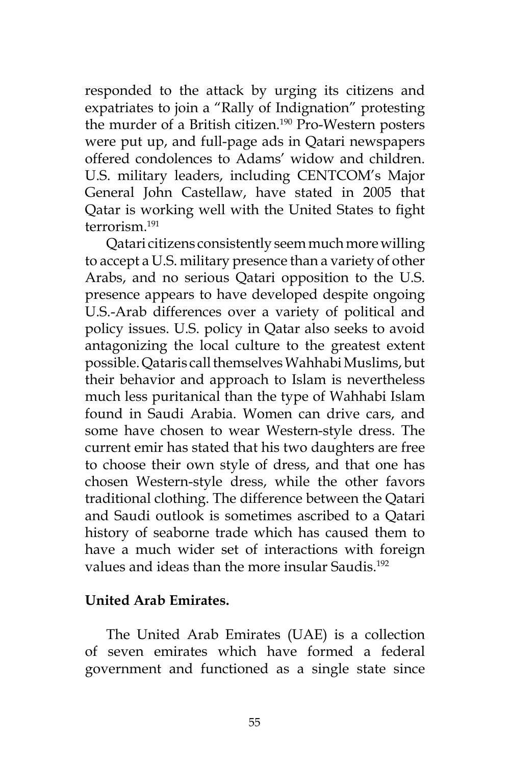responded to the attack by urging its citizens and expatriates to join a "Rally of Indignation" protesting the murder of a British citizen.<sup>190</sup> Pro-Western posters were put up, and full-page ads in Qatari newspapers offered condolences to Adams' widow and children. U.S. military leaders, including CENTCOM's Major General John Castellaw, have stated in 2005 that Qatar is working well with the United States to fight terrorism<sup>191</sup>

Qatari citizens consistently seem much more willing to accept a U.S. military presence than a variety of other Arabs, and no serious Qatari opposition to the U.S. presence appears to have developed despite ongoing U.S.-Arab differences over a variety of political and policy issues. U.S. policy in Qatar also seeks to avoid antagonizing the local culture to the greatest extent possible. Qataris call themselves Wahhabi Muslims, but their behavior and approach to Islam is nevertheless much less puritanical than the type of Wahhabi Islam found in Saudi Arabia. Women can drive cars, and some have chosen to wear Western-style dress. The current emir has stated that his two daughters are free to choose their own style of dress, and that one has chosen Western-style dress, while the other favors traditional clothing. The difference between the Qatari and Saudi outlook is sometimes ascribed to a Qatari history of seaborne trade which has caused them to have a much wider set of interactions with foreign values and ideas than the more insular Saudis.<sup>192</sup>

#### **United Arab Emirates.**

The United Arab Emirates (UAE) is a collection of seven emirates which have formed a federal government and functioned as a single state since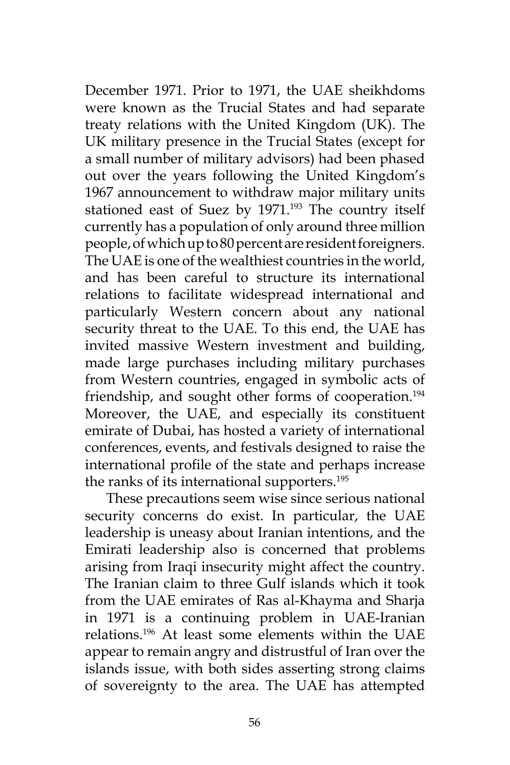December 1971. Prior to 1971, the UAE sheikhdoms were known as the Trucial States and had separate treaty relations with the United Kingdom (UK). The UK military presence in the Trucial States (except for a small number of military advisors) had been phased out over the years following the United Kingdom's 1967 announcement to withdraw major military units stationed east of Suez by 1971.<sup>193</sup> The country itself currently has a population of only around three million people, of which up to 80 percent are resident foreigners. The UAE is one of the wealthiest countries in the world, and has been careful to structure its international relations to facilitate widespread international and particularly Western concern about any national security threat to the UAE. To this end, the UAE has invited massive Western investment and building, made large purchases including military purchases from Western countries, engaged in symbolic acts of friendship, and sought other forms of cooperation.<sup>194</sup> Moreover, the UAE, and especially its constituent emirate of Dubai, has hosted a variety of international conferences, events, and festivals designed to raise the international profile of the state and perhaps increase the ranks of its international supporters.195

These precautions seem wise since serious national security concerns do exist. In particular, the UAE leadership is uneasy about Iranian intentions, and the Emirati leadership also is concerned that problems arising from Iraqi insecurity might affect the country. The Iranian claim to three Gulf islands which it took from the UAE emirates of Ras al-Khayma and Sharja in 1971 is a continuing problem in UAE-Iranian relations.196 At least some elements within the UAE appear to remain angry and distrustful of Iran over the islands issue, with both sides asserting strong claims of sovereignty to the area. The UAE has attempted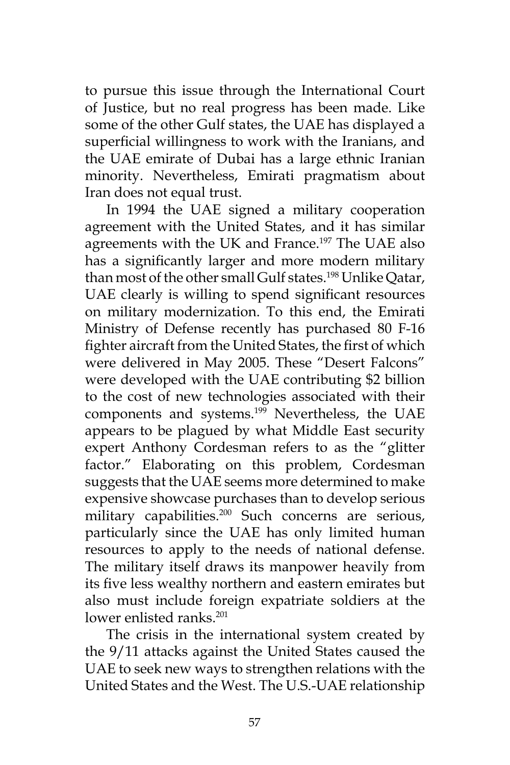to pursue this issue through the International Court of Justice, but no real progress has been made. Like some of the other Gulf states, the UAE has displayed a superficial willingness to work with the Iranians, and the UAE emirate of Dubai has a large ethnic Iranian minority. Nevertheless, Emirati pragmatism about Iran does not equal trust.

In 1994 the UAE signed a military cooperation agreement with the United States, and it has similar agreements with the UK and France.<sup>197</sup> The UAE also has a significantly larger and more modern military than most of the other small Gulf states.198 Unlike Qatar, UAE clearly is willing to spend significant resources on military modernization. To this end, the Emirati Ministry of Defense recently has purchased 80 F-16 fighter aircraft from the United States, the first of which were delivered in May 2005. These "Desert Falcons" were developed with the UAE contributing \$2 billion to the cost of new technologies associated with their components and systems.<sup>199</sup> Nevertheless, the UAE appears to be plagued by what Middle East security expert Anthony Cordesman refers to as the "glitter factor." Elaborating on this problem, Cordesman suggests that the UAE seems more determined to make expensive showcase purchases than to develop serious military capabilities.<sup>200</sup> Such concerns are serious, particularly since the UAE has only limited human resources to apply to the needs of national defense. The military itself draws its manpower heavily from its five less wealthy northern and eastern emirates but also must include foreign expatriate soldiers at the lower enlisted ranks.<sup>201</sup>

The crisis in the international system created by the 9/11 attacks against the United States caused the UAE to seek new ways to strengthen relations with the United States and the West. The U.S.-UAE relationship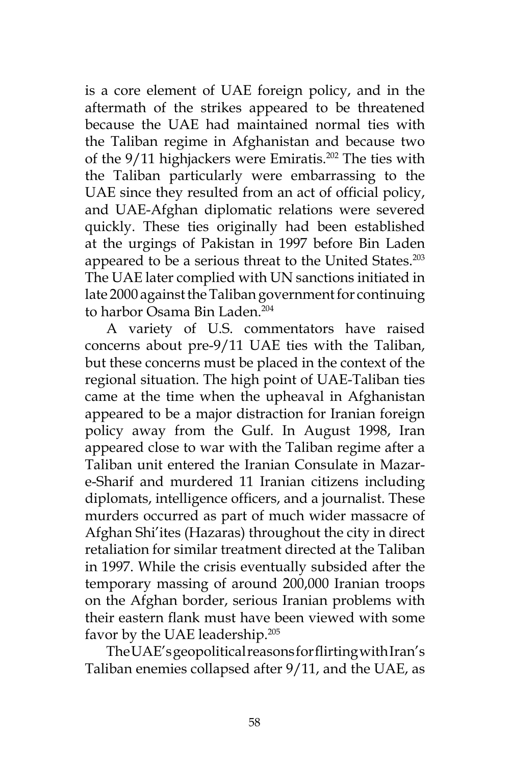is a core element of UAE foreign policy, and in the aftermath of the strikes appeared to be threatened because the UAE had maintained normal ties with the Taliban regime in Afghanistan and because two of the  $9/11$  highjackers were Emiratis.<sup>202</sup> The ties with the Taliban particularly were embarrassing to the UAE since they resulted from an act of official policy, and UAE-Afghan diplomatic relations were severed quickly. These ties originally had been established at the urgings of Pakistan in 1997 before Bin Laden appeared to be a serious threat to the United States.<sup>203</sup> The UAE later complied with UN sanctions initiated in late 2000 against the Taliban government for continuing to harbor Osama Bin Laden.<sup>204</sup>

A variety of U.S. commentators have raised concerns about pre-9/11 UAE ties with the Taliban, but these concerns must be placed in the context of the regional situation. The high point of UAE-Taliban ties came at the time when the upheaval in Afghanistan appeared to be a major distraction for Iranian foreign policy away from the Gulf. In August 1998, Iran appeared close to war with the Taliban regime after a Taliban unit entered the Iranian Consulate in Mazare-Sharif and murdered 11 Iranian citizens including diplomats, intelligence officers, and a journalist. These murders occurred as part of much wider massacre of Afghan Shi'ites (Hazaras) throughout the city in direct retaliation for similar treatment directed at the Taliban in 1997. While the crisis eventually subsided after the temporary massing of around 200,000 Iranian troops on the Afghan border, serious Iranian problems with their eastern flank must have been viewed with some favor by the UAE leadership.<sup>205</sup>

The UAE's geopolitical reasons for flirting with Iran's Taliban enemies collapsed after 9/11, and the UAE, as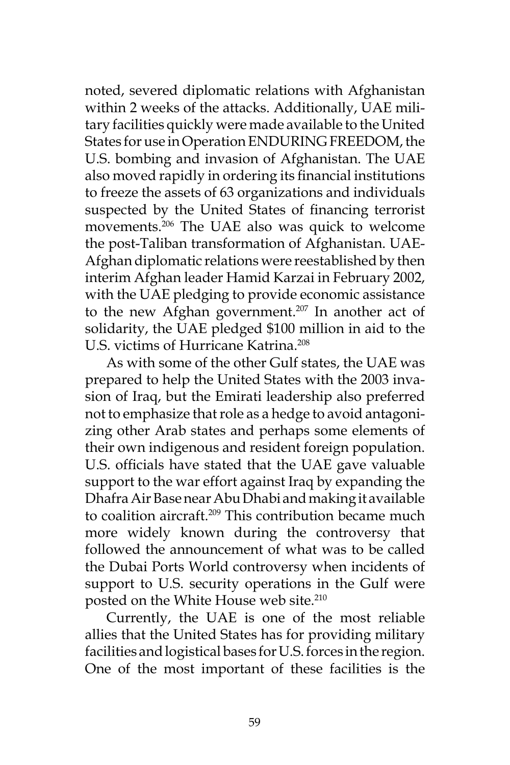noted, severed diplomatic relations with Afghanistan within 2 weeks of the attacks. Additionally, UAE military facilities quickly were made available to the United States for use in Operation ENDURING FREEDOM, the U.S. bombing and invasion of Afghanistan. The UAE also moved rapidly in ordering its financial institutions to freeze the assets of 63 organizations and individuals suspected by the United States of financing terrorist movements.206 The UAE also was quick to welcome the post-Taliban transformation of Afghanistan. UAE-Afghan diplomatic relations were reestablished by then interim Afghan leader Hamid Karzai in February 2002, with the UAE pledging to provide economic assistance to the new Afghan government.<sup>207</sup> In another act of solidarity, the UAE pledged \$100 million in aid to the U.S. victims of Hurricane Katrina.<sup>208</sup>

As with some of the other Gulf states, the UAE was prepared to help the United States with the 2003 invasion of Iraq, but the Emirati leadership also preferred not to emphasize that role as a hedge to avoid antagonizing other Arab states and perhaps some elements of their own indigenous and resident foreign population. U.S. officials have stated that the UAE gave valuable support to the war effort against Iraq by expanding the Dhafra Air Base near Abu Dhabi and making it available to coalition aircraft.<sup>209</sup> This contribution became much more widely known during the controversy that followed the announcement of what was to be called the Dubai Ports World controversy when incidents of support to U.S. security operations in the Gulf were posted on the White House web site.<sup>210</sup>

Currently, the UAE is one of the most reliable allies that the United States has for providing military facilities and logistical bases for U.S. forces in the region. One of the most important of these facilities is the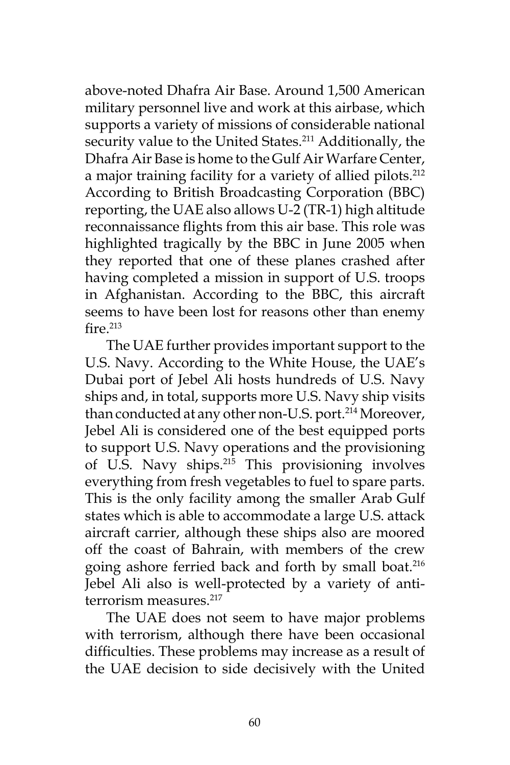above-noted Dhafra Air Base. Around 1,500 American military personnel live and work at this airbase, which supports a variety of missions of considerable national security value to the United States.<sup>211</sup> Additionally, the Dhafra Air Base is home to the Gulf Air Warfare Center, a major training facility for a variety of allied pilots.<sup>212</sup> According to British Broadcasting Corporation (BBC) reporting, the UAE also allows U-2 (TR-1) high altitude reconnaissance flights from this air base. This role was highlighted tragically by the BBC in June 2005 when they reported that one of these planes crashed after having completed a mission in support of U.S. troops in Afghanistan. According to the BBC, this aircraft seems to have been lost for reasons other than enemy  $fire<sub>213</sub>$ 

The UAE further provides important support to the U.S. Navy. According to the White House, the UAE's Dubai port of Jebel Ali hosts hundreds of U.S. Navy ships and, in total, supports more U.S. Navy ship visits than conducted at any other non-U.S. port.<sup>214</sup> Moreover, Jebel Ali is considered one of the best equipped ports to support U.S. Navy operations and the provisioning of U.S. Navy ships.215 This provisioning involves everything from fresh vegetables to fuel to spare parts. This is the only facility among the smaller Arab Gulf states which is able to accommodate a large U.S. attack aircraft carrier, although these ships also are moored off the coast of Bahrain, with members of the crew going ashore ferried back and forth by small boat.<sup>216</sup> Jebel Ali also is well-protected by a variety of antiterrorism measures.<sup>217</sup>

The UAE does not seem to have major problems with terrorism, although there have been occasional difficulties. These problems may increase as a result of the UAE decision to side decisively with the United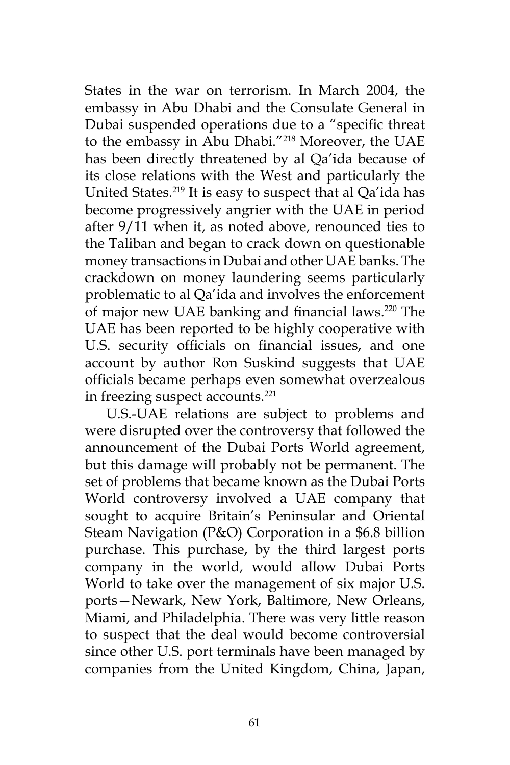States in the war on terrorism. In March 2004, the embassy in Abu Dhabi and the Consulate General in Dubai suspended operations due to a "specific threat to the embassy in Abu Dhabi."218 Moreover, the UAE has been directly threatened by al Qa'ida because of its close relations with the West and particularly the United States.<sup>219</sup> It is easy to suspect that al Qa'ida has become progressively angrier with the UAE in period after 9/11 when it, as noted above, renounced ties to the Taliban and began to crack down on questionable money transactions in Dubai and other UAE banks. The crackdown on money laundering seems particularly problematic to al Qa'ida and involves the enforcement of major new UAE banking and financial laws.<sup>220</sup> The UAE has been reported to be highly cooperative with U.S. security officials on financial issues, and one account by author Ron Suskind suggests that UAE officials became perhaps even somewhat overzealous in freezing suspect accounts.<sup>221</sup>

U.S.-UAE relations are subject to problems and were disrupted over the controversy that followed the announcement of the Dubai Ports World agreement, but this damage will probably not be permanent. The set of problems that became known as the Dubai Ports World controversy involved a UAE company that sought to acquire Britain's Peninsular and Oriental Steam Navigation (P&O) Corporation in a \$6.8 billion purchase. This purchase, by the third largest ports company in the world, would allow Dubai Ports World to take over the management of six major U.S. ports—Newark, New York, Baltimore, New Orleans, Miami, and Philadelphia. There was very little reason to suspect that the deal would become controversial since other U.S. port terminals have been managed by companies from the United Kingdom, China, Japan,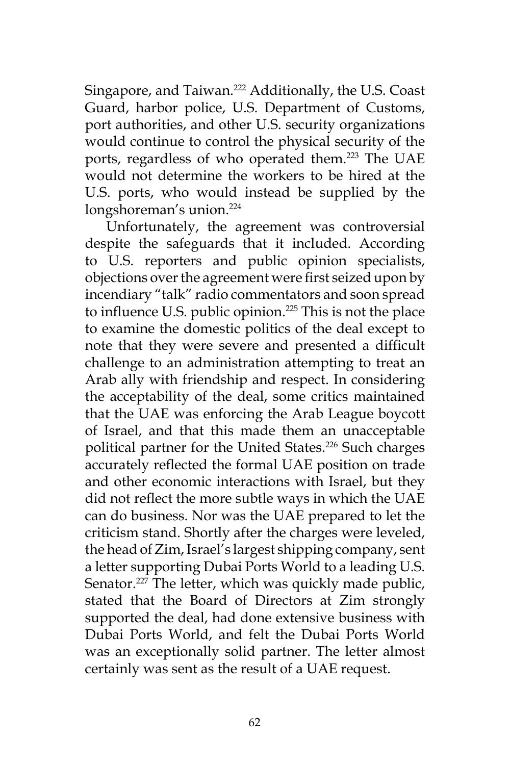Singapore, and Taiwan.<sup>222</sup> Additionally, the U.S. Coast Guard, harbor police, U.S. Department of Customs, port authorities, and other U.S. security organizations would continue to control the physical security of the ports, regardless of who operated them.<sup>223</sup> The UAE would not determine the workers to be hired at the U.S. ports, who would instead be supplied by the longshoreman's union.<sup>224</sup>

Unfortunately, the agreement was controversial despite the safeguards that it included. According to U.S. reporters and public opinion specialists, objections over the agreement were first seized upon by incendiary "talk" radio commentators and soon spread to influence U.S. public opinion.<sup>225</sup> This is not the place to examine the domestic politics of the deal except to note that they were severe and presented a difficult challenge to an administration attempting to treat an Arab ally with friendship and respect. In considering the acceptability of the deal, some critics maintained that the UAE was enforcing the Arab League boycott of Israel, and that this made them an unacceptable political partner for the United States.<sup>226</sup> Such charges accurately reflected the formal UAE position on trade and other economic interactions with Israel, but they did not reflect the more subtle ways in which the UAE can do business. Nor was the UAE prepared to let the criticism stand. Shortly after the charges were leveled, the head of Zim, Israel's largest shipping company, sent a letter supporting Dubai Ports World to a leading U.S. Senator.<sup>227</sup> The letter, which was quickly made public, stated that the Board of Directors at Zim strongly supported the deal, had done extensive business with Dubai Ports World, and felt the Dubai Ports World was an exceptionally solid partner. The letter almost certainly was sent as the result of a UAE request.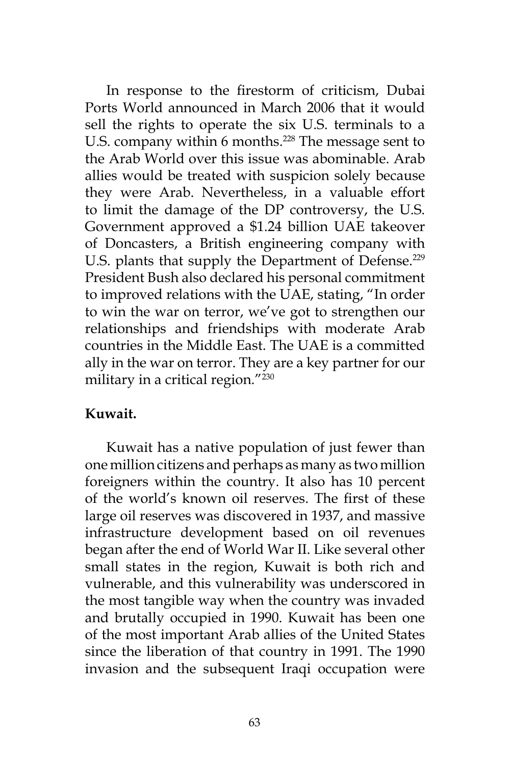In response to the firestorm of criticism, Dubai Ports World announced in March 2006 that it would sell the rights to operate the six U.S. terminals to a U.S. company within 6 months.<sup>228</sup> The message sent to the Arab World over this issue was abominable. Arab allies would be treated with suspicion solely because they were Arab. Nevertheless, in a valuable effort to limit the damage of the DP controversy, the U.S. Government approved a \$1.24 billion UAE takeover of Doncasters, a British engineering company with U.S. plants that supply the Department of Defense.<sup>229</sup> President Bush also declared his personal commitment to improved relations with the UAE, stating, "In order to win the war on terror, we've got to strengthen our relationships and friendships with moderate Arab countries in the Middle East. The UAE is a committed ally in the war on terror. They are a key partner for our military in a critical region."<sup>230</sup>

## **Kuwait.**

Kuwait has a native population of just fewer than one million citizens and perhaps as many as two million foreigners within the country. It also has 10 percent of the world's known oil reserves. The first of these large oil reserves was discovered in 1937, and massive infrastructure development based on oil revenues began after the end of World War II. Like several other small states in the region, Kuwait is both rich and vulnerable, and this vulnerability was underscored in the most tangible way when the country was invaded and brutally occupied in 1990. Kuwait has been one of the most important Arab allies of the United States since the liberation of that country in 1991. The 1990 invasion and the subsequent Iraqi occupation were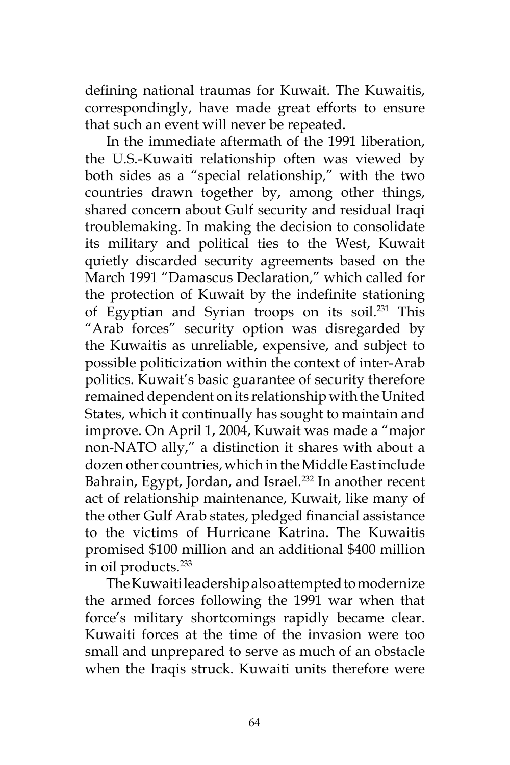defining national traumas for Kuwait. The Kuwaitis, correspondingly, have made great efforts to ensure that such an event will never be repeated.

In the immediate aftermath of the 1991 liberation, the U.S.-Kuwaiti relationship often was viewed by both sides as a "special relationship," with the two countries drawn together by, among other things, shared concern about Gulf security and residual Iraqi troublemaking. In making the decision to consolidate its military and political ties to the West, Kuwait quietly discarded security agreements based on the March 1991 "Damascus Declaration," which called for the protection of Kuwait by the indefinite stationing of Egyptian and Syrian troops on its soil.<sup>231</sup> This "Arab forces" security option was disregarded by the Kuwaitis as unreliable, expensive, and subject to possible politicization within the context of inter-Arab politics. Kuwait's basic guarantee of security therefore remained dependent on its relationship with the United States, which it continually has sought to maintain and improve. On April 1, 2004, Kuwait was made a "major non-NATO ally," a distinction it shares with about a dozen other countries, which in the Middle East include Bahrain, Egypt, Jordan, and Israel.<sup>232</sup> In another recent act of relationship maintenance, Kuwait, like many of the other Gulf Arab states, pledged financial assistance to the victims of Hurricane Katrina. The Kuwaitis promised \$100 million and an additional \$400 million in oil products.233

The Kuwaiti leadership also attempted to modernize the armed forces following the 1991 war when that force's military shortcomings rapidly became clear. Kuwaiti forces at the time of the invasion were too small and unprepared to serve as much of an obstacle when the Iraqis struck. Kuwaiti units therefore were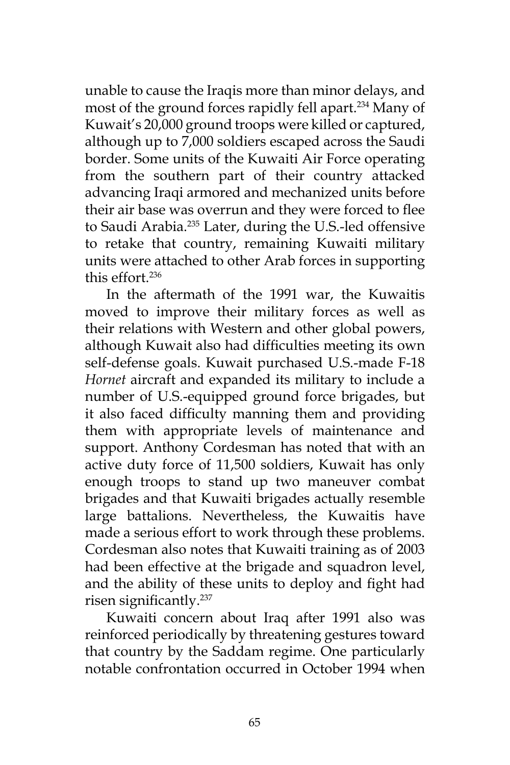unable to cause the Iraqis more than minor delays, and most of the ground forces rapidly fell apart.<sup>234</sup> Many of Kuwait's 20,000 ground troops were killed or captured, although up to 7,000 soldiers escaped across the Saudi border. Some units of the Kuwaiti Air Force operating from the southern part of their country attacked advancing Iraqi armored and mechanized units before their air base was overrun and they were forced to flee to Saudi Arabia.<sup>235</sup> Later, during the U.S.-led offensive to retake that country, remaining Kuwaiti military units were attached to other Arab forces in supporting this effort.236

In the aftermath of the 1991 war, the Kuwaitis moved to improve their military forces as well as their relations with Western and other global powers, although Kuwait also had difficulties meeting its own self-defense goals. Kuwait purchased U.S.-made F-18 *Hornet* aircraft and expanded its military to include a number of U.S.-equipped ground force brigades, but it also faced difficulty manning them and providing them with appropriate levels of maintenance and support. Anthony Cordesman has noted that with an active duty force of 11,500 soldiers, Kuwait has only enough troops to stand up two maneuver combat brigades and that Kuwaiti brigades actually resemble large battalions. Nevertheless, the Kuwaitis have made a serious effort to work through these problems. Cordesman also notes that Kuwaiti training as of 2003 had been effective at the brigade and squadron level, and the ability of these units to deploy and fight had risen significantly.<sup>237</sup>

Kuwaiti concern about Iraq after 1991 also was reinforced periodically by threatening gestures toward that country by the Saddam regime. One particularly notable confrontation occurred in October 1994 when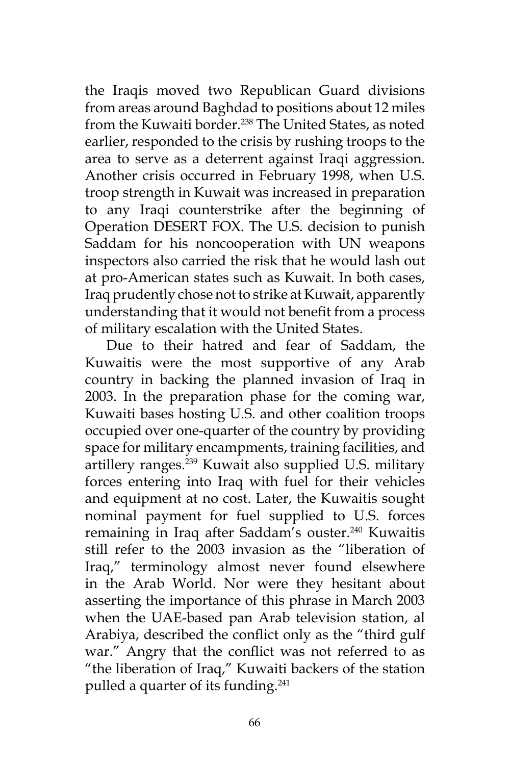the Iraqis moved two Republican Guard divisions from areas around Baghdad to positions about 12 miles from the Kuwaiti border.<sup>238</sup> The United States, as noted earlier, responded to the crisis by rushing troops to the area to serve as a deterrent against Iraqi aggression. Another crisis occurred in February 1998, when U.S. troop strength in Kuwait was increased in preparation to any Iraqi counterstrike after the beginning of Operation DESERT FOX. The U.S. decision to punish Saddam for his noncooperation with UN weapons inspectors also carried the risk that he would lash out at pro-American states such as Kuwait. In both cases, Iraq prudently chose not to strike at Kuwait, apparently understanding that it would not benefit from a process of military escalation with the United States.

Due to their hatred and fear of Saddam, the Kuwaitis were the most supportive of any Arab country in backing the planned invasion of Iraq in 2003. In the preparation phase for the coming war, Kuwaiti bases hosting U.S. and other coalition troops occupied over one-quarter of the country by providing space for military encampments, training facilities, and artillery ranges.<sup>239</sup> Kuwait also supplied U.S. military forces entering into Iraq with fuel for their vehicles and equipment at no cost. Later, the Kuwaitis sought nominal payment for fuel supplied to U.S. forces remaining in Iraq after Saddam's ouster.<sup>240</sup> Kuwaitis still refer to the 2003 invasion as the "liberation of Iraq," terminology almost never found elsewhere in the Arab World. Nor were they hesitant about asserting the importance of this phrase in March 2003 when the UAE-based pan Arab television station, al Arabiya, described the conflict only as the "third gulf war." Angry that the conflict was not referred to as "the liberation of Iraq," Kuwaiti backers of the station pulled a quarter of its funding.<sup>241</sup>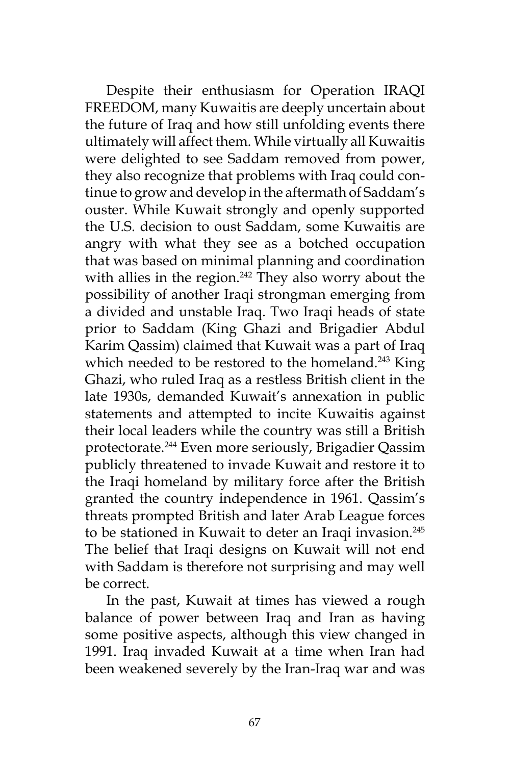Despite their enthusiasm for Operation IRAQI FREEDOM, many Kuwaitis are deeply uncertain about the future of Iraq and how still unfolding events there ultimately will affect them. While virtually all Kuwaitis were delighted to see Saddam removed from power, they also recognize that problems with Iraq could continue to grow and develop in the aftermath of Saddam's ouster. While Kuwait strongly and openly supported the U.S. decision to oust Saddam, some Kuwaitis are angry with what they see as a botched occupation that was based on minimal planning and coordination with allies in the region.<sup>242</sup> They also worry about the possibility of another Iraqi strongman emerging from a divided and unstable Iraq. Two Iraqi heads of state prior to Saddam (King Ghazi and Brigadier Abdul Karim Qassim) claimed that Kuwait was a part of Iraq which needed to be restored to the homeland.<sup>243</sup> King Ghazi, who ruled Iraq as a restless British client in the late 1930s, demanded Kuwait's annexation in public statements and attempted to incite Kuwaitis against their local leaders while the country was still a British protectorate.244 Even more seriously, Brigadier Qassim publicly threatened to invade Kuwait and restore it to the Iraqi homeland by military force after the British granted the country independence in 1961. Qassim's threats prompted British and later Arab League forces to be stationed in Kuwait to deter an Iraqi invasion.<sup>245</sup> The belief that Iraqi designs on Kuwait will not end with Saddam is therefore not surprising and may well be correct.

In the past, Kuwait at times has viewed a rough balance of power between Iraq and Iran as having some positive aspects, although this view changed in 1991. Iraq invaded Kuwait at a time when Iran had been weakened severely by the Iran-Iraq war and was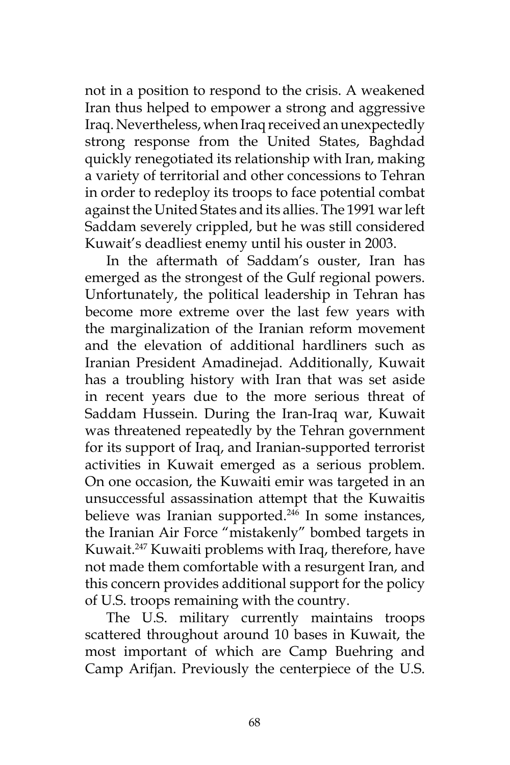not in a position to respond to the crisis. A weakened Iran thus helped to empower a strong and aggressive Iraq. Nevertheless, when Iraq received an unexpectedly strong response from the United States, Baghdad quickly renegotiated its relationship with Iran, making a variety of territorial and other concessions to Tehran in order to redeploy its troops to face potential combat against the United States and its allies. The 1991 war left Saddam severely crippled, but he was still considered Kuwait's deadliest enemy until his ouster in 2003.

In the aftermath of Saddam's ouster, Iran has emerged as the strongest of the Gulf regional powers. Unfortunately, the political leadership in Tehran has become more extreme over the last few years with the marginalization of the Iranian reform movement and the elevation of additional hardliners such as Iranian President Amadinejad. Additionally, Kuwait has a troubling history with Iran that was set aside in recent years due to the more serious threat of Saddam Hussein. During the Iran-Iraq war, Kuwait was threatened repeatedly by the Tehran government for its support of Iraq, and Iranian-supported terrorist activities in Kuwait emerged as a serious problem. On one occasion, the Kuwaiti emir was targeted in an unsuccessful assassination attempt that the Kuwaitis believe was Iranian supported. $246$  In some instances, the Iranian Air Force "mistakenly" bombed targets in Kuwait.<sup>247</sup> Kuwaiti problems with Iraq, therefore, have not made them comfortable with a resurgent Iran, and this concern provides additional support for the policy of U.S. troops remaining with the country.

The U.S. military currently maintains troops scattered throughout around 10 bases in Kuwait, the most important of which are Camp Buehring and Camp Arifjan. Previously the centerpiece of the U.S.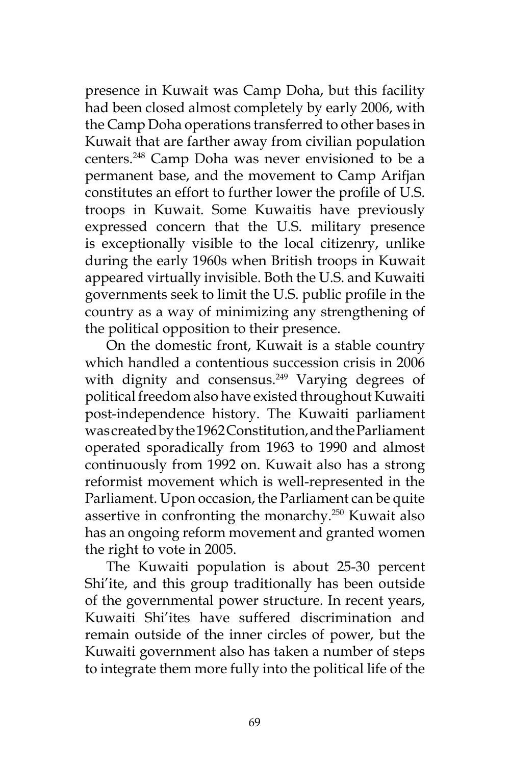presence in Kuwait was Camp Doha, but this facility had been closed almost completely by early 2006, with the Camp Doha operations transferred to other bases in Kuwait that are farther away from civilian population centers.248 Camp Doha was never envisioned to be a permanent base, and the movement to Camp Arifjan constitutes an effort to further lower the profile of U.S. troops in Kuwait. Some Kuwaitis have previously expressed concern that the U.S. military presence is exceptionally visible to the local citizenry, unlike during the early 1960s when British troops in Kuwait appeared virtually invisible. Both the U.S. and Kuwaiti governments seek to limit the U.S. public profile in the country as a way of minimizing any strengthening of the political opposition to their presence.

On the domestic front, Kuwait is a stable country which handled a contentious succession crisis in 2006 with dignity and consensus.<sup>249</sup> Varying degrees of political freedom also have existed throughout Kuwaiti post-independence history. The Kuwaiti parliament was created by the 1962 Constitution, and the Parliament operated sporadically from 1963 to 1990 and almost continuously from 1992 on. Kuwait also has a strong reformist movement which is well-represented in the Parliament. Upon occasion, the Parliament can be quite assertive in confronting the monarchy.250 Kuwait also has an ongoing reform movement and granted women the right to vote in 2005.

The Kuwaiti population is about 25-30 percent Shi'ite, and this group traditionally has been outside of the governmental power structure. In recent years, Kuwaiti Shi'ites have suffered discrimination and remain outside of the inner circles of power, but the Kuwaiti government also has taken a number of steps to integrate them more fully into the political life of the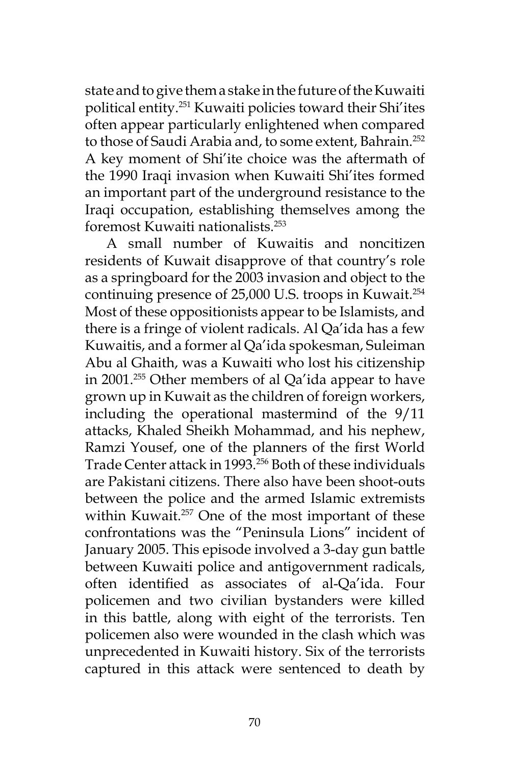state and to give them a stake in the future of the Kuwaiti political entity.251 Kuwaiti policies toward their Shi'ites often appear particularly enlightened when compared to those of Saudi Arabia and, to some extent, Bahrain.<sup>252</sup> A key moment of Shi'ite choice was the aftermath of the 1990 Iraqi invasion when Kuwaiti Shi'ites formed an important part of the underground resistance to the Iraqi occupation, establishing themselves among the foremost Kuwaiti nationalists.253

A small number of Kuwaitis and noncitizen residents of Kuwait disapprove of that country's role as a springboard for the 2003 invasion and object to the continuing presence of 25,000 U.S. troops in Kuwait.<sup>254</sup> Most of these oppositionists appear to be Islamists, and there is a fringe of violent radicals. Al Qa'ida has a few Kuwaitis, and a former al Qa'ida spokesman, Suleiman Abu al Ghaith, was a Kuwaiti who lost his citizenship in 2001.<sup>255</sup> Other members of al Qa'ida appear to have grown up in Kuwait as the children of foreign workers, including the operational mastermind of the 9/11 attacks, Khaled Sheikh Mohammad, and his nephew, Ramzi Yousef, one of the planners of the first World Trade Center attack in 1993.256 Both of these individuals are Pakistani citizens. There also have been shoot-outs between the police and the armed Islamic extremists within Kuwait.<sup>257</sup> One of the most important of these confrontations was the "Peninsula Lions" incident of January 2005. This episode involved a 3-day gun battle between Kuwaiti police and antigovernment radicals, often identified as associates of al-Qa'ida. Four policemen and two civilian bystanders were killed in this battle, along with eight of the terrorists. Ten policemen also were wounded in the clash which was unprecedented in Kuwaiti history. Six of the terrorists captured in this attack were sentenced to death by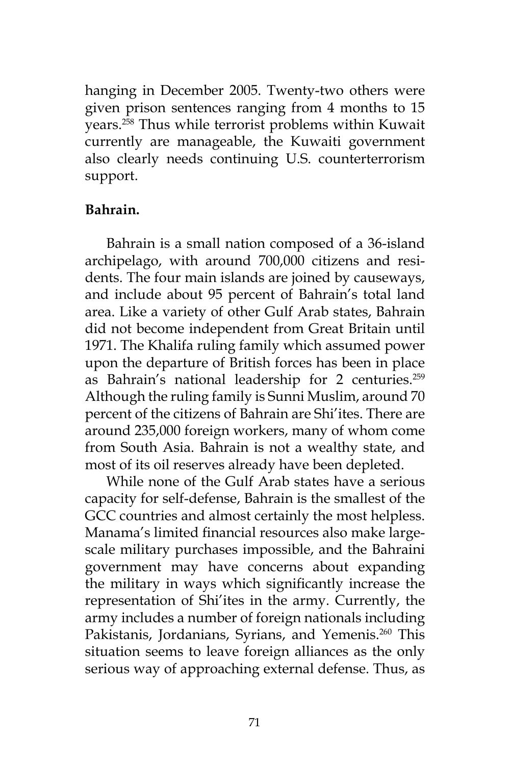hanging in December 2005. Twenty-two others were given prison sentences ranging from 4 months to 15 years.258 Thus while terrorist problems within Kuwait currently are manageable, the Kuwaiti government also clearly needs continuing U.S. counterterrorism support.

## **Bahrain.**

Bahrain is a small nation composed of a 36-island archipelago, with around 700,000 citizens and residents. The four main islands are joined by causeways, and include about 95 percent of Bahrain's total land area. Like a variety of other Gulf Arab states, Bahrain did not become independent from Great Britain until 1971. The Khalifa ruling family which assumed power upon the departure of British forces has been in place as Bahrain's national leadership for 2 centuries.<sup>259</sup> Although the ruling family is Sunni Muslim, around 70 percent of the citizens of Bahrain are Shi'ites. There are around 235,000 foreign workers, many of whom come from South Asia. Bahrain is not a wealthy state, and most of its oil reserves already have been depleted.

While none of the Gulf Arab states have a serious capacity for self-defense, Bahrain is the smallest of the GCC countries and almost certainly the most helpless. Manama's limited financial resources also make largescale military purchases impossible, and the Bahraini government may have concerns about expanding the military in ways which significantly increase the representation of Shi'ites in the army. Currently, the army includes a number of foreign nationals including Pakistanis, Jordanians, Syrians, and Yemenis.<sup>260</sup> This situation seems to leave foreign alliances as the only serious way of approaching external defense. Thus, as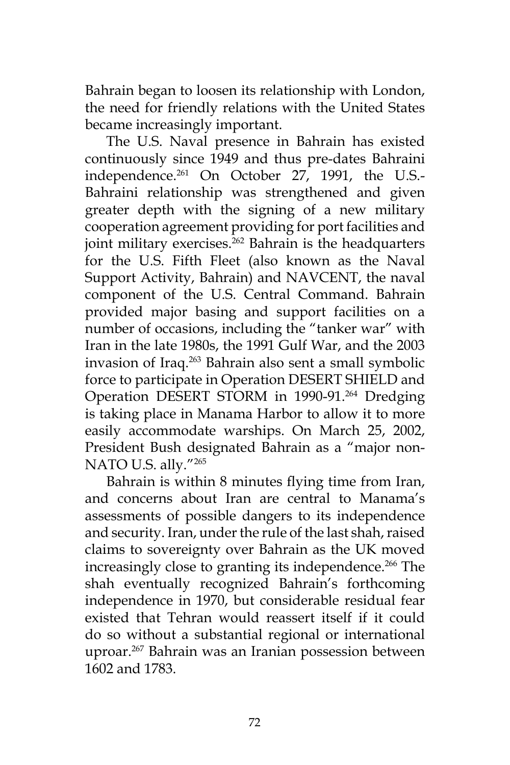Bahrain began to loosen its relationship with London, the need for friendly relations with the United States became increasingly important.

The U.S. Naval presence in Bahrain has existed continuously since 1949 and thus pre-dates Bahraini independence.261 On October 27, 1991, the U.S.- Bahraini relationship was strengthened and given greater depth with the signing of a new military cooperation agreement providing for port facilities and joint military exercises.<sup>262</sup> Bahrain is the headquarters for the U.S. Fifth Fleet (also known as the Naval Support Activity, Bahrain) and NAVCENT, the naval component of the U.S. Central Command. Bahrain provided major basing and support facilities on a number of occasions, including the "tanker war" with Iran in the late 1980s, the 1991 Gulf War, and the 2003 invasion of Iraq.<sup>263</sup> Bahrain also sent a small symbolic force to participate in Operation DESERT SHIELD and Operation DESERT STORM in 1990-91.<sup>264</sup> Dredging is taking place in Manama Harbor to allow it to more easily accommodate warships. On March 25, 2002, President Bush designated Bahrain as a "major non-NATO U.S. ally."<sup>265</sup>

Bahrain is within 8 minutes flying time from Iran, and concerns about Iran are central to Manama's assessments of possible dangers to its independence and security. Iran, under the rule of the last shah, raised claims to sovereignty over Bahrain as the UK moved increasingly close to granting its independence.<sup>266</sup> The shah eventually recognized Bahrain's forthcoming independence in 1970, but considerable residual fear existed that Tehran would reassert itself if it could do so without a substantial regional or international uproar.267 Bahrain was an Iranian possession between 1602 and 1783.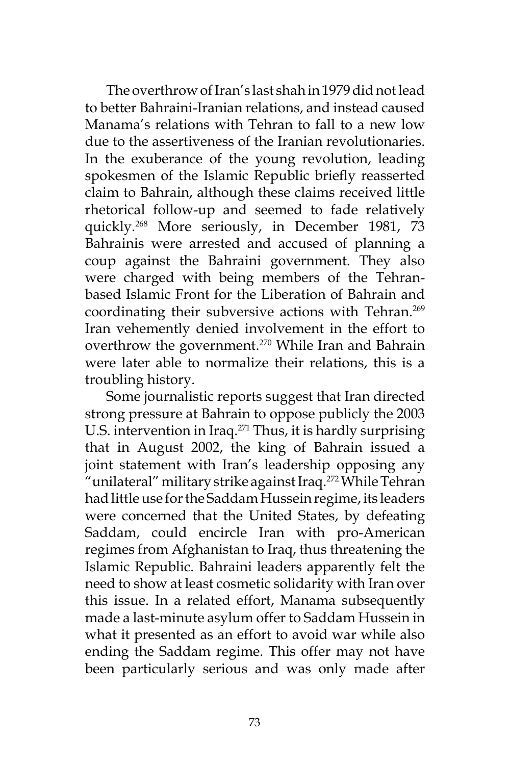The overthrow of Iran's last shah in 1979 did not lead to better Bahraini-Iranian relations, and instead caused Manama's relations with Tehran to fall to a new low due to the assertiveness of the Iranian revolutionaries. In the exuberance of the young revolution, leading spokesmen of the Islamic Republic briefly reasserted claim to Bahrain, although these claims received little rhetorical follow-up and seemed to fade relatively quickly.268 More seriously, in December 1981, 73 Bahrainis were arrested and accused of planning a coup against the Bahraini government. They also were charged with being members of the Tehranbased Islamic Front for the Liberation of Bahrain and coordinating their subversive actions with Tehran.<sup>269</sup> Iran vehemently denied involvement in the effort to overthrow the government.<sup>270</sup> While Iran and Bahrain were later able to normalize their relations, this is a troubling history.

Some journalistic reports suggest that Iran directed strong pressure at Bahrain to oppose publicly the 2003 U.S. intervention in Iraq.<sup>271</sup> Thus, it is hardly surprising that in August 2002, the king of Bahrain issued a joint statement with Iran's leadership opposing any "unilateral" military strike against Iraq.<sup>272</sup> While Tehran had little use for the Saddam Hussein regime, its leaders were concerned that the United States, by defeating Saddam, could encircle Iran with pro-American regimes from Afghanistan to Iraq, thus threatening the Islamic Republic. Bahraini leaders apparently felt the need to show at least cosmetic solidarity with Iran over this issue. In a related effort, Manama subsequently made a last-minute asylum offer to Saddam Hussein in what it presented as an effort to avoid war while also ending the Saddam regime. This offer may not have been particularly serious and was only made after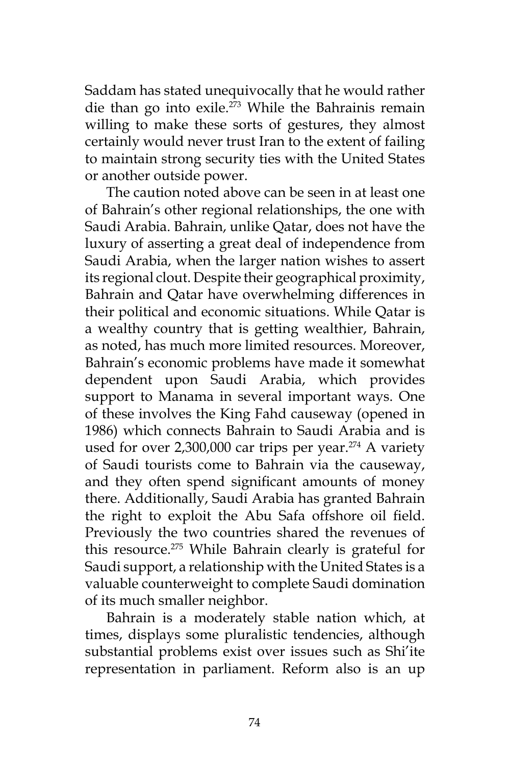Saddam has stated unequivocally that he would rather die than go into exile.<sup>273</sup> While the Bahrainis remain willing to make these sorts of gestures, they almost certainly would never trust Iran to the extent of failing to maintain strong security ties with the United States or another outside power.

The caution noted above can be seen in at least one of Bahrain's other regional relationships, the one with Saudi Arabia. Bahrain, unlike Qatar, does not have the luxury of asserting a great deal of independence from Saudi Arabia, when the larger nation wishes to assert its regional clout. Despite their geographical proximity, Bahrain and Qatar have overwhelming differences in their political and economic situations. While Qatar is a wealthy country that is getting wealthier, Bahrain, as noted, has much more limited resources. Moreover, Bahrain's economic problems have made it somewhat dependent upon Saudi Arabia, which provides support to Manama in several important ways. One of these involves the King Fahd causeway (opened in 1986) which connects Bahrain to Saudi Arabia and is used for over  $2,300,000$  car trips per year.<sup>274</sup> A variety of Saudi tourists come to Bahrain via the causeway, and they often spend significant amounts of money there. Additionally, Saudi Arabia has granted Bahrain the right to exploit the Abu Safa offshore oil field. Previously the two countries shared the revenues of this resource.275 While Bahrain clearly is grateful for Saudi support, a relationship with the United States is a valuable counterweight to complete Saudi domination of its much smaller neighbor.

Bahrain is a moderately stable nation which, at times, displays some pluralistic tendencies, although substantial problems exist over issues such as Shi'ite representation in parliament. Reform also is an up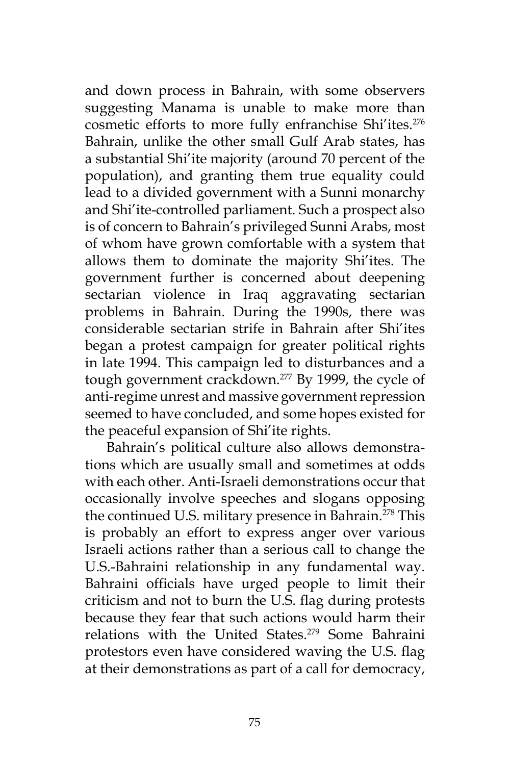and down process in Bahrain, with some observers suggesting Manama is unable to make more than cosmetic efforts to more fully enfranchise Shi'ites.<sup>276</sup> Bahrain, unlike the other small Gulf Arab states, has a substantial Shi'ite majority (around 70 percent of the population), and granting them true equality could lead to a divided government with a Sunni monarchy and Shi'ite-controlled parliament. Such a prospect also is of concern to Bahrain's privileged Sunni Arabs, most of whom have grown comfortable with a system that allows them to dominate the majority Shi'ites. The government further is concerned about deepening sectarian violence in Iraq aggravating sectarian problems in Bahrain. During the 1990s, there was considerable sectarian strife in Bahrain after Shi'ites began a protest campaign for greater political rights in late 1994. This campaign led to disturbances and a tough government crackdown.<sup>277</sup> By 1999, the cycle of anti-regime unrest and massive government repression seemed to have concluded, and some hopes existed for the peaceful expansion of Shi'ite rights.

Bahrain's political culture also allows demonstrations which are usually small and sometimes at odds with each other. Anti-Israeli demonstrations occur that occasionally involve speeches and slogans opposing the continued U.S. military presence in Bahrain.<sup>278</sup> This is probably an effort to express anger over various Israeli actions rather than a serious call to change the U.S.-Bahraini relationship in any fundamental way. Bahraini officials have urged people to limit their criticism and not to burn the U.S. flag during protests because they fear that such actions would harm their relations with the United States.<sup>279</sup> Some Bahraini protestors even have considered waving the U.S. flag at their demonstrations as part of a call for democracy,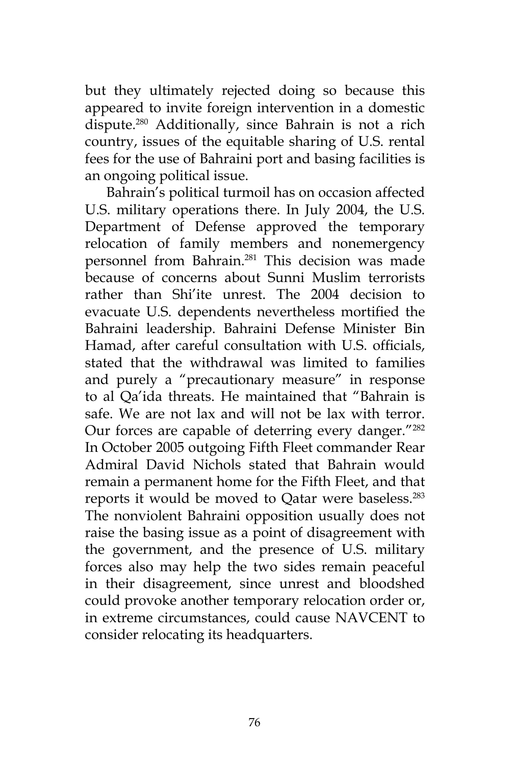but they ultimately rejected doing so because this appeared to invite foreign intervention in a domestic dispute.280 Additionally, since Bahrain is not a rich country, issues of the equitable sharing of U.S. rental fees for the use of Bahraini port and basing facilities is an ongoing political issue.

Bahrain's political turmoil has on occasion affected U.S. military operations there. In July 2004, the U.S. Department of Defense approved the temporary relocation of family members and nonemergency personnel from Bahrain.<sup>281</sup> This decision was made because of concerns about Sunni Muslim terrorists rather than Shi'ite unrest. The 2004 decision to evacuate U.S. dependents nevertheless mortified the Bahraini leadership. Bahraini Defense Minister Bin Hamad, after careful consultation with U.S. officials, stated that the withdrawal was limited to families and purely a "precautionary measure" in response to al Qa'ida threats. He maintained that "Bahrain is safe. We are not lax and will not be lax with terror. Our forces are capable of deterring every danger."<sup>282</sup> In October 2005 outgoing Fifth Fleet commander Rear Admiral David Nichols stated that Bahrain would remain a permanent home for the Fifth Fleet, and that reports it would be moved to Qatar were baseless.<sup>283</sup> The nonviolent Bahraini opposition usually does not raise the basing issue as a point of disagreement with the government, and the presence of U.S. military forces also may help the two sides remain peaceful in their disagreement, since unrest and bloodshed could provoke another temporary relocation order or, in extreme circumstances, could cause NAVCENT to consider relocating its headquarters.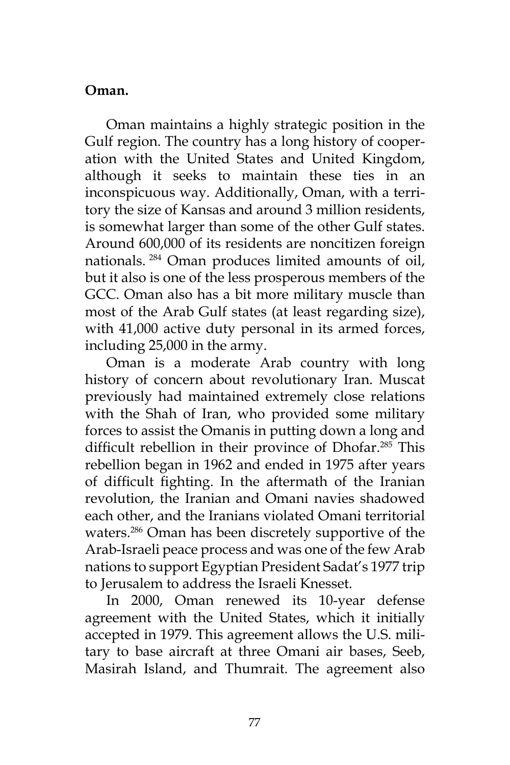# **Oman.**

Oman maintains a highly strategic position in the Gulf region. The country has a long history of cooperation with the United States and United Kingdom, although it seeks to maintain these ties in an inconspicuous way. Additionally, Oman, with a territory the size of Kansas and around 3 million residents, is somewhat larger than some of the other Gulf states. Around 600,000 of its residents are noncitizen foreign nationals. 284 Oman produces limited amounts of oil, but it also is one of the less prosperous members of the GCC. Oman also has a bit more military muscle than most of the Arab Gulf states (at least regarding size), with 41,000 active duty personal in its armed forces, including 25,000 in the army.

Oman is a moderate Arab country with long history of concern about revolutionary Iran. Muscat previously had maintained extremely close relations with the Shah of Iran, who provided some military forces to assist the Omanis in putting down a long and difficult rebellion in their province of Dhofar.285 This rebellion began in 1962 and ended in 1975 after years of difficult fighting. In the aftermath of the Iranian revolution, the Iranian and Omani navies shadowed each other, and the Iranians violated Omani territorial waters.286 Oman has been discretely supportive of the Arab-Israeli peace process and was one of the few Arab nations to support Egyptian President Sadat's 1977 trip to Jerusalem to address the Israeli Knesset.

In 2000, Oman renewed its 10-year defense agreement with the United States, which it initially accepted in 1979. This agreement allows the U.S. military to base aircraft at three Omani air bases, Seeb, Masirah Island, and Thumrait. The agreement also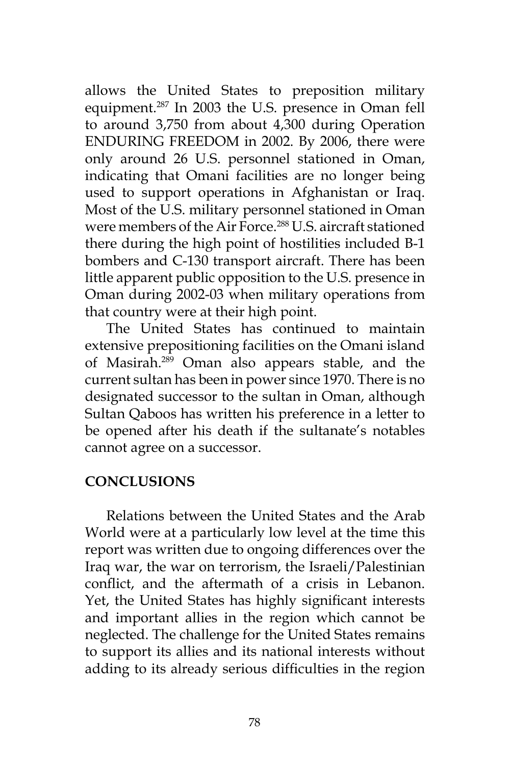allows the United States to preposition military equipment.287 In 2003 the U.S. presence in Oman fell to around 3,750 from about 4,300 during Operation ENDURING FREEDOM in 2002. By 2006, there were only around 26 U.S. personnel stationed in Oman, indicating that Omani facilities are no longer being used to support operations in Afghanistan or Iraq. Most of the U.S. military personnel stationed in Oman were members of the Air Force.<sup>288</sup> U.S. aircraft stationed there during the high point of hostilities included B-1 bombers and C-130 transport aircraft. There has been little apparent public opposition to the U.S. presence in Oman during 2002-03 when military operations from that country were at their high point.

The United States has continued to maintain extensive prepositioning facilities on the Omani island of Masirah.289 Oman also appears stable, and the current sultan has been in power since 1970. There is no designated successor to the sultan in Oman, although Sultan Qaboos has written his preference in a letter to be opened after his death if the sultanate's notables cannot agree on a successor.

## **CONCLUSIONS**

Relations between the United States and the Arab World were at a particularly low level at the time this report was written due to ongoing differences over the Iraq war, the war on terrorism, the Israeli/Palestinian conflict, and the aftermath of a crisis in Lebanon. Yet, the United States has highly significant interests and important allies in the region which cannot be neglected. The challenge for the United States remains to support its allies and its national interests without adding to its already serious difficulties in the region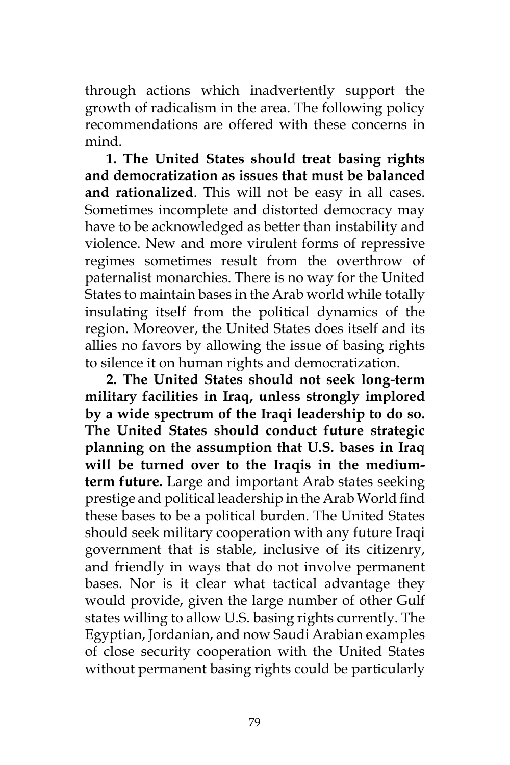through actions which inadvertently support the growth of radicalism in the area. The following policy recommendations are offered with these concerns in mind.

**1. The United States should treat basing rights and democratization as issues that must be balanced and rationalized**. This will not be easy in all cases. Sometimes incomplete and distorted democracy may have to be acknowledged as better than instability and violence. New and more virulent forms of repressive regimes sometimes result from the overthrow of paternalist monarchies. There is no way for the United States to maintain bases in the Arab world while totally insulating itself from the political dynamics of the region. Moreover, the United States does itself and its allies no favors by allowing the issue of basing rights to silence it on human rights and democratization.

**2. The United States should not seek long-term military facilities in Iraq, unless strongly implored by a wide spectrum of the Iraqi leadership to do so. The United States should conduct future strategic planning on the assumption that U.S. bases in Iraq will be turned over to the Iraqis in the mediumterm future.** Large and important Arab states seeking prestige and political leadership in the Arab World find these bases to be a political burden. The United States should seek military cooperation with any future Iraqi government that is stable, inclusive of its citizenry, and friendly in ways that do not involve permanent bases. Nor is it clear what tactical advantage they would provide, given the large number of other Gulf states willing to allow U.S. basing rights currently. The Egyptian, Jordanian, and now Saudi Arabian examples of close security cooperation with the United States without permanent basing rights could be particularly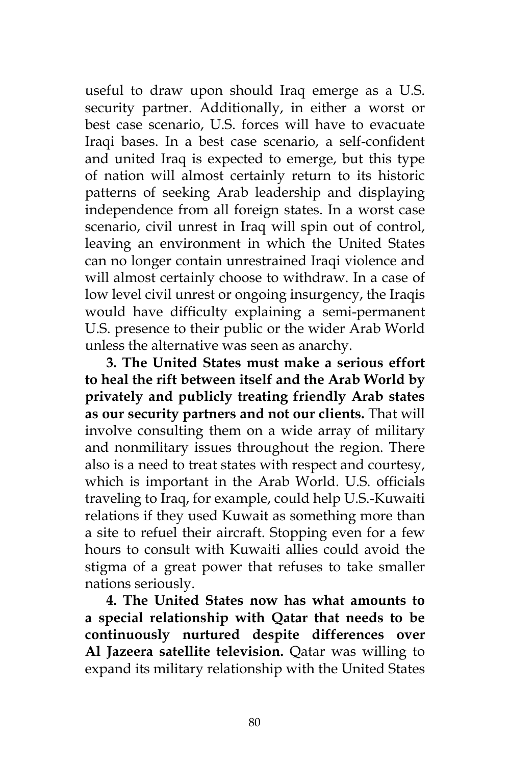useful to draw upon should Iraq emerge as a U.S. security partner. Additionally, in either a worst or best case scenario, U.S. forces will have to evacuate Iraqi bases. In a best case scenario, a self-confident and united Iraq is expected to emerge, but this type of nation will almost certainly return to its historic patterns of seeking Arab leadership and displaying independence from all foreign states. In a worst case scenario, civil unrest in Iraq will spin out of control, leaving an environment in which the United States can no longer contain unrestrained Iraqi violence and will almost certainly choose to withdraw. In a case of low level civil unrest or ongoing insurgency, the Iraqis would have difficulty explaining a semi-permanent U.S. presence to their public or the wider Arab World unless the alternative was seen as anarchy.

**3. The United States must make a serious effort to heal the rift between itself and the Arab World by privately and publicly treating friendly Arab states as our security partners and not our clients.** That will involve consulting them on a wide array of military and nonmilitary issues throughout the region. There also is a need to treat states with respect and courtesy, which is important in the Arab World. U.S. officials traveling to Iraq, for example, could help U.S.-Kuwaiti relations if they used Kuwait as something more than a site to refuel their aircraft. Stopping even for a few hours to consult with Kuwaiti allies could avoid the stigma of a great power that refuses to take smaller nations seriously.

**4. The United States now has what amounts to a special relationship with Qatar that needs to be continuously nurtured despite differences over Al Jazeera satellite television.** Qatar was willing to expand its military relationship with the United States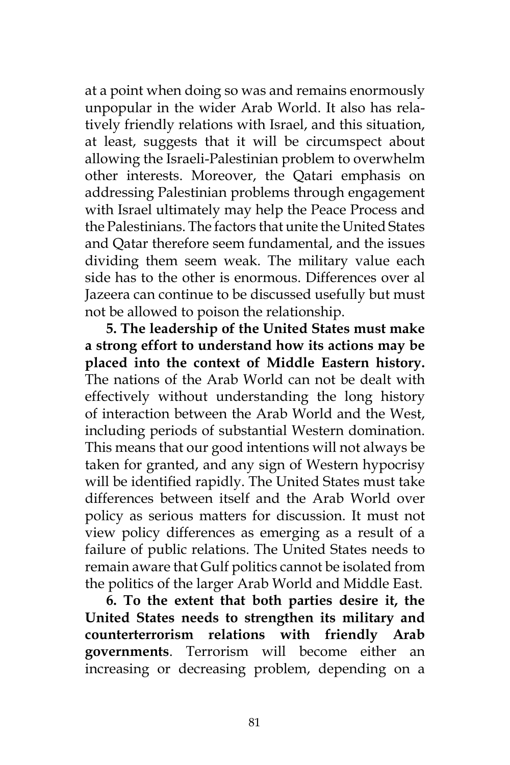at a point when doing so was and remains enormously unpopular in the wider Arab World. It also has relatively friendly relations with Israel, and this situation, at least, suggests that it will be circumspect about allowing the Israeli-Palestinian problem to overwhelm other interests. Moreover, the Qatari emphasis on addressing Palestinian problems through engagement with Israel ultimately may help the Peace Process and the Palestinians. The factors that unite the United States and Qatar therefore seem fundamental, and the issues dividing them seem weak. The military value each side has to the other is enormous. Differences over al Jazeera can continue to be discussed usefully but must not be allowed to poison the relationship.

**5. The leadership of the United States must make a strong effort to understand how its actions may be placed into the context of Middle Eastern history.**  The nations of the Arab World can not be dealt with effectively without understanding the long history of interaction between the Arab World and the West, including periods of substantial Western domination. This means that our good intentions will not always be taken for granted, and any sign of Western hypocrisy will be identified rapidly. The United States must take differences between itself and the Arab World over policy as serious matters for discussion. It must not view policy differences as emerging as a result of a failure of public relations. The United States needs to remain aware that Gulf politics cannot be isolated from the politics of the larger Arab World and Middle East.

**6. To the extent that both parties desire it, the United States needs to strengthen its military and counterterrorism relations with friendly Arab governments**. Terrorism will become either an increasing or decreasing problem, depending on a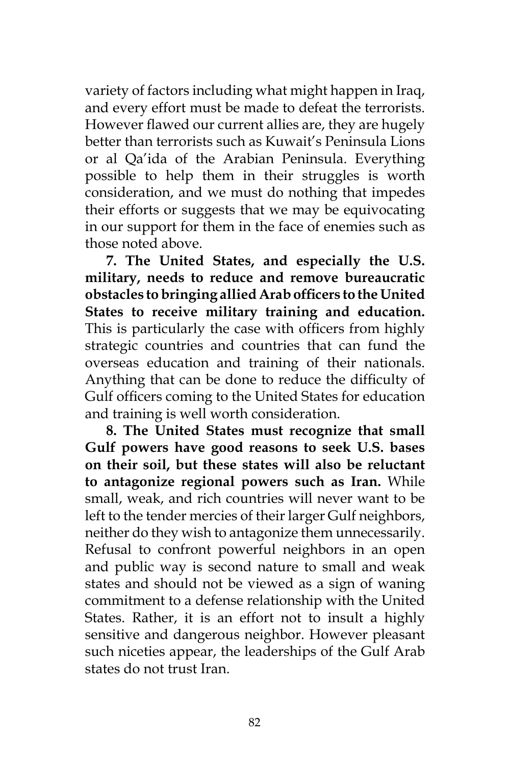variety of factors including what might happen in Iraq, and every effort must be made to defeat the terrorists. However flawed our current allies are, they are hugely better than terrorists such as Kuwait's Peninsula Lions or al Qa'ida of the Arabian Peninsula. Everything possible to help them in their struggles is worth consideration, and we must do nothing that impedes their efforts or suggests that we may be equivocating in our support for them in the face of enemies such as those noted above.

**7. The United States, and especially the U.S. military, needs to reduce and remove bureaucratic obstacles to bringing allied Arab officers to the United States to receive military training and education.** This is particularly the case with officers from highly strategic countries and countries that can fund the overseas education and training of their nationals. Anything that can be done to reduce the difficulty of Gulf officers coming to the United States for education and training is well worth consideration.

**8. The United States must recognize that small Gulf powers have good reasons to seek U.S. bases on their soil, but these states will also be reluctant to antagonize regional powers such as Iran.** While small, weak, and rich countries will never want to be left to the tender mercies of their larger Gulf neighbors, neither do they wish to antagonize them unnecessarily. Refusal to confront powerful neighbors in an open and public way is second nature to small and weak states and should not be viewed as a sign of waning commitment to a defense relationship with the United States. Rather, it is an effort not to insult a highly sensitive and dangerous neighbor. However pleasant such niceties appear, the leaderships of the Gulf Arab states do not trust Iran.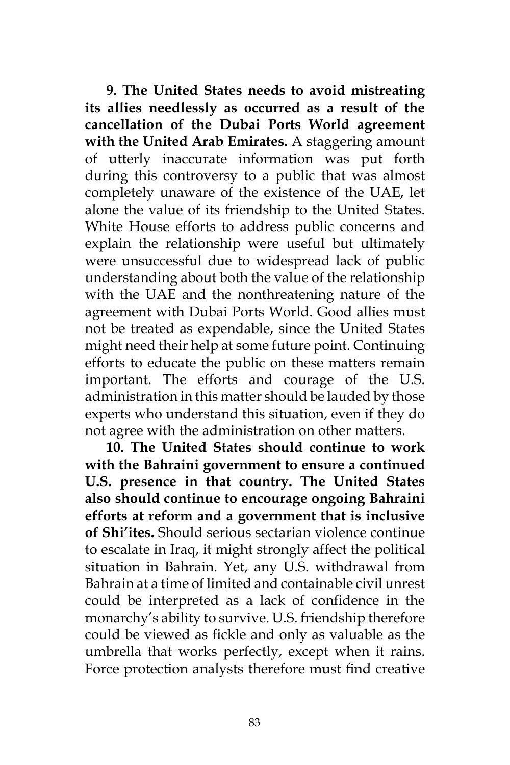**9. The United States needs to avoid mistreating its allies needlessly as occurred as a result of the cancellation of the Dubai Ports World agreement with the United Arab Emirates.** A staggering amount of utterly inaccurate information was put forth during this controversy to a public that was almost completely unaware of the existence of the UAE, let alone the value of its friendship to the United States. White House efforts to address public concerns and explain the relationship were useful but ultimately were unsuccessful due to widespread lack of public understanding about both the value of the relationship with the UAE and the nonthreatening nature of the agreement with Dubai Ports World. Good allies must not be treated as expendable, since the United States might need their help at some future point. Continuing efforts to educate the public on these matters remain important. The efforts and courage of the U.S. administration in this matter should be lauded by those experts who understand this situation, even if they do not agree with the administration on other matters.

**10. The United States should continue to work with the Bahraini government to ensure a continued U.S. presence in that country. The United States also should continue to encourage ongoing Bahraini efforts at reform and a government that is inclusive of Shi'ites.** Should serious sectarian violence continue to escalate in Iraq, it might strongly affect the political situation in Bahrain. Yet, any U.S. withdrawal from Bahrain at a time of limited and containable civil unrest could be interpreted as a lack of confidence in the monarchy's ability to survive. U.S. friendship therefore could be viewed as fickle and only as valuable as the umbrella that works perfectly, except when it rains. Force protection analysts therefore must find creative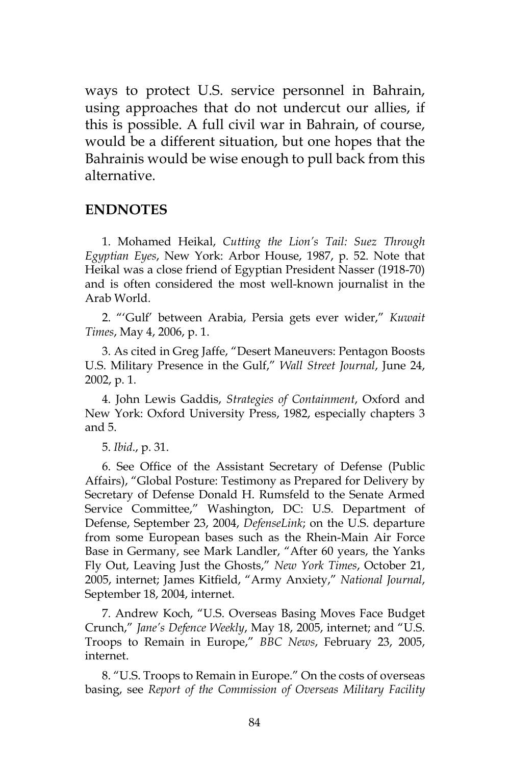ways to protect U.S. service personnel in Bahrain, using approaches that do not undercut our allies, if this is possible. A full civil war in Bahrain, of course, would be a different situation, but one hopes that the Bahrainis would be wise enough to pull back from this alternative.

#### **ENDNOTES**

1. Mohamed Heikal, *Cutting the Lion's Tail: Suez Through Egyptian Eyes*, New York: Arbor House, 1987, p. 52. Note that Heikal was a close friend of Egyptian President Nasser (1918-70) and is often considered the most well-known journalist in the Arab World.

2. "'Gulf' between Arabia, Persia gets ever wider," *Kuwait Times*, May 4, 2006, p. 1.

3. As cited in Greg Jaffe, "Desert Maneuvers: Pentagon Boosts U.S. Military Presence in the Gulf," *Wall Street Journal*, June 24, 2002, p. 1.

4. John Lewis Gaddis, *Strategies of Containment*, Oxford and New York: Oxford University Press, 1982, especially chapters 3 and 5.

5. *Ibid*., p. 31.

6. See Office of the Assistant Secretary of Defense (Public Affairs), "Global Posture: Testimony as Prepared for Delivery by Secretary of Defense Donald H. Rumsfeld to the Senate Armed Service Committee," Washington, DC: U.S. Department of Defense, September 23, 2004, *DefenseLink*; on the U.S. departure from some European bases such as the Rhein-Main Air Force Base in Germany, see Mark Landler, "After 60 years, the Yanks Fly Out, Leaving Just the Ghosts," *New York Times*, October 21, 2005, internet; James Kitfield, "Army Anxiety," *National Journal*, September 18, 2004, internet.

7. Andrew Koch, "U.S. Overseas Basing Moves Face Budget Crunch," *Jane's Defence Weekly*, May 18, 2005, internet; and "U.S. Troops to Remain in Europe," *BBC News*, February 23, 2005, internet.

8. "U.S. Troops to Remain in Europe." On the costs of overseas basing, see *Report of the Commission of Overseas Military Facility*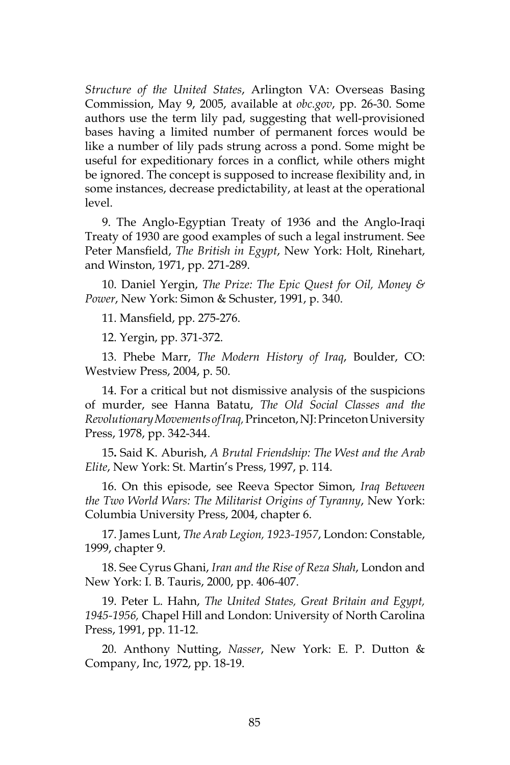*Structure of the United States*, Arlington VA: Overseas Basing Commission, May 9, 2005, available at *obc.gov*, pp. 26-30. Some authors use the term lily pad, suggesting that well-provisioned bases having a limited number of permanent forces would be like a number of lily pads strung across a pond. Some might be useful for expeditionary forces in a conflict, while others might be ignored. The concept is supposed to increase flexibility and, in some instances, decrease predictability, at least at the operational level.

9. The Anglo-Egyptian Treaty of 1936 and the Anglo-Iraqi Treaty of 1930 are good examples of such a legal instrument. See Peter Mansfield, *The British in Egypt*, New York: Holt, Rinehart, and Winston, 1971, pp. 271-289.

10. Daniel Yergin, *The Prize: The Epic Quest for Oil, Money & Power*, New York: Simon & Schuster, 1991, p. 340.

11. Mansfield, pp. 275-276.

12. Yergin, pp. 371-372.

13. Phebe Marr, *The Modern History of Iraq*, Boulder, CO: Westview Press, 2004, p. 50.

14. For a critical but not dismissive analysis of the suspicions of murder, see Hanna Batatu, *The Old Social Classes and the Revolutionary Movements of Iraq,* Princeton, NJ: Princeton University Press, 1978, pp. 342-344.

15**.** Said K. Aburish, *A Brutal Friendship: The West and the Arab Elite*, New York: St. Martin's Press, 1997, p. 114.

16. On this episode, see Reeva Spector Simon, *Iraq Between the Two World Wars: The Militarist Origins of Tyranny*, New York: Columbia University Press, 2004, chapter 6.

17. James Lunt, *The Arab Legion, 1923-1957*, London: Constable, 1999, chapter 9.

18. See Cyrus Ghani, *Iran and the Rise of Reza Shah*, London and New York: I. B. Tauris, 2000, pp. 406-407.

19. Peter L. Hahn, *The United States, Great Britain and Egypt, 1945-1956,* Chapel Hill and London: University of North Carolina Press, 1991, pp. 11-12.

20. Anthony Nutting, *Nasser*, New York: E. P. Dutton & Company, Inc, 1972, pp. 18-19.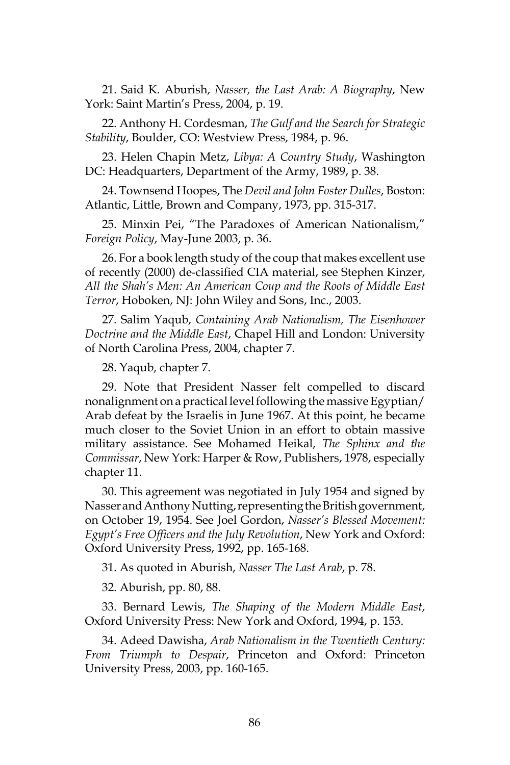21. Said K. Aburish, *Nasser, the Last Arab: A Biography*, New York: Saint Martin's Press, 2004, p. 19.

22. Anthony H. Cordesman, *The Gulf and the Search for Strategic Stability*, Boulder, CO: Westview Press, 1984, p. 96.

23. Helen Chapin Metz, *Libya: A Country Study*, Washington DC: Headquarters, Department of the Army, 1989, p. 38.

24. Townsend Hoopes, The *Devil and John Foster Dulles*, Boston: Atlantic, Little, Brown and Company, 1973, pp. 315-317.

25. Minxin Pei, "The Paradoxes of American Nationalism," *Foreign Policy*, May-June 2003, p. 36.

26. For a book length study of the coup that makes excellent use of recently (2000) de-classified CIA material, see Stephen Kinzer, *All the Shah's Men: An American Coup and the Roots of Middle East Terror*, Hoboken, NJ: John Wiley and Sons, Inc., 2003.

27. Salim Yaqub, *Containing Arab Nationalism, The Eisenhower Doctrine and the Middle East*, Chapel Hill and London: University of North Carolina Press, 2004, chapter 7.

28. Yaqub, chapter 7.

29. Note that President Nasser felt compelled to discard nonalignment on a practical level following the massive Egyptian/ Arab defeat by the Israelis in June 1967. At this point, he became much closer to the Soviet Union in an effort to obtain massive military assistance. See Mohamed Heikal, *The Sphinx and the Commissar*, New York: Harper & Row, Publishers, 1978, especially chapter 11.

30. This agreement was negotiated in July 1954 and signed by Nasser and Anthony Nutting, representing the British government, on October 19, 1954. See Joel Gordon, *Nasser's Blessed Movement: Egypt's Free Officers and the July Revolution*, New York and Oxford: Oxford University Press, 1992, pp. 165-168.

31. As quoted in Aburish, *Nasser The Last Arab*, p. 78.

32. Aburish, pp. 80, 88.

33. Bernard Lewis, *The Shaping of the Modern Middle East*, Oxford University Press: New York and Oxford, 1994, p. 153.

34. Adeed Dawisha, *Arab Nationalism in the Twentieth Century: From Triumph to Despair*, Princeton and Oxford: Princeton University Press, 2003, pp. 160-165.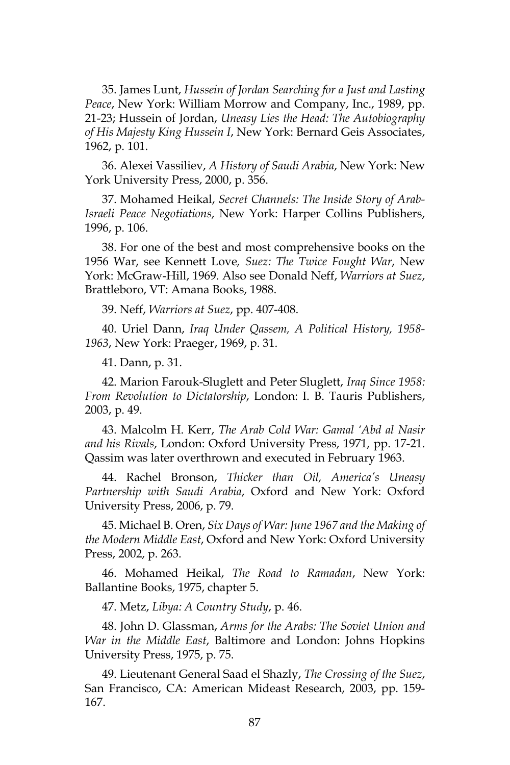35. James Lunt, *Hussein of Jordan Searching for a Just and Lasting Peace*, New York: William Morrow and Company, Inc., 1989, pp. 21-23; Hussein of Jordan, *Uneasy Lies the Head: The Autobiography of His Majesty King Hussein I*, New York: Bernard Geis Associates, 1962, p. 101.

36. Alexei Vassiliev, *A History of Saudi Arabia*, New York: New York University Press, 2000, p. 356.

37. Mohamed Heikal, *Secret Channels: The Inside Story of Arab-Israeli Peace Negotiations*, New York: Harper Collins Publishers, 1996, p. 106.

38. For one of the best and most comprehensive books on the 1956 War, see Kennett Love*, Suez: The Twice Fought War*, New York: McGraw-Hill, 1969. Also see Donald Neff, *Warriors at Suez*, Brattleboro, VT: Amana Books, 1988.

39. Neff, *Warriors at Suez*, pp. 407-408.

40. Uriel Dann, *Iraq Under Qassem, A Political History, 1958- 1963*, New York: Praeger, 1969, p. 31.

41. Dann, p. 31.

42. Marion Farouk-Sluglett and Peter Sluglett, *Iraq Since 1958: From Revolution to Dictatorship*, London: I. B. Tauris Publishers, 2003, p. 49.

43. Malcolm H. Kerr, *The Arab Cold War: Gamal 'Abd al Nasir and his Rivals*, London: Oxford University Press, 1971, pp. 17-21. Qassim was later overthrown and executed in February 1963.

44. Rachel Bronson, *Thicker than Oil, America's Uneasy Partnership with Saudi Arabia*, Oxford and New York: Oxford University Press, 2006, p. 79.

45. Michael B. Oren, *Six Days of War: June 1967 and the Making of the Modern Middle East*, Oxford and New York: Oxford University Press, 2002, p. 263.

46. Mohamed Heikal, *The Road to Ramadan*, New York: Ballantine Books, 1975, chapter 5.

47. Metz, *Libya: A Country Study*, p. 46.

48. John D. Glassman, *Arms for the Arabs: The Soviet Union and War in the Middle East*, Baltimore and London: Johns Hopkins University Press, 1975, p. 75.

49. Lieutenant General Saad el Shazly, *The Crossing of the Suez*, San Francisco, CA: American Mideast Research, 2003, pp. 159- 167.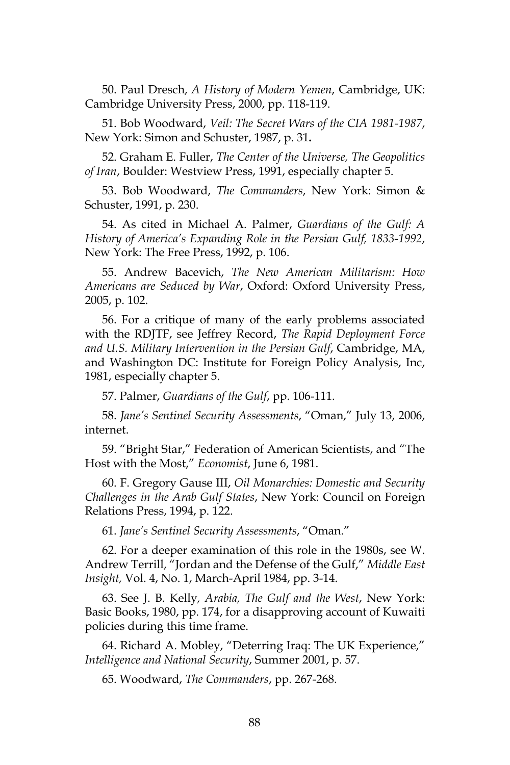50. Paul Dresch, *A History of Modern Yemen*, Cambridge, UK: Cambridge University Press, 2000, pp. 118-119.

51. Bob Woodward, *Veil: The Secret Wars of the CIA 1981-1987*, New York: Simon and Schuster, 1987, p. 31**.** 

52. Graham E. Fuller, *The Center of the Universe, The Geopolitics of Iran*, Boulder: Westview Press, 1991, especially chapter 5.

53. Bob Woodward, *The Commanders*, New York: Simon & Schuster, 1991, p. 230.

54. As cited in Michael A. Palmer, *Guardians of the Gulf: A History of America's Expanding Role in the Persian Gulf, 1833-1992*, New York: The Free Press, 1992, p. 106.

55. Andrew Bacevich, *The New American Militarism: How Americans are Seduced by War*, Oxford: Oxford University Press, 2005, p. 102.

56. For a critique of many of the early problems associated with the RDJTF, see Jeffrey Record, *The Rapid Deployment Force and U.S. Military Intervention in the Persian Gulf*, Cambridge, MA, and Washington DC: Institute for Foreign Policy Analysis, Inc, 1981, especially chapter 5.

57. Palmer, *Guardians of the Gulf*, pp. 106-111.

58. *Jane's Sentinel Security Assessments*, "Oman," July 13, 2006, internet.

59. "Bright Star," Federation of American Scientists, and "The Host with the Most," *Economist*, June 6, 1981.

60. F. Gregory Gause III, *Oil Monarchies: Domestic and Security Challenges in the Arab Gulf States*, New York: Council on Foreign Relations Press, 1994, p. 122.

61. *Jane's Sentinel Security Assessments*, "Oman."

62. For a deeper examination of this role in the 1980s, see W. Andrew Terrill, "Jordan and the Defense of the Gulf," *Middle East Insight,* Vol. 4, No. 1, March-April 1984, pp. 3-14.

63. See J. B. Kelly*, Arabia, The Gulf and the West*, New York: Basic Books, 1980, pp. 174, for a disapproving account of Kuwaiti policies during this time frame.

64. Richard A. Mobley, "Deterring Iraq: The UK Experience," *Intelligence and National Security*, Summer 2001, p. 57.

65. Woodward, *The Commanders*, pp. 267-268.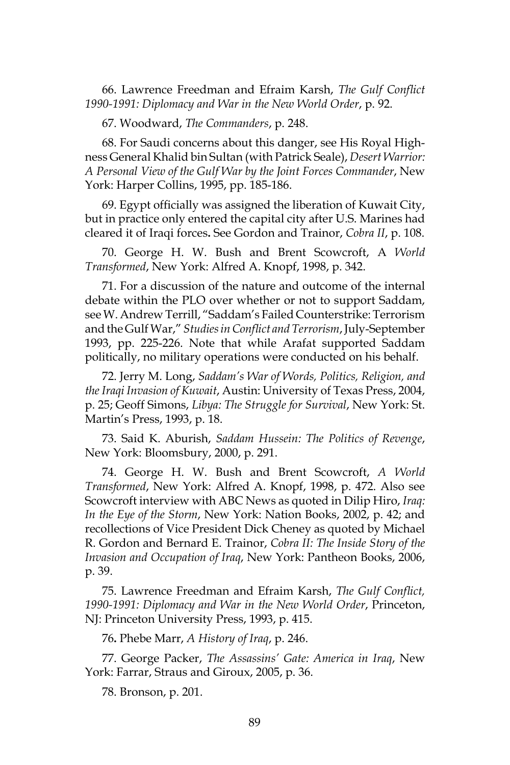66. Lawrence Freedman and Efraim Karsh, *The Gulf Conflict 1990-1991: Diplomacy and War in the New World Order*, p. 92.

67. Woodward, *The Commanders*, p. 248.

68. For Saudi concerns about this danger, see His Royal Highness General Khalid bin Sultan (with Patrick Seale), *Desert Warrior: A Personal View of the Gulf War by the Joint Forces Commander*, New York: Harper Collins, 1995, pp. 185-186.

69. Egypt officially was assigned the liberation of Kuwait City, but in practice only entered the capital city after U.S. Marines had cleared it of Iraqi forces**.** See Gordon and Trainor, *Cobra II*, p. 108.

70. George H. W. Bush and Brent Scowcroft, A *World Transformed*, New York: Alfred A. Knopf, 1998, p. 342.

71. For a discussion of the nature and outcome of the internal debate within the PLO over whether or not to support Saddam, see W. Andrew Terrill, "Saddam's Failed Counterstrike: Terrorism and the Gulf War," *Studies in Conflict and Terrorism*, July-September 1993, pp. 225-226. Note that while Arafat supported Saddam politically, no military operations were conducted on his behalf.

72. Jerry M. Long, *Saddam's War of Words, Politics, Religion, and the Iraqi Invasion of Kuwait*, Austin: University of Texas Press, 2004, p. 25; Geoff Simons, *Libya: The Struggle for Survival*, New York: St. Martin's Press, 1993, p. 18.

73. Said K. Aburish, *Saddam Hussein: The Politics of Revenge*, New York: Bloomsbury, 2000, p. 291.

74. George H. W. Bush and Brent Scowcroft, *A World Transformed*, New York: Alfred A. Knopf, 1998, p. 472. Also see Scowcroft interview with ABC News as quoted in Dilip Hiro, *Iraq: In the Eye of the Storm*, New York: Nation Books, 2002, p. 42; and recollections of Vice President Dick Cheney as quoted by Michael R. Gordon and Bernard E. Trainor, *Cobra II: The Inside Story of the Invasion and Occupation of Iraq*, New York: Pantheon Books, 2006, p. 39.

75. Lawrence Freedman and Efraim Karsh, *The Gulf Conflict, 1990-1991: Diplomacy and War in the New World Order*, Princeton, NJ: Princeton University Press, 1993, p. 415.

76**.** Phebe Marr, *A History of Iraq*, p. 246.

77. George Packer, *The Assassins' Gate: America in Iraq*, New York: Farrar, Straus and Giroux, 2005, p. 36.

78. Bronson, p. 201.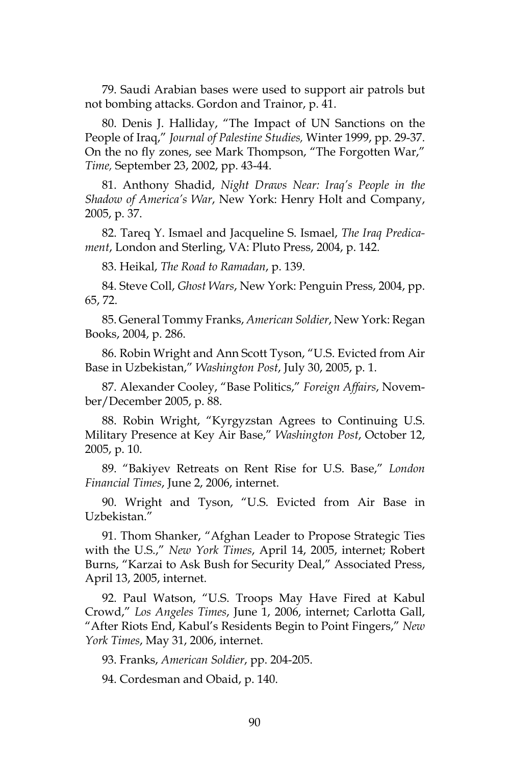79. Saudi Arabian bases were used to support air patrols but not bombing attacks. Gordon and Trainor, p. 41.

80. Denis J. Halliday, "The Impact of UN Sanctions on the People of Iraq," *Journal of Palestine Studies,* Winter 1999, pp. 29-37. On the no fly zones, see Mark Thompson, "The Forgotten War," *Time,* September 23, 2002, pp. 43-44.

81. Anthony Shadid, *Night Draws Near: Iraq's People in the Shadow of America's War*, New York: Henry Holt and Company, 2005, p. 37.

82. Tareq Y. Ismael and Jacqueline S. Ismael, *The Iraq Predicament*, London and Sterling, VA: Pluto Press, 2004, p. 142.

83. Heikal, *The Road to Ramadan*, p. 139.

84. Steve Coll, *Ghost Wars*, New York: Penguin Press, 2004, pp. 65, 72.

85. General Tommy Franks, *American Soldier*, New York: Regan Books, 2004, p. 286.

86. Robin Wright and Ann Scott Tyson, "U.S. Evicted from Air Base in Uzbekistan," *Washington Post*, July 30, 2005, p. 1.

87. Alexander Cooley, "Base Politics," *Foreign Affairs*, November/December 2005, p. 88.

88. Robin Wright, "Kyrgyzstan Agrees to Continuing U.S. Military Presence at Key Air Base," *Washington Post*, October 12, 2005, p. 10.

89. "Bakiyev Retreats on Rent Rise for U.S. Base," *London Financial Times*, June 2, 2006, internet.

90. Wright and Tyson, "U.S. Evicted from Air Base in Uzbekistan."

91. Thom Shanker, "Afghan Leader to Propose Strategic Ties with the U.S.," *New York Times*, April 14, 2005, internet; Robert Burns, "Karzai to Ask Bush for Security Deal," Associated Press, April 13, 2005, internet.

92. Paul Watson, "U.S. Troops May Have Fired at Kabul Crowd," *Los Angeles Times*, June 1, 2006, internet; Carlotta Gall, "After Riots End, Kabul's Residents Begin to Point Fingers," *New York Times*, May 31, 2006, internet.

93. Franks, *American Soldier*, pp. 204-205.

94. Cordesman and Obaid, p. 140.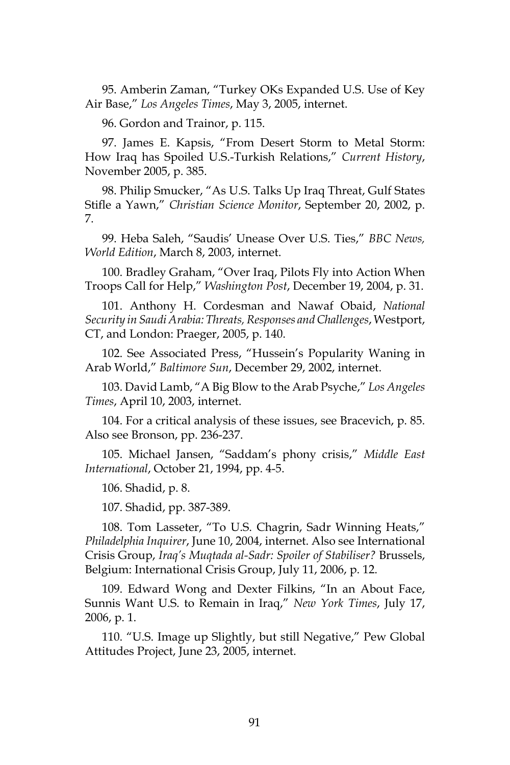95. Amberin Zaman, "Turkey OKs Expanded U.S. Use of Key Air Base," *Los Angeles Times*, May 3, 2005, internet.

96. Gordon and Trainor, p. 115.

97. James E. Kapsis, "From Desert Storm to Metal Storm: How Iraq has Spoiled U.S.-Turkish Relations," *Current History*, November 2005, p. 385.

98. Philip Smucker, "As U.S. Talks Up Iraq Threat, Gulf States Stifle a Yawn," *Christian Science Monitor*, September 20, 2002, p. 7.

99. Heba Saleh, "Saudis' Unease Over U.S. Ties," *BBC News, World Edition*, March 8, 2003, internet.

100. Bradley Graham, "Over Iraq, Pilots Fly into Action When Troops Call for Help," *Washington Post*, December 19, 2004, p. 31.

101. Anthony H. Cordesman and Nawaf Obaid, *National Security in Saudi Arabia: Threats, Responses and Challenges*, Westport, CT, and London: Praeger, 2005, p. 140.

102. See Associated Press, "Hussein's Popularity Waning in Arab World," *Baltimore Sun*, December 29, 2002, internet.

103. David Lamb, "A Big Blow to the Arab Psyche," *Los Angeles Times*, April 10, 2003, internet.

104. For a critical analysis of these issues, see Bracevich, p. 85. Also see Bronson, pp. 236-237.

105. Michael Jansen, "Saddam's phony crisis," *Middle East International*, October 21, 1994, pp. 4-5.

106. Shadid, p. 8.

107. Shadid, pp. 387-389.

108. Tom Lasseter, "To U.S. Chagrin, Sadr Winning Heats," *Philadelphia Inquirer*, June 10, 2004, internet. Also see International Crisis Group, *Iraq's Muqtada al-Sadr: Spoiler of Stabiliser?* Brussels, Belgium: International Crisis Group, July 11, 2006, p. 12.

109. Edward Wong and Dexter Filkins, "In an About Face, Sunnis Want U.S. to Remain in Iraq," *New York Times*, July 17, 2006, p. 1.

110. "U.S. Image up Slightly, but still Negative," Pew Global Attitudes Project, June 23, 2005, internet.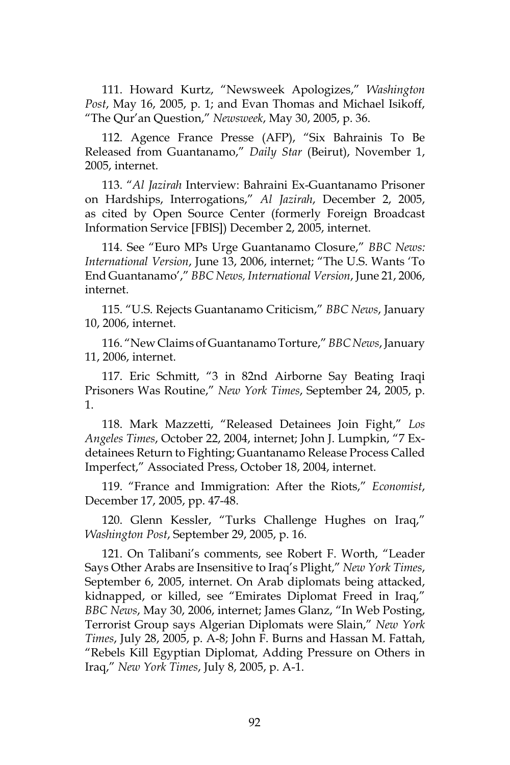111. Howard Kurtz, "Newsweek Apologizes," *Washington Post*, May 16, 2005, p. 1; and Evan Thomas and Michael Isikoff, "The Qur'an Question," *Newsweek*, May 30, 2005, p. 36.

112. Agence France Presse (AFP), "Six Bahrainis To Be Released from Guantanamo," *Daily Star* (Beirut), November 1, 2005, internet.

113. "*Al Jazirah* Interview: Bahraini Ex-Guantanamo Prisoner on Hardships, Interrogations," *Al Jazirah*, December 2, 2005, as cited by Open Source Center (formerly Foreign Broadcast Information Service [FBIS]) December 2, 2005, internet.

114. See "Euro MPs Urge Guantanamo Closure," *BBC News: International Version*, June 13, 2006, internet; "The U.S. Wants 'To End Guantanamo'," *BBC News, International Version*, June 21, 2006, internet.

115. "U.S. Rejects Guantanamo Criticism," *BBC News*, January 10, 2006, internet.

116. "New Claims of Guantanamo Torture," *BBC News*, January 11, 2006, internet.

117. Eric Schmitt, "3 in 82nd Airborne Say Beating Iraqi Prisoners Was Routine," *New York Times*, September 24, 2005, p. 1.

118. Mark Mazzetti, "Released Detainees Join Fight," *Los Angeles Times*, October 22, 2004, internet; John J. Lumpkin, "7 Exdetainees Return to Fighting; Guantanamo Release Process Called Imperfect," Associated Press, October 18, 2004, internet.

119. "France and Immigration: After the Riots," *Economist*, December 17, 2005, pp. 47-48.

120. Glenn Kessler, "Turks Challenge Hughes on Iraq," *Washington Post*, September 29, 2005, p. 16.

121. On Talibani's comments, see Robert F. Worth, "Leader Says Other Arabs are Insensitive to Iraq's Plight," *New York Times*, September 6, 2005, internet. On Arab diplomats being attacked, kidnapped, or killed, see "Emirates Diplomat Freed in Iraq," *BBC News*, May 30, 2006, internet; James Glanz, "In Web Posting, Terrorist Group says Algerian Diplomats were Slain," *New York Times*, July 28, 2005, p. A-8; John F. Burns and Hassan M. Fattah, "Rebels Kill Egyptian Diplomat, Adding Pressure on Others in Iraq," *New York Times*, July 8, 2005, p. A-1.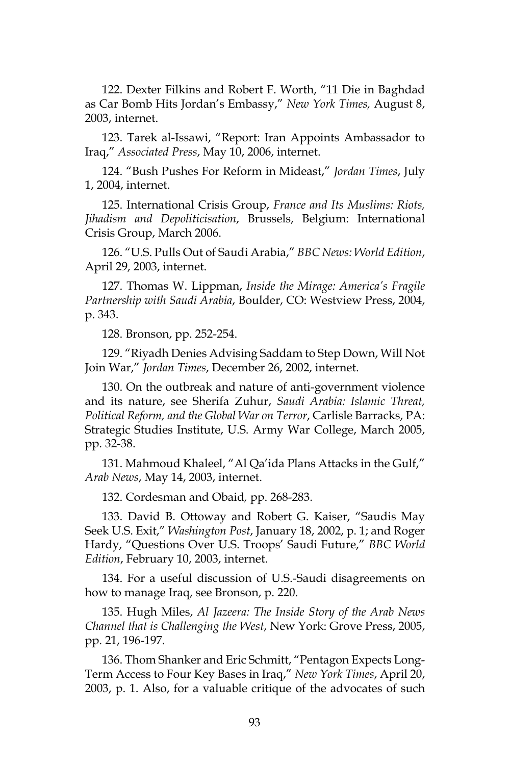122. Dexter Filkins and Robert F. Worth, "11 Die in Baghdad as Car Bomb Hits Jordan's Embassy," *New York Times,* August 8, 2003, internet.

123. Tarek al-Issawi, "Report: Iran Appoints Ambassador to Iraq," *Associated Press*, May 10, 2006, internet.

124. "Bush Pushes For Reform in Mideast," *Jordan Times*, July 1, 2004, internet.

125. International Crisis Group, *France and Its Muslims: Riots, Jihadism and Depoliticisation*, Brussels, Belgium: International Crisis Group, March 2006.

126. "U.S. Pulls Out of Saudi Arabia," *BBC News: World Edition*, April 29, 2003, internet.

127. Thomas W. Lippman, *Inside the Mirage: America's Fragile Partnership with Saudi Arabia*, Boulder, CO: Westview Press, 2004, p. 343.

128. Bronson, pp. 252-254.

129. "Riyadh Denies Advising Saddam to Step Down, Will Not Join War," *Jordan Times*, December 26, 2002, internet.

130. On the outbreak and nature of anti-government violence and its nature, see Sherifa Zuhur, *Saudi Arabia: Islamic Threat, Political Reform, and the Global War on Terror*, Carlisle Barracks, PA: Strategic Studies Institute, U.S. Army War College, March 2005, pp. 32-38.

131. Mahmoud Khaleel, "Al Qa'ida Plans Attacks in the Gulf," *Arab News*, May 14, 2003, internet.

132. Cordesman and Obaid*,* pp. 268-283.

133. David B. Ottoway and Robert G. Kaiser, "Saudis May Seek U.S. Exit," *Washington Post*, January 18, 2002, p. 1; and Roger Hardy, "Questions Over U.S. Troops' Saudi Future," *BBC World Edition*, February 10, 2003, internet.

134. For a useful discussion of U.S.-Saudi disagreements on how to manage Iraq, see Bronson, p. 220.

135. Hugh Miles, *Al Jazeera: The Inside Story of the Arab News Channel that is Challenging the West*, New York: Grove Press, 2005, pp. 21, 196-197.

136. Thom Shanker and Eric Schmitt, "Pentagon Expects Long-Term Access to Four Key Bases in Iraq," *New York Times*, April 20, 2003, p. 1. Also, for a valuable critique of the advocates of such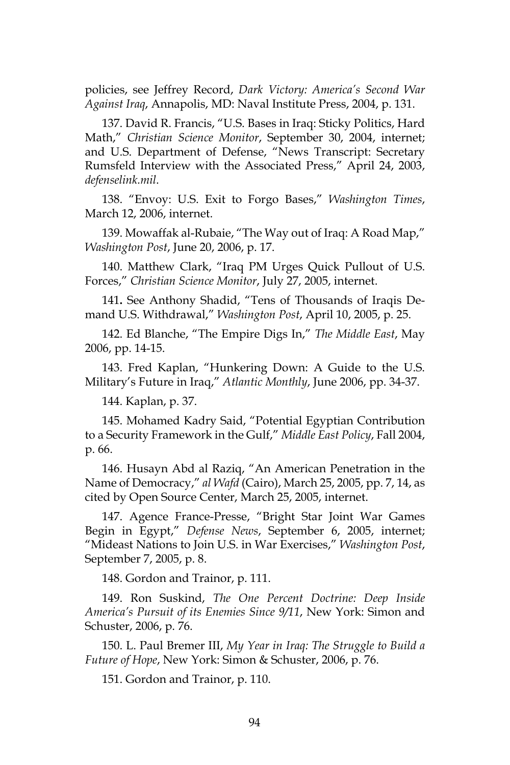policies, see Jeffrey Record, *Dark Victory: America's Second War Against Iraq*, Annapolis, MD: Naval Institute Press, 2004, p. 131.

137. David R. Francis, "U.S. Bases in Iraq: Sticky Politics, Hard Math," *Christian Science Monitor*, September 30, 2004, internet; and U.S. Department of Defense, "News Transcript: Secretary Rumsfeld Interview with the Associated Press," April 24, 2003, *defenselink.mil*.

138. "Envoy: U.S. Exit to Forgo Bases," *Washington Times*, March 12, 2006, internet.

139. Mowaffak al-Rubaie, "The Way out of Iraq: A Road Map," *Washington Post*, June 20, 2006, p. 17.

140. Matthew Clark, "Iraq PM Urges Quick Pullout of U.S. Forces," *Christian Science Monitor*, July 27, 2005, internet.

141**.** See Anthony Shadid, "Tens of Thousands of Iraqis Demand U.S. Withdrawal," *Washington Post*, April 10, 2005, p. 25.

142. Ed Blanche, "The Empire Digs In," *The Middle East*, May 2006, pp. 14-15.

143. Fred Kaplan, "Hunkering Down: A Guide to the U.S. Military's Future in Iraq," *Atlantic Monthly*, June 2006, pp. 34-37.

144. Kaplan, p. 37.

145. Mohamed Kadry Said, "Potential Egyptian Contribution to a Security Framework in the Gulf," *Middle East Policy*, Fall 2004, p. 66.

146. Husayn Abd al Raziq, "An American Penetration in the Name of Democracy," *al Wafd* (Cairo), March 25, 2005, pp. 7, 14, as cited by Open Source Center, March 25, 2005, internet.

147. Agence France-Presse, "Bright Star Joint War Games Begin in Egypt," *Defense News*, September 6, 2005, internet; "Mideast Nations to Join U.S. in War Exercises," *Washington Post*, September 7, 2005, p. 8.

148. Gordon and Trainor, p. 111.

149. Ron Suskind, *The One Percent Doctrine: Deep Inside America's Pursuit of its Enemies Since 9/11*, New York: Simon and Schuster, 2006, p. 76.

150. L. Paul Bremer III, *My Year in Iraq: The Struggle to Build a Future of Hope*, New York: Simon & Schuster, 2006, p. 76.

151. Gordon and Trainor, p. 110.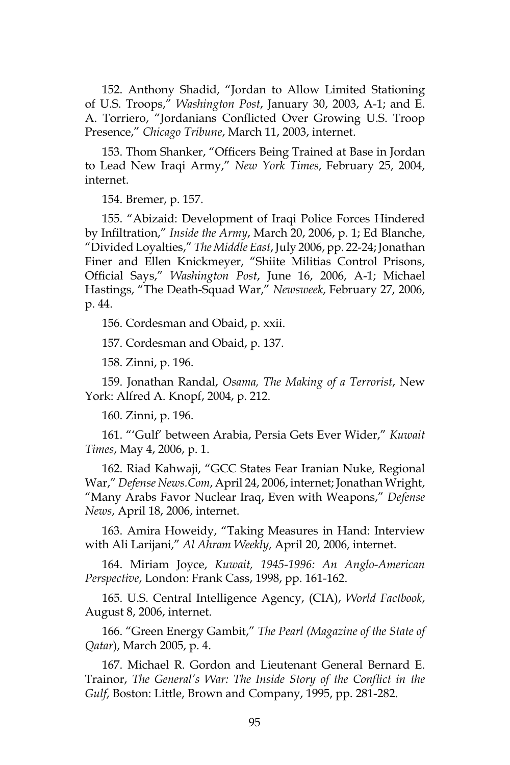152. Anthony Shadid, "Jordan to Allow Limited Stationing of U.S. Troops," *Washington Post*, January 30, 2003, A-1; and E. A. Torriero, "Jordanians Conflicted Over Growing U.S. Troop Presence," *Chicago Tribune*, March 11, 2003, internet.

153. Thom Shanker, "Officers Being Trained at Base in Jordan to Lead New Iraqi Army," *New York Times*, February 25, 2004, internet.

154. Bremer, p. 157.

155. "Abizaid: Development of Iraqi Police Forces Hindered by Infiltration," *Inside the Army*, March 20, 2006, p. 1; Ed Blanche, "Divided Loyalties," *The Middle East*, July 2006, pp. 22-24; Jonathan Finer and Ellen Knickmeyer, "Shiite Militias Control Prisons, Official Says," *Washington Post*, June 16, 2006, A-1; Michael Hastings, "The Death-Squad War," *Newsweek*, February 27, 2006, p. 44.

156. Cordesman and Obaid, p. xxii.

157. Cordesman and Obaid, p. 137.

158. Zinni, p. 196.

159. Jonathan Randal, *Osama, The Making of a Terrorist*, New York: Alfred A. Knopf, 2004, p. 212.

160. Zinni, p. 196.

161. "'Gulf' between Arabia, Persia Gets Ever Wider," *Kuwait Times*, May 4, 2006, p. 1.

162. Riad Kahwaji, "GCC States Fear Iranian Nuke, Regional War," *Defense News.Com*, April 24, 2006, internet; Jonathan Wright, "Many Arabs Favor Nuclear Iraq, Even with Weapons," *Defense News*, April 18, 2006, internet.

163. Amira Howeidy, "Taking Measures in Hand: Interview with Ali Larijani," *Al Ahram Weekly*, April 20, 2006, internet.

164. Miriam Joyce, *Kuwait, 1945-1996: An Anglo-American Perspective*, London: Frank Cass, 1998, pp. 161-162.

165. U.S. Central Intelligence Agency, (CIA), *World Factbook*, August 8, 2006, internet.

166. "Green Energy Gambit," *The Pearl (Magazine of the State of Qatar*), March 2005, p. 4.

167. Michael R. Gordon and Lieutenant General Bernard E. Trainor, *The General's War: The Inside Story of the Conflict in the Gulf*, Boston: Little, Brown and Company, 1995, pp. 281-282.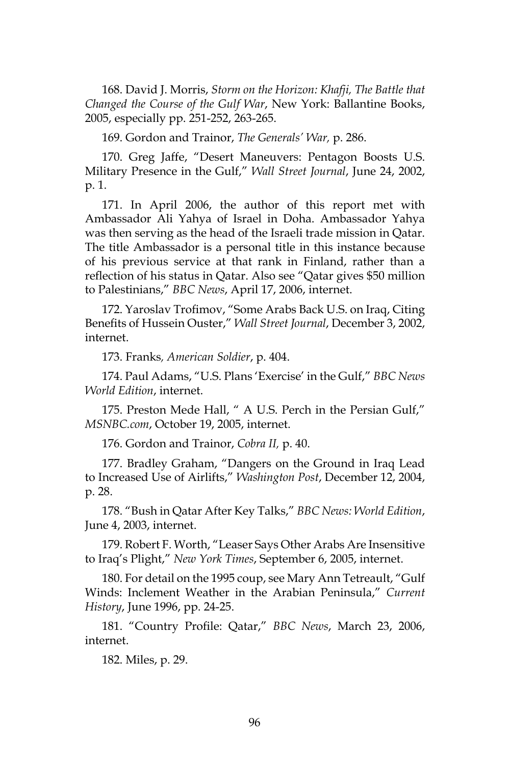168. David J. Morris, *Storm on the Horizon: Khafji, The Battle that Changed the Course of the Gulf War*, New York: Ballantine Books, 2005, especially pp. 251-252, 263-265.

169. Gordon and Trainor, *The Generals' War,* p. 286.

170. Greg Jaffe, "Desert Maneuvers: Pentagon Boosts U.S. Military Presence in the Gulf," *Wall Street Journal*, June 24, 2002, p. 1.

171. In April 2006, the author of this report met with Ambassador Ali Yahya of Israel in Doha. Ambassador Yahya was then serving as the head of the Israeli trade mission in Qatar. The title Ambassador is a personal title in this instance because of his previous service at that rank in Finland, rather than a reflection of his status in Qatar. Also see "Qatar gives \$50 million to Palestinians," *BBC News*, April 17, 2006, internet.

172. Yaroslav Trofimov, "Some Arabs Back U.S. on Iraq, Citing Benefits of Hussein Ouster," *Wall Street Journal*, December 3, 2002, internet.

173. Franks*, American Soldier*, p. 404.

174. Paul Adams, "U.S. Plans 'Exercise' in the Gulf," *BBC News World Edition*, internet.

175. Preston Mede Hall, " A U.S. Perch in the Persian Gulf," *MSNBC.com*, October 19, 2005, internet.

176. Gordon and Trainor, *Cobra II,* p. 40.

177. Bradley Graham, "Dangers on the Ground in Iraq Lead to Increased Use of Airlifts," *Washington Post*, December 12, 2004, p. 28.

178. "Bush in Qatar After Key Talks," *BBC News: World Edition*, June 4, 2003, internet.

179. Robert F. Worth, "Leaser Says Other Arabs Are Insensitive to Iraq's Plight," *New York Times*, September 6, 2005, internet.

180. For detail on the 1995 coup, see Mary Ann Tetreault, "Gulf Winds: Inclement Weather in the Arabian Peninsula," *Current History*, June 1996, pp. 24-25.

181. "Country Profile: Qatar," *BBC News*, March 23, 2006, internet.

182. Miles, p. 29.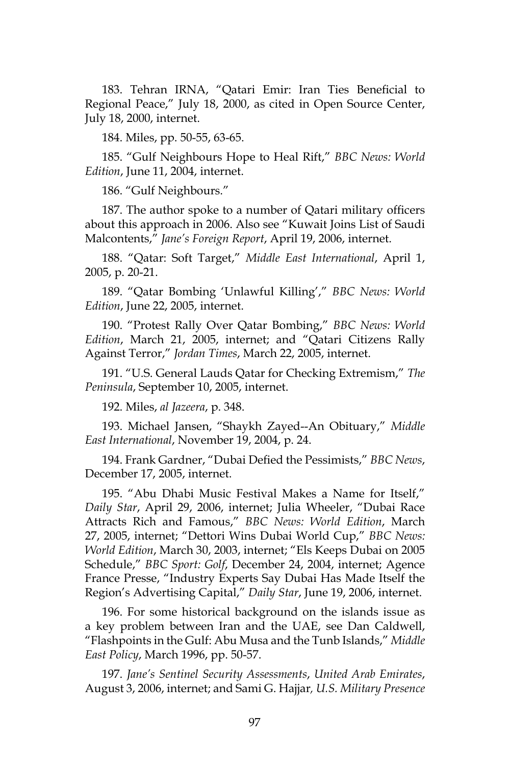183. Tehran IRNA, "Qatari Emir: Iran Ties Beneficial to Regional Peace," July 18, 2000, as cited in Open Source Center, July 18, 2000, internet.

184. Miles, pp. 50-55, 63-65.

185. "Gulf Neighbours Hope to Heal Rift," *BBC News: World Edition*, June 11, 2004, internet.

186. "Gulf Neighbours."

187. The author spoke to a number of Qatari military officers about this approach in 2006. Also see "Kuwait Joins List of Saudi Malcontents," *Jane's Foreign Report*, April 19, 2006, internet.

188. "Qatar: Soft Target," *Middle East International*, April 1, 2005, p. 20-21.

189. "Qatar Bombing 'Unlawful Killing'," *BBC News: World Edition*, June 22, 2005, internet.

190. "Protest Rally Over Qatar Bombing," *BBC News: World Edition*, March 21, 2005, internet; and "Qatari Citizens Rally Against Terror," *Jordan Times*, March 22, 2005, internet.

191. "U.S. General Lauds Qatar for Checking Extremism," *The Peninsula*, September 10, 2005, internet.

192. Miles, *al Jazeera*, p. 348.

193. Michael Jansen, "Shaykh Zayed--An Obituary," *Middle East International*, November 19, 2004, p. 24.

194. Frank Gardner, "Dubai Defied the Pessimists," *BBC News*, December 17, 2005, internet.

195. "Abu Dhabi Music Festival Makes a Name for Itself," *Daily Star*, April 29, 2006, internet; Julia Wheeler, "Dubai Race Attracts Rich and Famous," *BBC News: World Edition*, March 27, 2005, internet; "Dettori Wins Dubai World Cup," *BBC News: World Edition*, March 30, 2003, internet; "Els Keeps Dubai on 2005 Schedule," *BBC Sport: Golf*, December 24, 2004, internet; Agence France Presse, "Industry Experts Say Dubai Has Made Itself the Region's Advertising Capital," *Daily Star*, June 19, 2006, internet.

196. For some historical background on the islands issue as a key problem between Iran and the UAE, see Dan Caldwell, "Flashpoints in the Gulf: Abu Musa and the Tunb Islands," *Middle East Policy*, March 1996, pp. 50-57.

197. *Jane's Sentinel Security Assessments*, *United Arab Emirates*, August 3, 2006, internet; and Sami G. Hajjar*, U.S. Military Presence*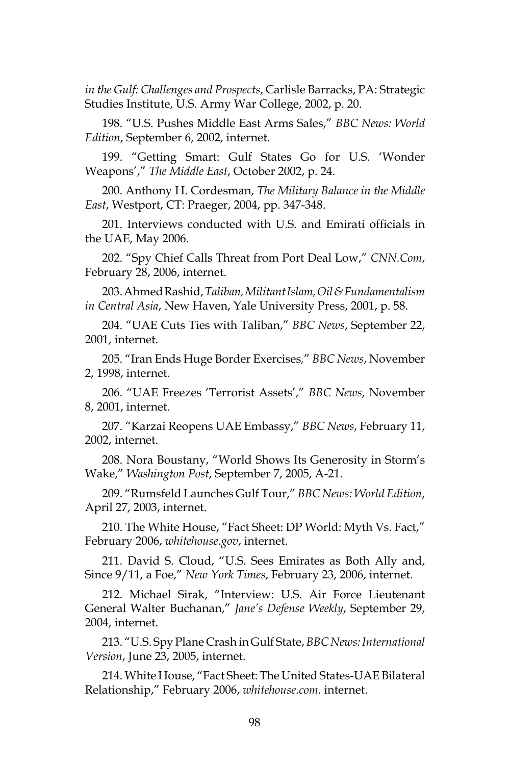*in the Gulf: Challenges and Prospects*, Carlisle Barracks, PA: Strategic Studies Institute, U.S. Army War College, 2002, p. 20.

198. "U.S. Pushes Middle East Arms Sales," *BBC News: World Edition*, September 6, 2002, internet.

199. "Getting Smart: Gulf States Go for U.S. 'Wonder Weapons'," *The Middle East*, October 2002, p. 24.

200. Anthony H. Cordesman, *The Military Balance in the Middle East*, Westport, CT: Praeger, 2004, pp. 347-348.

201. Interviews conducted with U.S. and Emirati officials in the UAE, May 2006.

202. "Spy Chief Calls Threat from Port Deal Low," *CNN.Com*, February 28, 2006, internet.

203. Ahmed Rashid, *Taliban, Militant Islam, Oil & Fundamentalism in Central Asia*, New Haven, Yale University Press, 2001, p. 58.

204. "UAE Cuts Ties with Taliban," *BBC News*, September 22, 2001, internet.

205. "Iran Ends Huge Border Exercises*,*" *BBC News*, November 2, 1998, internet.

206. "UAE Freezes 'Terrorist Assets'," *BBC News*, November 8, 2001, internet.

207. "Karzai Reopens UAE Embassy," *BBC News*, February 11, 2002, internet.

208. Nora Boustany, "World Shows Its Generosity in Storm's Wake," *Washington Post*, September 7, 2005, A-21.

209. "Rumsfeld Launches Gulf Tour," *BBC News: World Edition*, April 27, 2003, internet.

210. The White House, "Fact Sheet: DP World: Myth Vs. Fact," February 2006, *whitehouse.gov*, internet.

211. David S. Cloud, "U.S. Sees Emirates as Both Ally and, Since 9/11, a Foe," *New York Times*, February 23, 2006, internet.

212. Michael Sirak, "Interview: U.S. Air Force Lieutenant General Walter Buchanan," *Jane's Defense Weekly*, September 29, 2004, internet.

213. "U.S. Spy Plane Crash in Gulf State, *BBC News: International Version*, June 23, 2005, internet.

214. White House, "Fact Sheet: The United States-UAE Bilateral Relationship," February 2006, *whitehouse.com*. internet.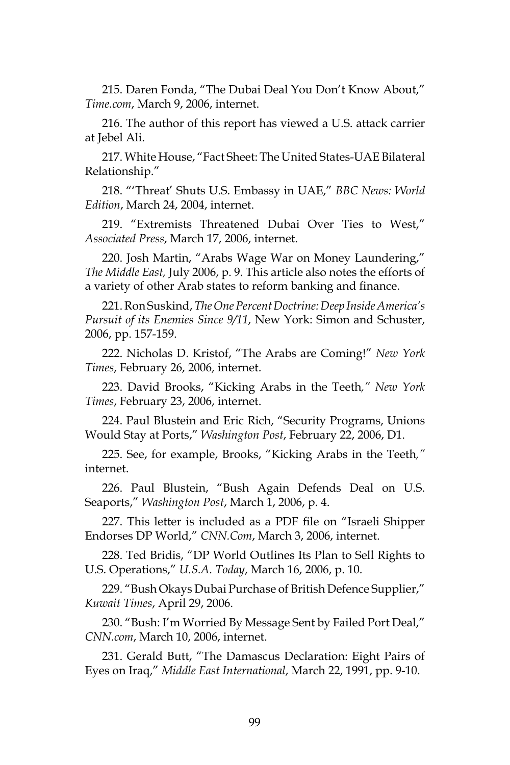215. Daren Fonda, "The Dubai Deal You Don't Know About," *Time.com*, March 9, 2006, internet.

216. The author of this report has viewed a U.S. attack carrier at Jebel Ali.

217. White House, "Fact Sheet: The United States-UAE Bilateral Relationship."

218. "'Threat' Shuts U.S. Embassy in UAE," *BBC News: World Edition*, March 24, 2004, internet.

219. "Extremists Threatened Dubai Over Ties to West," *Associated Press*, March 17, 2006, internet.

220. Josh Martin, "Arabs Wage War on Money Laundering," *The Middle East,* July 2006, p. 9. This article also notes the efforts of a variety of other Arab states to reform banking and finance.

221. Ron Suskind, *The One Percent Doctrine: Deep Inside America's Pursuit of its Enemies Since 9/11*, New York: Simon and Schuster, 2006, pp. 157-159.

222. Nicholas D. Kristof, "The Arabs are Coming!" *New York Times*, February 26, 2006, internet.

223. David Brooks, "Kicking Arabs in the Teeth*," New York Times*, February 23, 2006, internet.

224. Paul Blustein and Eric Rich, "Security Programs, Unions Would Stay at Ports," *Washington Post*, February 22, 2006, D1.

225. See, for example, Brooks, "Kicking Arabs in the Teeth*,"* internet.

226. Paul Blustein, "Bush Again Defends Deal on U.S. Seaports," *Washington Post*, March 1, 2006, p. 4.

227. This letter is included as a PDF file on "Israeli Shipper Endorses DP World," *CNN.Com*, March 3, 2006, internet.

228. Ted Bridis, "DP World Outlines Its Plan to Sell Rights to U.S. Operations," *U.S.A. Today*, March 16, 2006, p. 10.

229. "Bush Okays Dubai Purchase of British Defence Supplier," *Kuwait Times*, April 29, 2006.

230. "Bush: I'm Worried By Message Sent by Failed Port Deal," *CNN.com*, March 10, 2006, internet.

231. Gerald Butt, "The Damascus Declaration: Eight Pairs of Eyes on Iraq," *Middle East International*, March 22, 1991, pp. 9-10.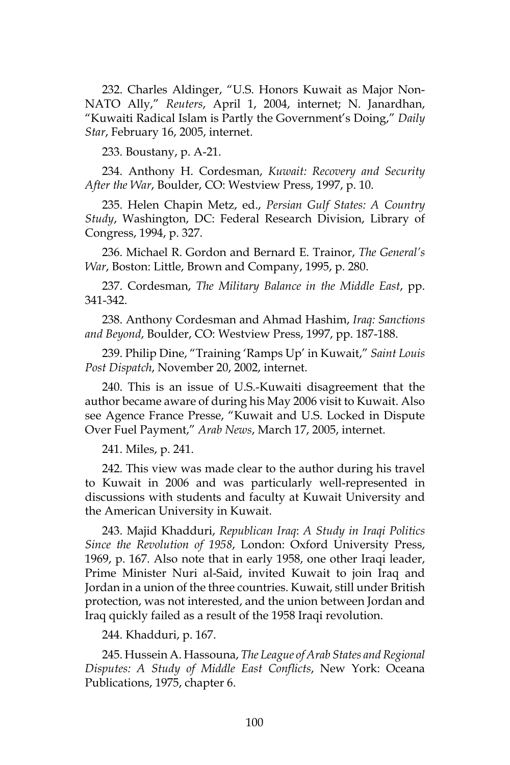232. Charles Aldinger, "U.S. Honors Kuwait as Major Non-NATO Ally," *Reuters*, April 1, 2004, internet; N. Janardhan, "Kuwaiti Radical Islam is Partly the Government's Doing," *Daily Star*, February 16, 2005, internet.

233. Boustany, p. A-21.

234. Anthony H. Cordesman, *Kuwait: Recovery and Security After the War*, Boulder, CO: Westview Press, 1997, p. 10.

235. Helen Chapin Metz, ed., *Persian Gulf States: A Country Study*, Washington, DC: Federal Research Division, Library of Congress, 1994, p. 327.

236. Michael R. Gordon and Bernard E. Trainor, *The General's War*, Boston: Little, Brown and Company, 1995, p. 280.

237. Cordesman, *The Military Balance in the Middle East*, pp. 341-342.

238. Anthony Cordesman and Ahmad Hashim, *Iraq: Sanctions and Beyond*, Boulder, CO: Westview Press, 1997, pp. 187-188.

239. Philip Dine, "Training 'Ramps Up' in Kuwait," *Saint Louis Post Dispatch*, November 20, 2002, internet.

240. This is an issue of U.S.-Kuwaiti disagreement that the author became aware of during his May 2006 visit to Kuwait. Also see Agence France Presse, "Kuwait and U.S. Locked in Dispute Over Fuel Payment," *Arab News*, March 17, 2005, internet.

241. Miles, p. 241.

242. This view was made clear to the author during his travel to Kuwait in 2006 and was particularly well-represented in discussions with students and faculty at Kuwait University and the American University in Kuwait.

243. Majid Khadduri, *Republican Iraq*: *A Study in Iraqi Politics Since the Revolution of 1958*, London: Oxford University Press, 1969, p. 167. Also note that in early 1958, one other Iraqi leader, Prime Minister Nuri al-Said, invited Kuwait to join Iraq and Jordan in a union of the three countries. Kuwait, still under British protection, was not interested, and the union between Jordan and Iraq quickly failed as a result of the 1958 Iraqi revolution.

244. Khadduri, p. 167.

245. Hussein A. Hassouna, *The League of Arab States and Regional Disputes: A Study of Middle East Conflicts*, New York: Oceana Publications, 1975, chapter 6.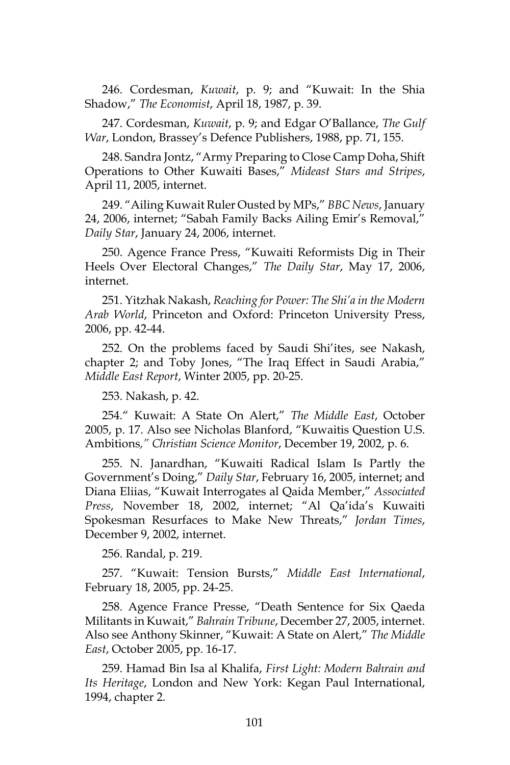246. Cordesman, *Kuwait*, p. 9; and "Kuwait: In the Shia Shadow," *The Economist*, April 18, 1987, p. 39.

247. Cordesman, *Kuwait*, p. 9; and Edgar O'Ballance, *The Gulf War*, London, Brassey's Defence Publishers, 1988, pp. 71, 155.

248. Sandra Jontz, "Army Preparing to Close Camp Doha, Shift Operations to Other Kuwaiti Bases," *Mideast Stars and Stripes*, April 11, 2005, internet.

249. "Ailing Kuwait Ruler Ousted by MPs," *BBC News*, January 24, 2006, internet; "Sabah Family Backs Ailing Emir's Removal," *Daily Star*, January 24, 2006, internet.

250. Agence France Press, "Kuwaiti Reformists Dig in Their Heels Over Electoral Changes," *The Daily Star*, May 17, 2006, internet.

251. Yitzhak Nakash, *Reaching for Power: The Shi'a in the Modern Arab World*, Princeton and Oxford: Princeton University Press, 2006, pp. 42-44.

252. On the problems faced by Saudi Shi'ites, see Nakash, chapter 2; and Toby Jones, "The Iraq Effect in Saudi Arabia," *Middle East Report*, Winter 2005, pp. 20-25.

253. Nakash, p. 42.

254." Kuwait: A State On Alert," *The Middle East*, October 2005, p. 17. Also see Nicholas Blanford, "Kuwaitis Question U.S. Ambitions*," Christian Science Monitor*, December 19, 2002, p. 6.

255. N. Janardhan, "Kuwaiti Radical Islam Is Partly the Government's Doing," *Daily Star*, February 16, 2005, internet; and Diana Eliias, "Kuwait Interrogates al Qaida Member," *Associated Press*, November 18, 2002, internet; "Al Qa'ida's Kuwaiti Spokesman Resurfaces to Make New Threats," *Jordan Times*, December 9, 2002, internet.

256. Randal, p. 219.

257. "Kuwait: Tension Bursts," *Middle East International*, February 18, 2005, pp. 24-25.

258. Agence France Presse, "Death Sentence for Six Qaeda Militants in Kuwait," *Bahrain Tribune*, December 27, 2005, internet. Also see Anthony Skinner, "Kuwait: A State on Alert," *The Middle East*, October 2005, pp. 16-17.

259. Hamad Bin Isa al Khalifa, *First Light: Modern Bahrain and Its Heritage*, London and New York: Kegan Paul International, 1994, chapter 2.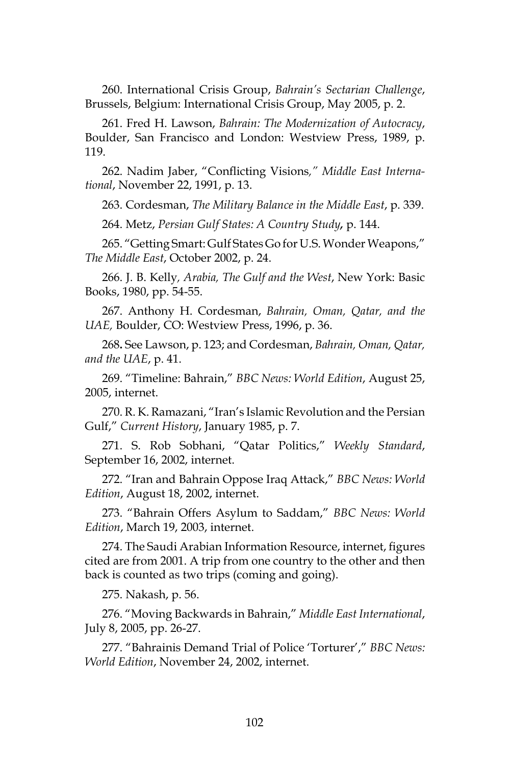260. International Crisis Group, *Bahrain's Sectarian Challenge*, Brussels, Belgium: International Crisis Group, May 2005, p. 2.

261. Fred H. Lawson, *Bahrain: The Modernization of Autocracy*, Boulder, San Francisco and London: Westview Press, 1989, p. 119.

262. Nadim Jaber, "Conflicting Visions*," Middle East International*, November 22, 1991, p. 13.

263. Cordesman, *The Military Balance in the Middle East*, p. 339.

264. Metz, *Persian Gulf States: A Country Study,* p. 144.

265. "Getting Smart: Gulf States Go for U.S. Wonder Weapons," *The Middle East*, October 2002, p. 24.

266. J. B. Kelly*, Arabia, The Gulf and the West*, New York: Basic Books, 1980, pp. 54-55.

267. Anthony H. Cordesman, *Bahrain, Oman, Qatar, and the UAE,* Boulder, CO: Westview Press, 1996, p. 36.

268**.** See Lawson, p. 123; and Cordesman, *Bahrain, Oman, Qatar, and the UAE*, p. 41.

269. "Timeline: Bahrain," *BBC News: World Edition*, August 25, 2005, internet.

270. R. K. Ramazani, "Iran's Islamic Revolution and the Persian Gulf," *Current History*, January 1985, p. 7.

271. S. Rob Sobhani, "Qatar Politics," *Weekly Standard*, September 16, 2002, internet.

272. "Iran and Bahrain Oppose Iraq Attack," *BBC News: World Edition*, August 18, 2002, internet.

273. "Bahrain Offers Asylum to Saddam," *BBC News: World Edition*, March 19, 2003, internet.

274. The Saudi Arabian Information Resource, internet, figures cited are from 2001. A trip from one country to the other and then back is counted as two trips (coming and going).

275. Nakash, p. 56.

276. "Moving Backwards in Bahrain," *Middle East International*, July 8, 2005, pp. 26-27.

277. "Bahrainis Demand Trial of Police 'Torturer'," *BBC News: World Edition*, November 24, 2002, internet.